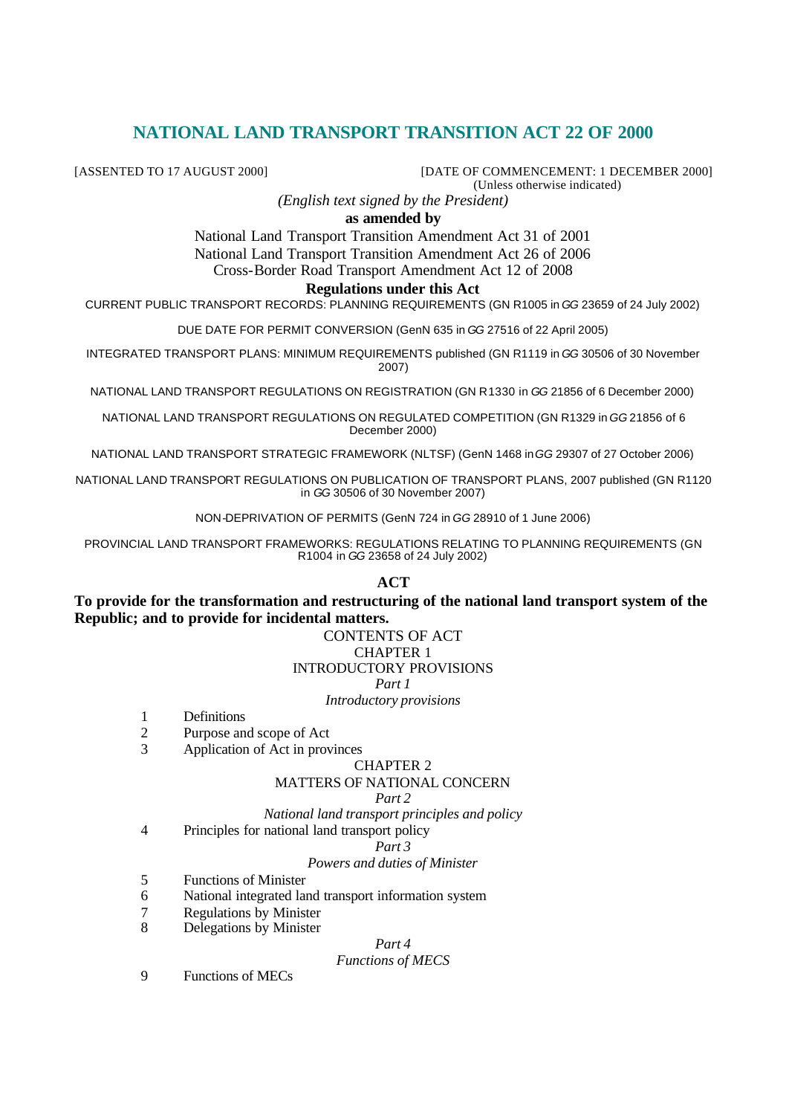# **NATIONAL LAND TRANSPORT TRANSITION ACT 22 OF 2000**

[ASSENTED TO 17 AUGUST 2000] [DATE OF COMMENCEMENT: 1 DECEMBER 2000] (Unless otherwise indicated)

*(English text signed by the President)*

## **as amended by**

National Land Transport Transition Amendment Act 31 of 2001 National Land Transport Transition Amendment Act 26 of 2006

Cross-Border Road Transport Amendment Act 12 of 2008

# **Regulations under this Act**

CURRENT PUBLIC TRANSPORT RECORDS: PLANNING REQUIREMENTS (GN R1005 in *GG* 23659 of 24 July 2002)

DUE DATE FOR PERMIT CONVERSION (GenN 635 in *GG* 27516 of 22 April 2005)

INTEGRATED TRANSPORT PLANS: MINIMUM REQUIREMENTS published (GN R1119 in *GG* 30506 of 30 November 2007)

NATIONAL LAND TRANSPORT REGULATIONS ON REGISTRATION (GN R1330 in *GG* 21856 of 6 December 2000)

NATIONAL LAND TRANSPORT REGULATIONS ON REGULATED COMPETITION (GN R1329 in *GG* 21856 of 6 December 2000)

NATIONAL LAND TRANSPORT STRATEGIC FRAMEWORK (NLTSF) (GenN 1468 in *GG* 29307 of 27 October 2006)

NATIONAL LAND TRANSPORT REGULATIONS ON PUBLICATION OF TRANSPORT PLANS, 2007 published (GN R1120 in *GG* 30506 of 30 November 2007)

NON-DEPRIVATION OF PERMITS (GenN 724 in *GG* 28910 of 1 June 2006)

PROVINCIAL LAND TRANSPORT FRAMEWORKS: REGULATIONS RELATING TO PLANNING REQUIREMENTS (GN R1004 in *GG* 23658 of 24 July 2002)

## **ACT**

**To provide for the transformation and restructuring of the national land transport system of the Republic; and to provide for incidental matters.**

# CONTENTS OF ACT CHAPTER 1

# INTRODUCTORY PROVISIONS

*Part 1*

*Introductory provisions*

- 1 Definitions
- 2 Purpose and scope of Act
- 3 Application of Act in provinces

#### CHAPTER 2

## MATTERS OF NATIONAL CONCERN

#### *Part 2*

*National land transport principles and policy*

4 Principles for national land transport policy

#### *Part 3*

## *Powers and duties of Minister*

- 5 Functions of Minister
- 6 National integrated land transport information system
- 7 Regulations by Minister
- 8 Delegations by Minister

## *Part 4*

## *Functions of MECS*

9 Functions of MECs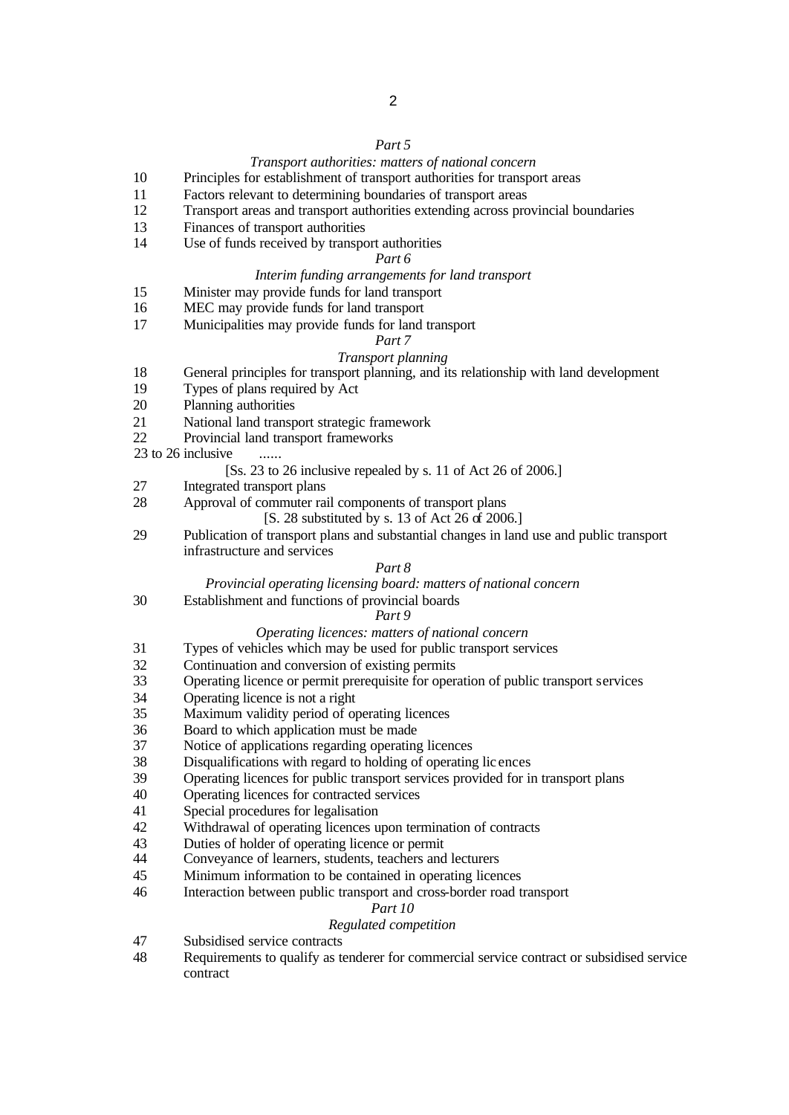#### *Part 5*

#### *Transport authorities: matters of national concern*

- Principles for establishment of transport authorities for transport areas
- Factors relevant to determining boundaries of transport areas
- Transport areas and transport authorities extending across provincial boundaries
- Finances of transport authorities
- Use of funds received by transport authorities

### *Part 6*

#### *Interim funding arrangements for land transport*

- Minister may provide funds for land transport
- MEC may provide funds for land transport
- Municipalities may provide funds for land transport

#### *Part 7*

#### *Transport planning*

- General principles for transport planning, and its relationship with land development
- Types of plans required by Act
- Planning authorities
- National land transport strategic framework
- Provincial land transport frameworks
- 23 to 26 inclusive  $\ldots$

#### [Ss. 23 to 26 inclusive repealed by s. 11 of Act 26 of 2006.]

- Integrated transport plans
- Approval of commuter rail components of transport plans
	- [S. 28 substituted by s. 13 of Act 26 of 2006.]
- Publication of transport plans and substantial changes in land use and public transport infrastructure and services

#### *Part 8*

#### *Provincial operating licensing board: matters of national concern*

Establishment and functions of provincial boards

#### *Part 9*

## *Operating licences: matters of national concern*

- Types of vehicles which may be used for public transport services
- Continuation and conversion of existing permits
- Operating licence or permit prerequisite for operation of public transport services
- Operating licence is not a right
- Maximum validity period of operating licences
- Board to which application must be made
- Notice of applications regarding operating licences
- Disqualifications with regard to holding of operating lic ences
- Operating licences for public transport services provided for in transport plans
- Operating licences for contracted services
- Special procedures for legalisation
- Withdrawal of operating licences upon termination of contracts
- Duties of holder of operating licence or permit
- Conveyance of learners, students, teachers and lecturers
- Minimum information to be contained in operating licences
- Interaction between public transport and cross-border road transport

## *Part 10*

### *Regulated competition*

- Subsidised service contracts
- Requirements to qualify as tenderer for commercial service contract or subsidised service contract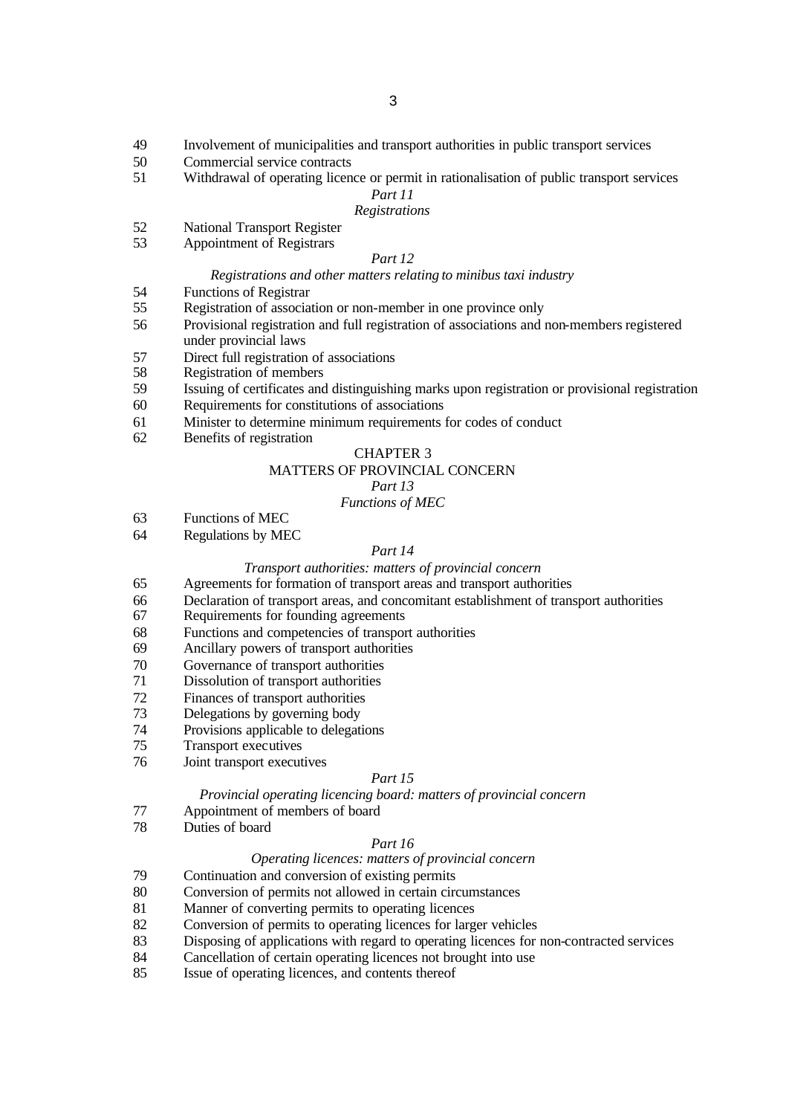- Involvement of municipalities and transport authorities in public transport services
- Commercial service contracts
- Withdrawal of operating licence or permit in rationalisation of public transport services

#### *Part 11*

### *Registrations*

- National Transport Register
- Appointment of Registrars

### *Part 12*

#### *Registrations and other matters relating to minibus taxi industry*

Functions of Registrar

- Registration of association or non-member in one province only
- Provisional registration and full registration of associations and non-members registered under provincial laws
- Direct full registration of associations
- Registration of members
- Issuing of certificates and distinguishing marks upon registration or provisional registration
- Requirements for constitutions of associations
- Minister to determine minimum requirements for codes of conduct
- Benefits of registration

## CHAPTER 3

## MATTERS OF PROVINCIAL CONCERN

## *Part 13*

#### *Functions of MEC*

- Functions of MEC
- Regulations by MEC

#### *Part 14*

#### *Transport authorities: matters of provincial concern*

- Agreements for formation of transport areas and transport authorities
- Declaration of transport areas, and concomitant establishment of transport authorities
- Requirements for founding agreements
- Functions and competencies of transport authorities
- Ancillary powers of transport authorities
- Governance of transport authorities
- Dissolution of transport authorities
- Finances of transport authorities
- Delegations by governing body
- Provisions applicable to delegations
- Transport executives
- Joint transport executives

#### *Part 15*

#### *Provincial operating licencing board: matters of provincial concern*

- Appointment of members of board
- Duties of board

#### *Part 16*

#### *Operating licences: matters of provincial concern*

- Continuation and conversion of existing permits
- Conversion of permits not allowed in certain circumstances
- Manner of converting permits to operating licences
- Conversion of permits to operating licences for larger vehicles
- Disposing of applications with regard to operating licences for non-contracted services
- Cancellation of certain operating licences not brought into use
- Issue of operating licences, and contents thereof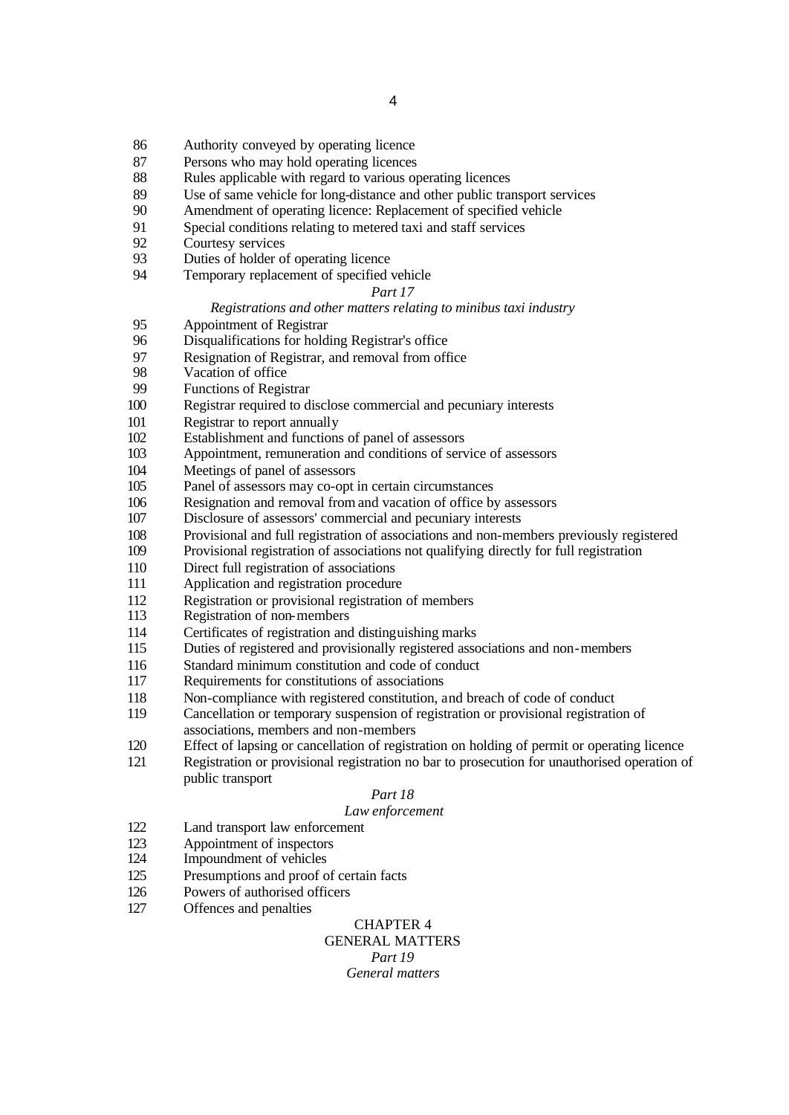- Authority conveyed by operating licence
- Persons who may hold operating licences
- 88 Rules applicable with regard to various operating licences
- Use of same vehicle for long-distance and other public transport services
- Amendment of operating licence: Replacement of specified vehicle
- Special conditions relating to metered taxi and staff services
- Courtesy services
- Duties of holder of operating licence
- Temporary replacement of specified vehicle

#### *Part 17*

#### *Registrations and other matters relating to minibus taxi industry*

- 95 Appointment of Registrar<br>96 Disqualifications for hold
- Disqualifications for holding Registrar's office
- 97 Resignation of Registrar, and removal from office<br>98 Vacation of office
- Vacation of office
- Functions of Registrar
- Registrar required to disclose commercial and pecuniary interests
- Registrar to report annually
- Establishment and functions of panel of assessors
- Appointment, remuneration and conditions of service of assessors
- Meetings of panel of assessors
- Panel of assessors may co-opt in certain circumstances
- Resignation and removal from and vacation of office by assessors
- Disclosure of assessors' commercial and pecuniary interests
- Provisional and full registration of associations and non-members previously registered
- Provisional registration of associations not qualifying directly for full registration
- Direct full registration of associations
- Application and registration procedure
- 112 Registration or provisional registration of members<br>113 Registration of non-members
- Registration of non-members
- Certificates of registration and distinguishing marks
- Duties of registered and provisionally registered associations and non-members
- Standard minimum constitution and code of conduct
- Requirements for constitutions of associations
- Non-compliance with registered constitution, and breach of code of conduct
- Cancellation or temporary suspension of registration or provisional registration of associations, members and non-members
- Effect of lapsing or cancellation of registration on holding of permit or operating licence
- Registration or provisional registration no bar to prosecution for unauthorised operation of public transport

## *Part 18*

### *Law enforcement*

- Land transport law enforcement
- Appointment of inspectors
- Impoundment of vehicles
- Presumptions and proof of certain facts
- Powers of authorised officers
- Offences and penalties

#### CHAPTER 4 GENERAL MATTERS

*Part 19*

*General matters*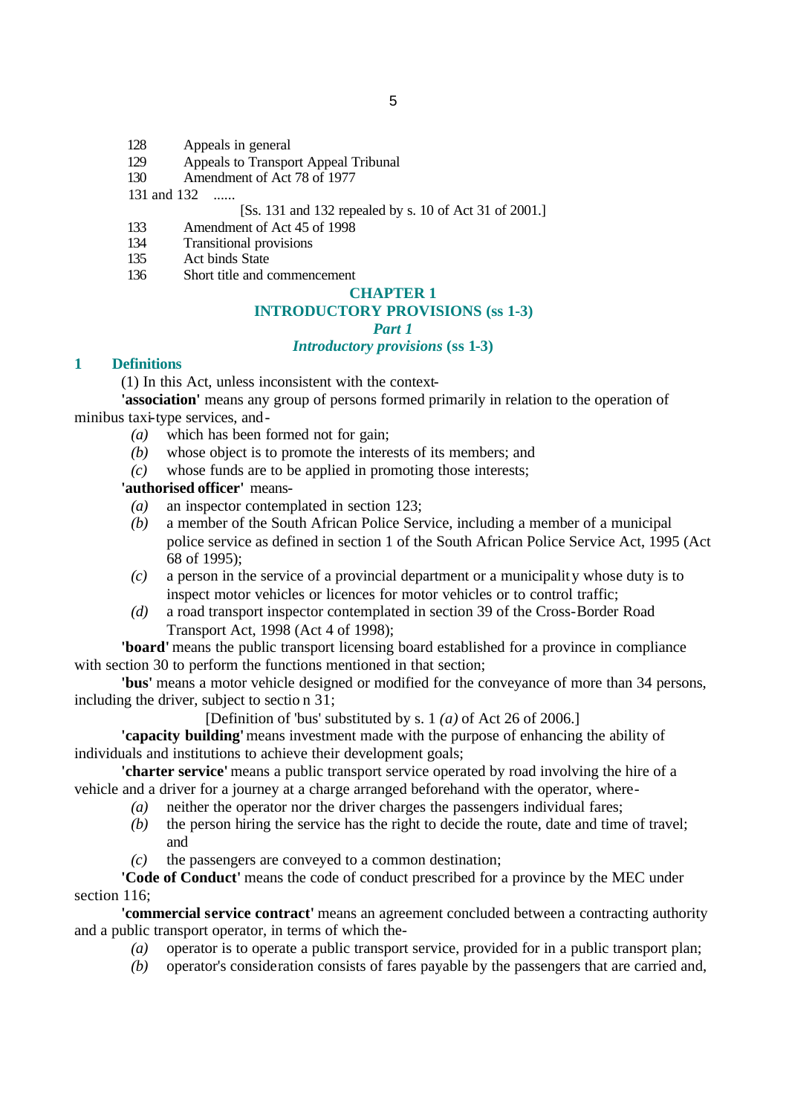- 128 Appeals in general
- 129 Appeals to Transport Appeal Tribunal
- 130 Amendment of Act 78 of 1977

131 and 132 ......

# [Ss. 131 and 132 repealed by s. 10 of Act 31 of 2001.]

- 133 Amendment of Act 45 of 1998
- 134 Transitional provisions
- 135 Act binds State
- 136 Short title and commencement

#### **CHAPTER 1**

# **INTRODUCTORY PROVISIONS (ss 1-3)**

#### *Part 1*

## *Introductory provisions* **(ss 1-3)**

## **1 Definitions**

(1) In this Act, unless inconsistent with the context-

**'association'** means any group of persons formed primarily in relation to the operation of minibus taxi-type services, and-

- *(a)* which has been formed not for gain;
- *(b)* whose object is to promote the interests of its members; and
- *(c)* whose funds are to be applied in promoting those interests;

## **'authorised officer'** means-

- *(a)* an inspector contemplated in section 123;
- *(b)* a member of the South African Police Service, including a member of a municipal police service as defined in section 1 of the South African Police Service Act, 1995 (Act 68 of 1995);
- *(c)* a person in the service of a provincial department or a municipality whose duty is to inspect motor vehicles or licences for motor vehicles or to control traffic;
- *(d)* a road transport inspector contemplated in section 39 of the Cross-Border Road Transport Act, 1998 (Act 4 of 1998);

**'board'** means the public transport licensing board established for a province in compliance with section 30 to perform the functions mentioned in that section;

**'bus'** means a motor vehicle designed or modified for the conveyance of more than 34 persons, including the driver, subject to sectio n 31;

[Definition of 'bus' substituted by s. 1 *(a)* of Act 26 of 2006.]

**'capacity building'** means investment made with the purpose of enhancing the ability of individuals and institutions to achieve their development goals;

**'charter service'** means a public transport service operated by road involving the hire of a vehicle and a driver for a journey at a charge arranged beforehand with the operator, where-

- *(a)* neither the operator nor the driver charges the passengers individual fares;
- *(b)* the person hiring the service has the right to decide the route, date and time of travel; and
- *(c)* the passengers are conveyed to a common destination;

**'Code of Conduct'** means the code of conduct prescribed for a province by the MEC under section 116;

**'commercial service contract'** means an agreement concluded between a contracting authority and a public transport operator, in terms of which the-

- *(a)* operator is to operate a public transport service, provided for in a public transport plan;
- *(b)* operator's consideration consists of fares payable by the passengers that are carried and,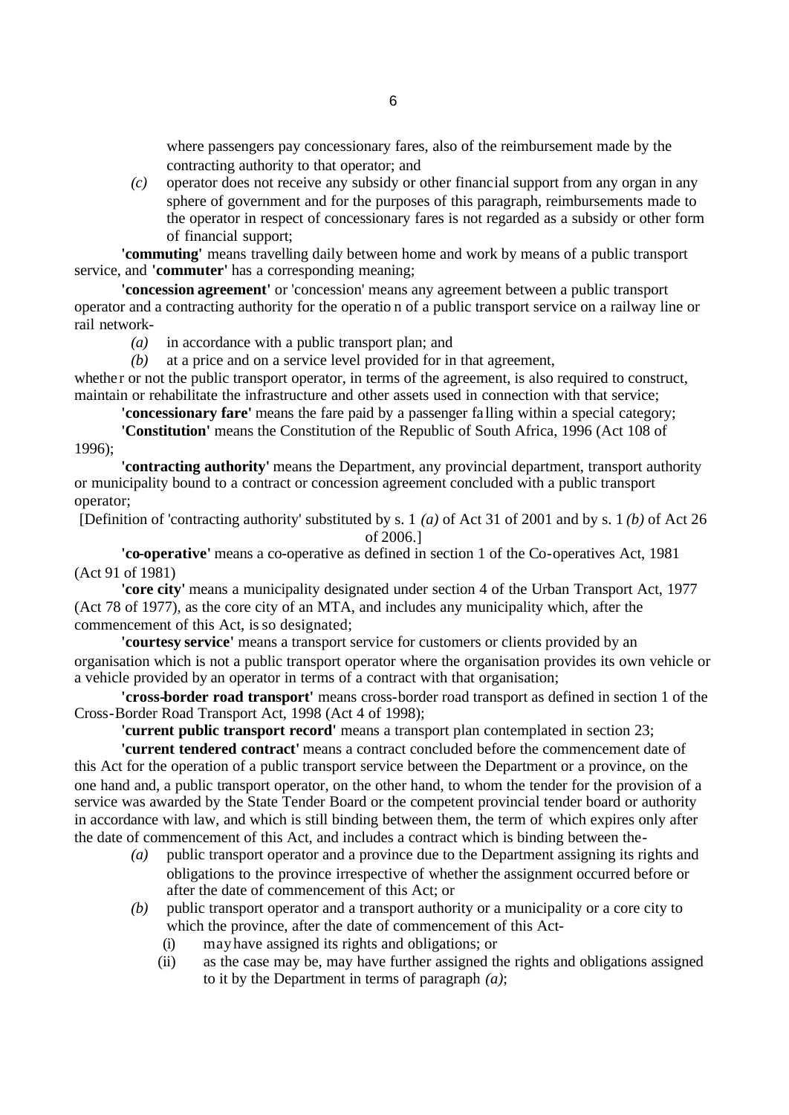where passengers pay concessionary fares, also of the reimbursement made by the contracting authority to that operator; and

*(c)* operator does not receive any subsidy or other financial support from any organ in any sphere of government and for the purposes of this paragraph, reimbursements made to the operator in respect of concessionary fares is not regarded as a subsidy or other form of financial support;

**'commuting'** means travelling daily between home and work by means of a public transport service, and **'commuter'** has a corresponding meaning;

**'concession agreement'** or 'concession' means any agreement between a public transport operator and a contracting authority for the operatio n of a public transport service on a railway line or rail network-

- *(a)* in accordance with a public transport plan; and
- *(b)* at a price and on a service level provided for in that agreement,

whether or not the public transport operator, in terms of the agreement, is also required to construct, maintain or rehabilitate the infrastructure and other assets used in connection with that service;

**'concessionary fare'** means the fare paid by a passenger fa lling within a special category;

**'Constitution'** means the Constitution of the Republic of South Africa, 1996 (Act 108 of 1996);

**'contracting authority'** means the Department, any provincial department, transport authority or municipality bound to a contract or concession agreement concluded with a public transport operator;

[Definition of 'contracting authority' substituted by s. 1 *(a)* of Act 31 of 2001 and by s. 1 *(b)* of Act 26 of 2006.]

**'co-operative'** means a co-operative as defined in section 1 of the Co-operatives Act, 1981 (Act 91 of 1981)

**'core city'** means a municipality designated under section 4 of the Urban Transport Act, 1977 (Act 78 of 1977), as the core city of an MTA, and includes any municipality which, after the commencement of this Act, is so designated;

**'courtesy service'** means a transport service for customers or clients provided by an organisation which is not a public transport operator where the organisation provides its own vehicle or a vehicle provided by an operator in terms of a contract with that organisation;

**'cross-border road transport'** means cross-border road transport as defined in section 1 of the Cross-Border Road Transport Act, 1998 (Act 4 of 1998);

**'current public transport record'** means a transport plan contemplated in section 23;

**'current tendered contract'** means a contract concluded before the commencement date of this Act for the operation of a public transport service between the Department or a province, on the one hand and, a public transport operator, on the other hand, to whom the tender for the provision of a service was awarded by the State Tender Board or the competent provincial tender board or authority in accordance with law, and which is still binding between them, the term of which expires only after the date of commencement of this Act, and includes a contract which is binding between the-

- *(a)* public transport operator and a province due to the Department assigning its rights and obligations to the province irrespective of whether the assignment occurred before or after the date of commencement of this Act; or
- *(b)* public transport operator and a transport authority or a municipality or a core city to which the province, after the date of commencement of this Act-
	- (i) may have assigned its rights and obligations; or
	- (ii) as the case may be, may have further assigned the rights and obligations assigned to it by the Department in terms of paragraph *(a)*;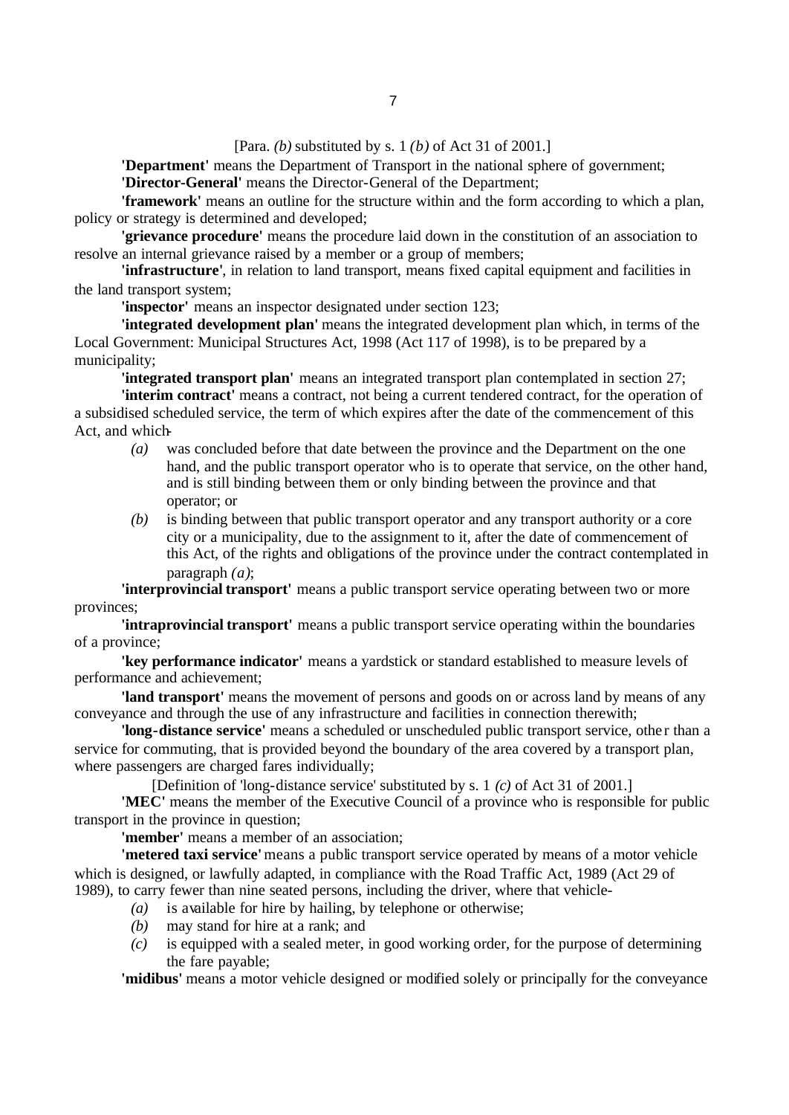[Para. *(b)* substituted by s. 1 *(b)* of Act 31 of 2001.]

**'Department'** means the Department of Transport in the national sphere of government; **'Director-General'** means the Director-General of the Department;

**'framework'** means an outline for the structure within and the form according to which a plan, policy or strategy is determined and developed;

**'grievance procedure'** means the procedure laid down in the constitution of an association to resolve an internal grievance raised by a member or a group of members;

**'infrastructure'**, in relation to land transport, means fixed capital equipment and facilities in the land transport system;

**'inspector'** means an inspector designated under section 123;

**'integrated development plan'** means the integrated development plan which, in terms of the Local Government: Municipal Structures Act, 1998 (Act 117 of 1998), is to be prepared by a municipality;

**'integrated transport plan'** means an integrated transport plan contemplated in section 27;

**'interim contract'** means a contract, not being a current tendered contract, for the operation of a subsidised scheduled service, the term of which expires after the date of the commencement of this Act, and which-

- *(a)* was concluded before that date between the province and the Department on the one hand, and the public transport operator who is to operate that service, on the other hand, and is still binding between them or only binding between the province and that operator; or
- *(b)* is binding between that public transport operator and any transport authority or a core city or a municipality, due to the assignment to it, after the date of commencement of this Act, of the rights and obligations of the province under the contract contemplated in paragraph *(a)*;

**'interprovincial transport'** means a public transport service operating between two or more provinces;

**'intraprovincial transport'** means a public transport service operating within the boundaries of a province;

**'key performance indicator'** means a yardstick or standard established to measure levels of performance and achievement;

**'land transport'** means the movement of persons and goods on or across land by means of any conveyance and through the use of any infrastructure and facilities in connection therewith;

'long-distance service' means a scheduled or unscheduled public transport service, other than a service for commuting, that is provided beyond the boundary of the area covered by a transport plan, where passengers are charged fares individually;

[Definition of 'long-distance service' substituted by s. 1 *(c)* of Act 31 of 2001.]

**'MEC'** means the member of the Executive Council of a province who is responsible for public transport in the province in question;

**'member'** means a member of an association;

**'metered taxi service'** means a public transport service operated by means of a motor vehicle which is designed, or lawfully adapted, in compliance with the Road Traffic Act, 1989 (Act 29 of 1989), to carry fewer than nine seated persons, including the driver, where that vehicle-

- *(a)* is available for hire by hailing, by telephone or otherwise;
- *(b)* may stand for hire at a rank; and
- *(c)* is equipped with a sealed meter, in good working order, for the purpose of determining the fare payable;

**'midibus'** means a motor vehicle designed or modified solely or principally for the conveyance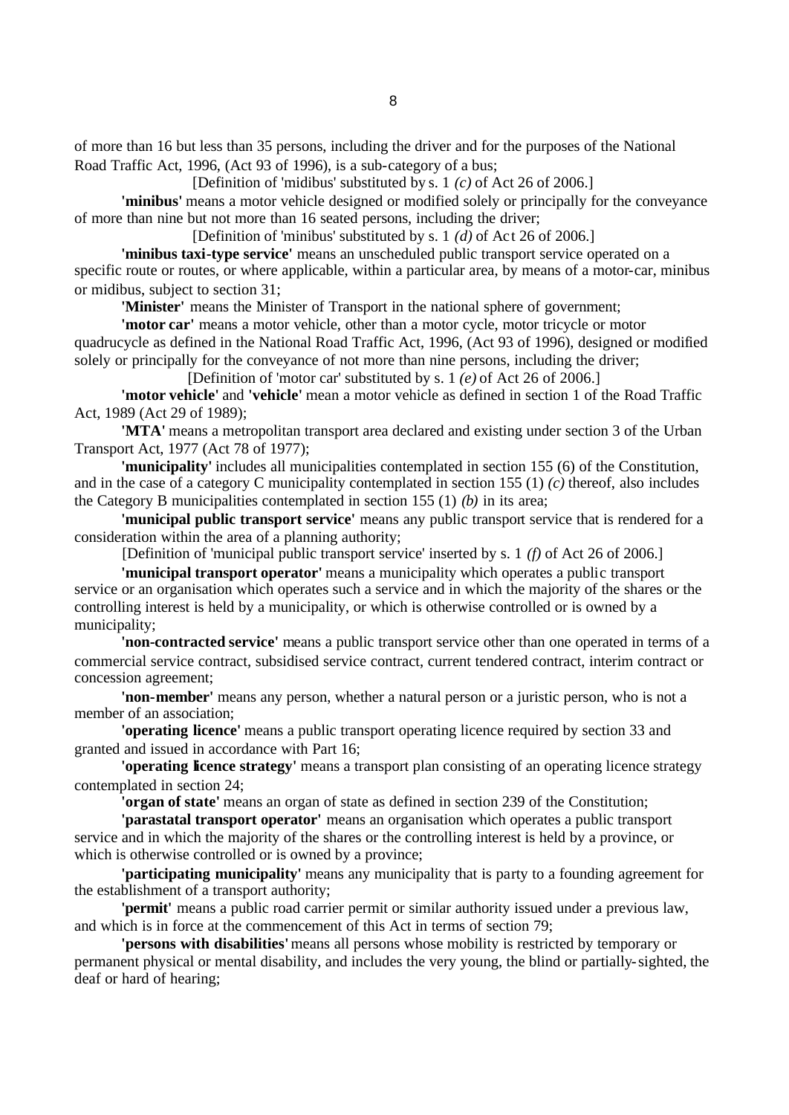of more than 16 but less than 35 persons, including the driver and for the purposes of the National Road Traffic Act, 1996, (Act 93 of 1996), is a sub-category of a bus;

[Definition of 'midibus' substituted by s. 1 *(c)* of Act 26 of 2006.]

**'minibus'** means a motor vehicle designed or modified solely or principally for the conveyance of more than nine but not more than 16 seated persons, including the driver;

[Definition of 'minibus' substituted by s. 1 *(d)* of Act 26 of 2006.]

**'minibus taxi-type service'** means an unscheduled public transport service operated on a specific route or routes, or where applicable, within a particular area, by means of a motor-car, minibus or midibus, subject to section 31;

**'Minister'** means the Minister of Transport in the national sphere of government;

**'motor car'** means a motor vehicle, other than a motor cycle, motor tricycle or motor quadrucycle as defined in the National Road Traffic Act, 1996, (Act 93 of 1996), designed or modified solely or principally for the conveyance of not more than nine persons, including the driver;

[Definition of 'motor car' substituted by s. 1 *(e)* of Act 26 of 2006.]

**'motor vehicle'** and **'vehicle'** mean a motor vehicle as defined in section 1 of the Road Traffic Act, 1989 (Act 29 of 1989);

**'MTA'** means a metropolitan transport area declared and existing under section 3 of the Urban Transport Act, 1977 (Act 78 of 1977);

**'municipality'** includes all municipalities contemplated in section 155 (6) of the Constitution, and in the case of a category C municipality contemplated in section 155 (1) *(c)* thereof, also includes the Category B municipalities contemplated in section 155 (1) *(b)* in its area;

**'municipal public transport service'** means any public transport service that is rendered for a consideration within the area of a planning authority;

[Definition of 'municipal public transport service' inserted by s. 1 *(f)* of Act 26 of 2006.]

**'municipal transport operator'** means a municipality which operates a public transport service or an organisation which operates such a service and in which the majority of the shares or the controlling interest is held by a municipality, or which is otherwise controlled or is owned by a municipality;

**'non-contracted service'** means a public transport service other than one operated in terms of a commercial service contract, subsidised service contract, current tendered contract, interim contract or concession agreement;

**'non-member'** means any person, whether a natural person or a juristic person, who is not a member of an association;

**'operating licence'** means a public transport operating licence required by section 33 and granted and issued in accordance with Part 16;

**'operating licence strategy'** means a transport plan consisting of an operating licence strategy contemplated in section 24;

**'organ of state'** means an organ of state as defined in section 239 of the Constitution;

**'parastatal transport operator'** means an organisation which operates a public transport service and in which the majority of the shares or the controlling interest is held by a province, or which is otherwise controlled or is owned by a province;

**'participating municipality'** means any municipality that is party to a founding agreement for the establishment of a transport authority;

**'permit'** means a public road carrier permit or similar authority issued under a previous law, and which is in force at the commencement of this Act in terms of section 79;

**'persons with disabilities'** means all persons whose mobility is restricted by temporary or permanent physical or mental disability, and includes the very young, the blind or partially-sighted, the deaf or hard of hearing;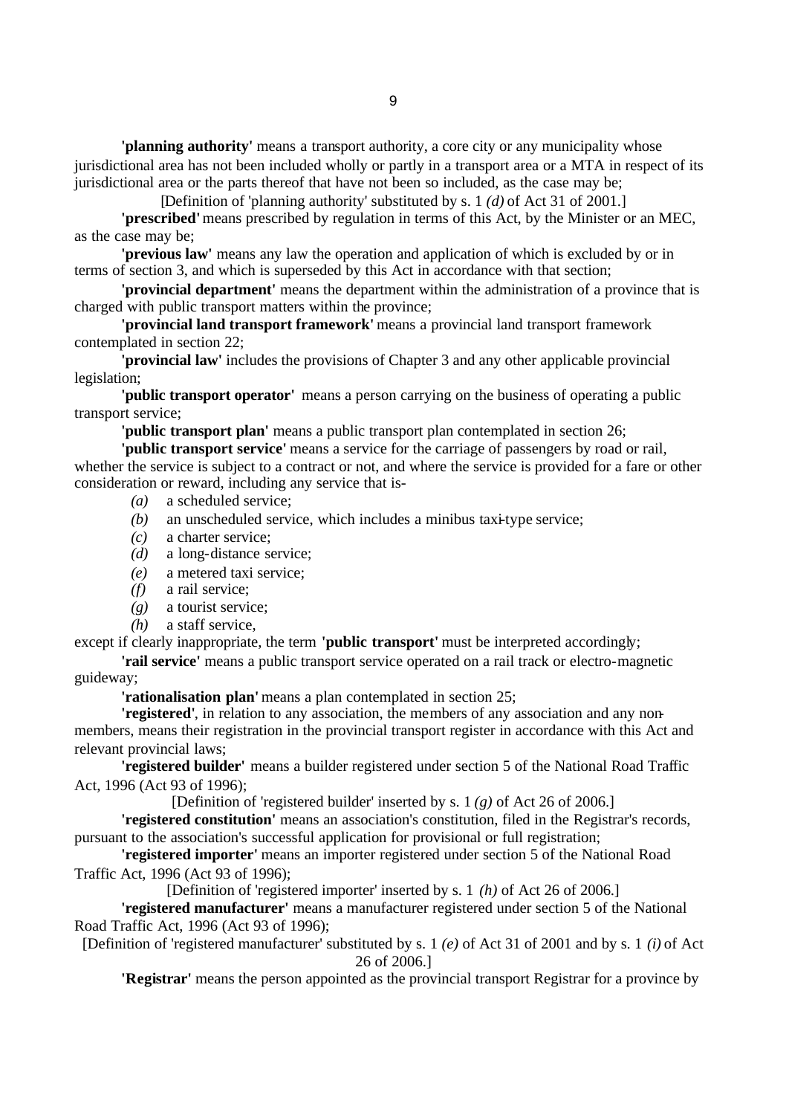**'planning authority'** means a transport authority, a core city or any municipality whose jurisdictional area has not been included wholly or partly in a transport area or a MTA in respect of its jurisdictional area or the parts thereof that have not been so included, as the case may be;

[Definition of 'planning authority' substituted by s. 1 *(d)* of Act 31 of 2001.]

**'prescribed'** means prescribed by regulation in terms of this Act, by the Minister or an MEC, as the case may be;

**'previous law'** means any law the operation and application of which is excluded by or in terms of section 3, and which is superseded by this Act in accordance with that section;

**'provincial department'** means the department within the administration of a province that is charged with public transport matters within the province;

**'provincial land transport framework'** means a provincial land transport framework contemplated in section 22;

**'provincial law'** includes the provisions of Chapter 3 and any other applicable provincial legislation;

**'public transport operator'** means a person carrying on the business of operating a public transport service;

**'public transport plan'** means a public transport plan contemplated in section 26;

**'public transport service'** means a service for the carriage of passengers by road or rail, whether the service is subject to a contract or not, and where the service is provided for a fare or other consideration or reward, including any service that is-

- *(a)* a scheduled service;
- *(b)* an unscheduled service, which includes a minibus taxi-type service;
- *(c)* a charter service;
- *(d)* a long-distance service;
- *(e)* a metered taxi service;
- *(f)* a rail service;
- *(g)* a tourist service;
- *(h)* a staff service,

except if clearly inappropriate, the term **'public transport'** must be interpreted accordingly;

**'rail service'** means a public transport service operated on a rail track or electro-magnetic guideway;

**'rationalisation plan'** means a plan contemplated in section 25;

**'registered'**, in relation to any association, the members of any association and any nonmembers, means their registration in the provincial transport register in accordance with this Act and relevant provincial laws;

**'registered builder'** means a builder registered under section 5 of the National Road Traffic Act, 1996 (Act 93 of 1996);

[Definition of 'registered builder' inserted by s. 1 *(g)* of Act 26 of 2006.]

**'registered constitution'** means an association's constitution, filed in the Registrar's records, pursuant to the association's successful application for provisional or full registration;

**'registered importer'** means an importer registered under section 5 of the National Road Traffic Act, 1996 (Act 93 of 1996);

[Definition of 'registered importer' inserted by s. 1 *(h)* of Act 26 of 2006.]

**'registered manufacturer'** means a manufacturer registered under section 5 of the National Road Traffic Act, 1996 (Act 93 of 1996);

[Definition of 'registered manufacturer' substituted by s. 1 *(e)* of Act 31 of 2001 and by s. 1 *(i)* of Act 26 of 2006.]

**'Registrar'** means the person appointed as the provincial transport Registrar for a province by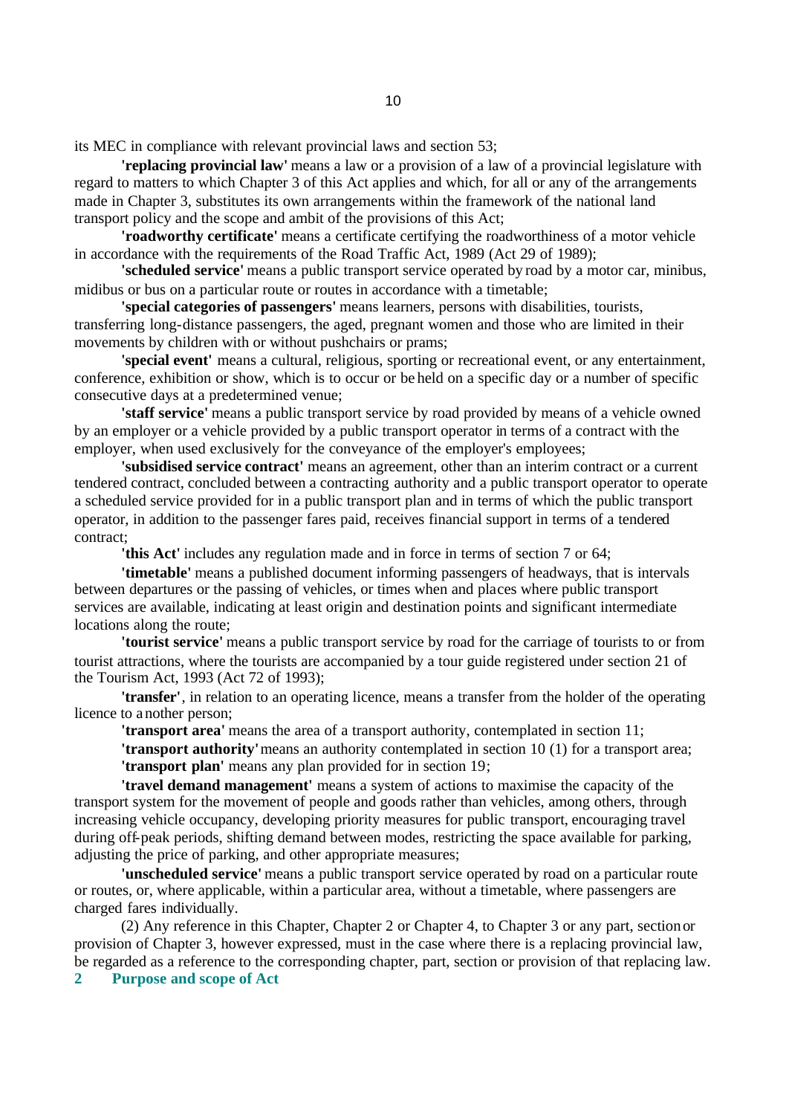its MEC in compliance with relevant provincial laws and section 53;

**'replacing provincial law'** means a law or a provision of a law of a provincial legislature with regard to matters to which Chapter 3 of this Act applies and which, for all or any of the arrangements made in Chapter 3, substitutes its own arrangements within the framework of the national land transport policy and the scope and ambit of the provisions of this Act;

**'roadworthy certificate'** means a certificate certifying the roadworthiness of a motor vehicle in accordance with the requirements of the Road Traffic Act, 1989 (Act 29 of 1989);

**'scheduled service'** means a public transport service operated by road by a motor car, minibus, midibus or bus on a particular route or routes in accordance with a timetable;

**'special categories of passengers'** means learners, persons with disabilities, tourists, transferring long-distance passengers, the aged, pregnant women and those who are limited in their movements by children with or without pushchairs or prams;

**'special event'** means a cultural, religious, sporting or recreational event, or any entertainment, conference, exhibition or show, which is to occur or be held on a specific day or a number of specific consecutive days at a predetermined venue;

**'staff service'** means a public transport service by road provided by means of a vehicle owned by an employer or a vehicle provided by a public transport operator in terms of a contract with the employer, when used exclusively for the conveyance of the employer's employees;

**'subsidised service contract'** means an agreement, other than an interim contract or a current tendered contract, concluded between a contracting authority and a public transport operator to operate a scheduled service provided for in a public transport plan and in terms of which the public transport operator, in addition to the passenger fares paid, receives financial support in terms of a tendered contract;

**'this Act'** includes any regulation made and in force in terms of section 7 or 64;

**'timetable'** means a published document informing passengers of headways, that is intervals between departures or the passing of vehicles, or times when and places where public transport services are available, indicating at least origin and destination points and significant intermediate locations along the route;

**'tourist service'** means a public transport service by road for the carriage of tourists to or from tourist attractions, where the tourists are accompanied by a tour guide registered under section 21 of the Tourism Act, 1993 (Act 72 of 1993);

**'transfer'**, in relation to an operating licence, means a transfer from the holder of the operating licence to another person;

**'transport area'** means the area of a transport authority, contemplated in section 11;

**'transport authority'** means an authority contemplated in section 10 (1) for a transport area; **'transport plan'** means any plan provided for in section 19;

**'travel demand management'** means a system of actions to maximise the capacity of the transport system for the movement of people and goods rather than vehicles, among others, through increasing vehicle occupancy, developing priority measures for public transport, encouraging travel during off-peak periods, shifting demand between modes, restricting the space available for parking, adjusting the price of parking, and other appropriate measures;

**'unscheduled service'** means a public transport service operated by road on a particular route or routes, or, where applicable, within a particular area, without a timetable, where passengers are charged fares individually.

(2) Any reference in this Chapter, Chapter 2 or Chapter 4, to Chapter 3 or any part, section or provision of Chapter 3, however expressed, must in the case where there is a replacing provincial law, be regarded as a reference to the corresponding chapter, part, section or provision of that replacing law.

**2 Purpose and scope of Act**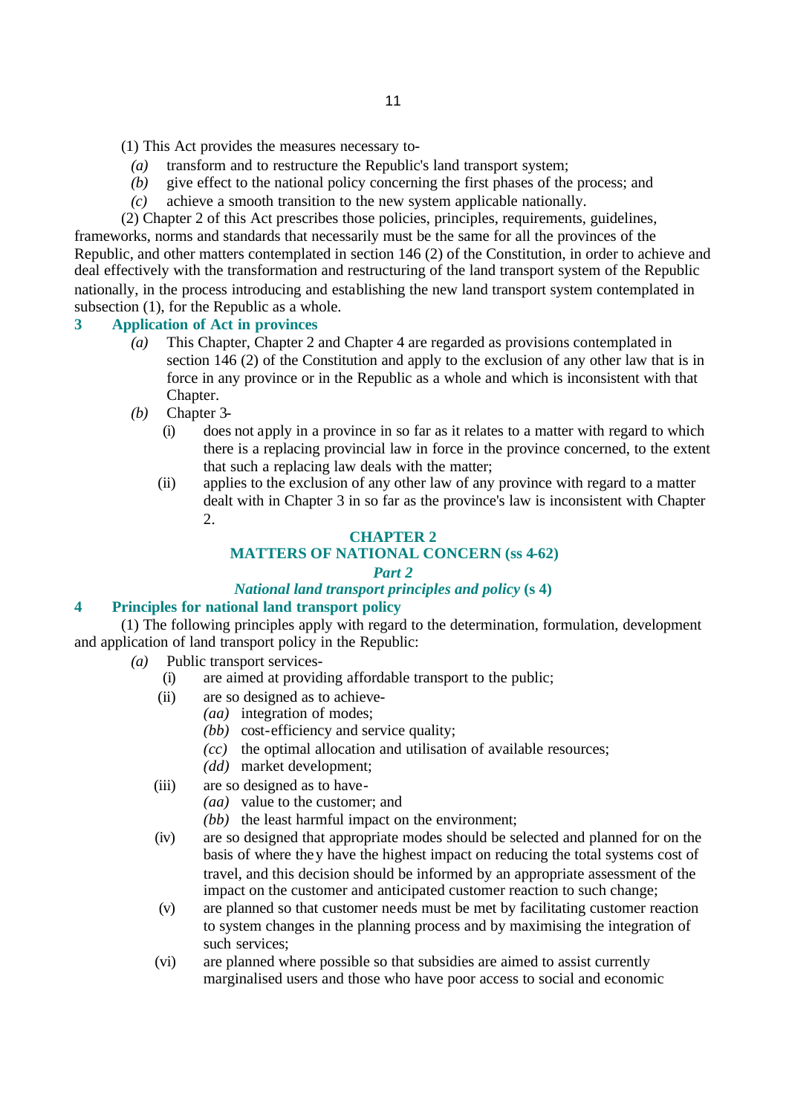- (1) This Act provides the measures necessary to-
	- *(a)* transform and to restructure the Republic's land transport system;
	- *(b)* give effect to the national policy concerning the first phases of the process; and
	- *(c)* achieve a smooth transition to the new system applicable nationally.

(2) Chapter 2 of this Act prescribes those policies, principles, requirements, guidelines, frameworks, norms and standards that necessarily must be the same for all the provinces of the Republic, and other matters contemplated in section 146 (2) of the Constitution, in order to achieve and deal effectively with the transformation and restructuring of the land transport system of the Republic nationally, in the process introducing and establishing the new land transport system contemplated in subsection (1), for the Republic as a whole.

## **3 Application of Act in provinces**

- *(a)* This Chapter, Chapter 2 and Chapter 4 are regarded as provisions contemplated in section 146 (2) of the Constitution and apply to the exclusion of any other law that is in force in any province or in the Republic as a whole and which is inconsistent with that Chapter.
- *(b)* Chapter 3-
	- (i) does not apply in a province in so far as it relates to a matter with regard to which there is a replacing provincial law in force in the province concerned, to the extent that such a replacing law deals with the matter;
	- (ii) applies to the exclusion of any other law of any province with regard to a matter dealt with in Chapter 3 in so far as the province's law is inconsistent with Chapter 2.

# **CHAPTER 2 MATTERS OF NATIONAL CONCERN (ss 4-62)**

## *Part 2*

# *National land transport principles and policy* **(s 4)**

## **4 Principles for national land transport policy**

(1) The following principles apply with regard to the determination, formulation, development and application of land transport policy in the Republic:

- *(a)* Public transport services-
	- (i) are aimed at providing affordable transport to the public;
	- (ii) are so designed as to achieve-
		- *(aa)* integration of modes;
			- *(bb)* cost-efficiency and service quality;
			- *(cc)* the optimal allocation and utilisation of available resources;
		- *(dd)* market development;
	- (iii) are so designed as to have-
		- *(aa)* value to the customer; and
		- *(bb)* the least harmful impact on the environment;
	- (iv) are so designed that appropriate modes should be selected and planned for on the basis of where they have the highest impact on reducing the total systems cost of travel, and this decision should be informed by an appropriate assessment of the impact on the customer and anticipated customer reaction to such change;
	- (v) are planned so that customer needs must be met by facilitating customer reaction to system changes in the planning process and by maximising the integration of such services;
	- (vi) are planned where possible so that subsidies are aimed to assist currently marginalised users and those who have poor access to social and economic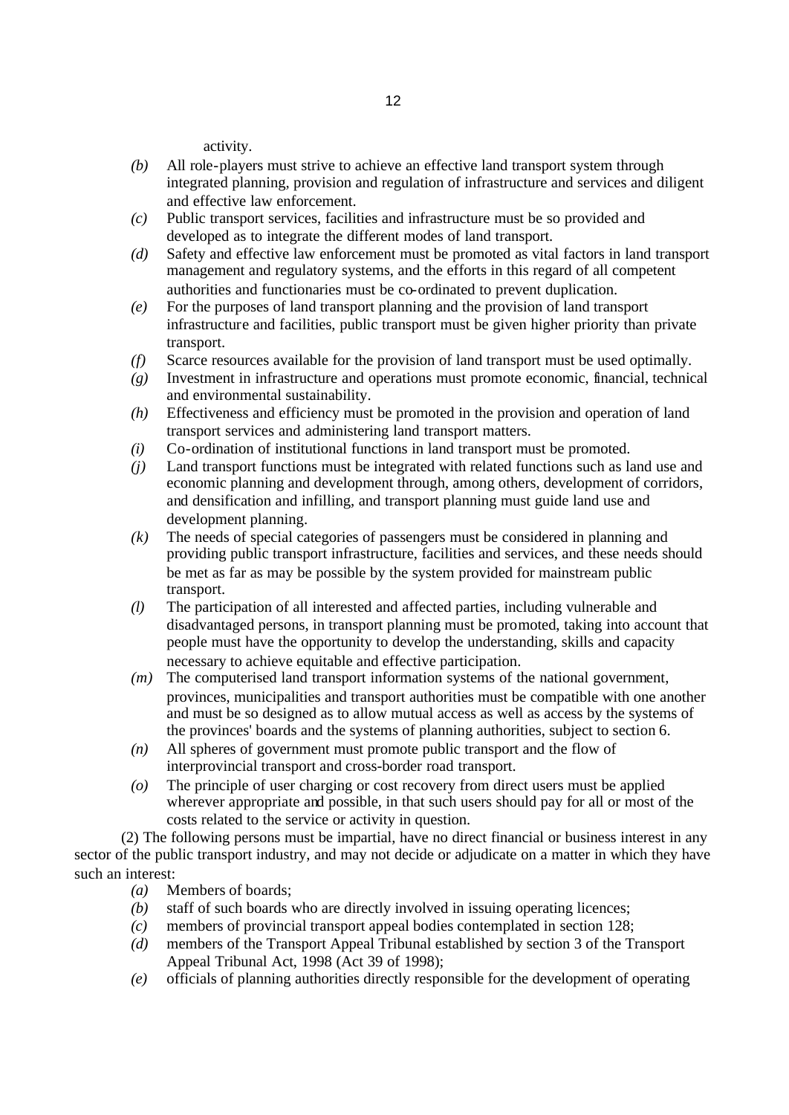activity.

- *(b)* All role-players must strive to achieve an effective land transport system through integrated planning, provision and regulation of infrastructure and services and diligent and effective law enforcement.
- *(c)* Public transport services, facilities and infrastructure must be so provided and developed as to integrate the different modes of land transport.
- *(d)* Safety and effective law enforcement must be promoted as vital factors in land transport management and regulatory systems, and the efforts in this regard of all competent authorities and functionaries must be co-ordinated to prevent duplication.
- *(e)* For the purposes of land transport planning and the provision of land transport infrastructure and facilities, public transport must be given higher priority than private transport.
- *(f)* Scarce resources available for the provision of land transport must be used optimally.
- *(g)* Investment in infrastructure and operations must promote economic, financial, technical and environmental sustainability.
- *(h)* Effectiveness and efficiency must be promoted in the provision and operation of land transport services and administering land transport matters.
- *(i)* Co-ordination of institutional functions in land transport must be promoted.
- *(j)* Land transport functions must be integrated with related functions such as land use and economic planning and development through, among others, development of corridors, and densification and infilling, and transport planning must guide land use and development planning.
- *(k)* The needs of special categories of passengers must be considered in planning and providing public transport infrastructure, facilities and services, and these needs should be met as far as may be possible by the system provided for mainstream public transport.
- *(l)* The participation of all interested and affected parties, including vulnerable and disadvantaged persons, in transport planning must be promoted, taking into account that people must have the opportunity to develop the understanding, skills and capacity necessary to achieve equitable and effective participation.
- *(m)* The computerised land transport information systems of the national government, provinces, municipalities and transport authorities must be compatible with one another and must be so designed as to allow mutual access as well as access by the systems of the provinces' boards and the systems of planning authorities, subject to section 6.
- *(n)* All spheres of government must promote public transport and the flow of interprovincial transport and cross-border road transport.
- *(o)* The principle of user charging or cost recovery from direct users must be applied wherever appropriate and possible, in that such users should pay for all or most of the costs related to the service or activity in question.

(2) The following persons must be impartial, have no direct financial or business interest in any sector of the public transport industry, and may not decide or adjudicate on a matter in which they have such an interest:

- *(a)* Members of boards;
- *(b)* staff of such boards who are directly involved in issuing operating licences;
- *(c)* members of provincial transport appeal bodies contemplated in section 128;
- *(d)* members of the Transport Appeal Tribunal established by section 3 of the Transport Appeal Tribunal Act, 1998 (Act 39 of 1998);
- *(e)* officials of planning authorities directly responsible for the development of operating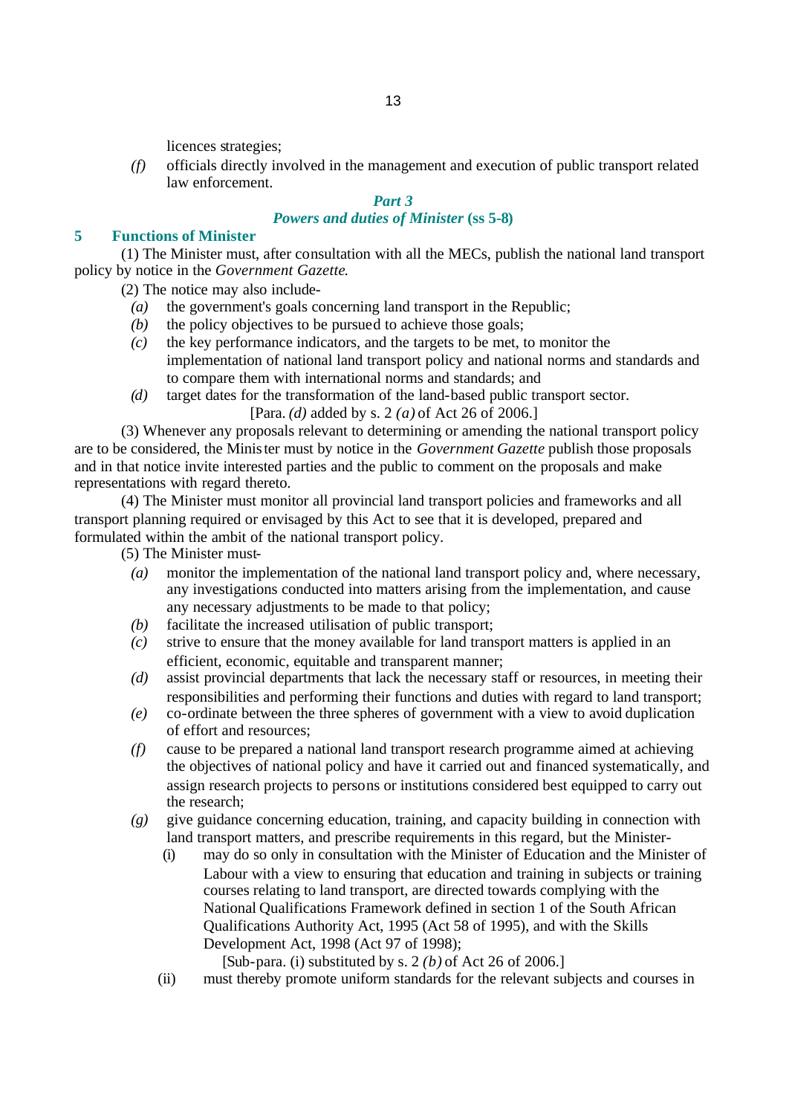licences strategies;

*(f)* officials directly involved in the management and execution of public transport related law enforcement.

# *Part 3*

# *Powers and duties of Minister* **(ss 5-8)**

### **5 Functions of Minister**

(1) The Minister must, after consultation with all the MECs, publish the national land transport policy by notice in the *Government Gazette*.

(2) The notice may also include-

- *(a)* the government's goals concerning land transport in the Republic;
- *(b)* the policy objectives to be pursued to achieve those goals;
- *(c)* the key performance indicators, and the targets to be met, to monitor the implementation of national land transport policy and national norms and standards and to compare them with international norms and standards; and
- *(d)* target dates for the transformation of the land-based public transport sector.

[Para. *(d)* added by s. 2 *(a)* of Act 26 of 2006.]

(3) Whenever any proposals relevant to determining or amending the national transport policy are to be considered, the Minister must by notice in the *Government Gazette* publish those proposals and in that notice invite interested parties and the public to comment on the proposals and make representations with regard thereto.

(4) The Minister must monitor all provincial land transport policies and frameworks and all transport planning required or envisaged by this Act to see that it is developed, prepared and formulated within the ambit of the national transport policy.

(5) The Minister must-

- *(a)* monitor the implementation of the national land transport policy and, where necessary, any investigations conducted into matters arising from the implementation, and cause any necessary adjustments to be made to that policy;
- *(b)* facilitate the increased utilisation of public transport;
- *(c)* strive to ensure that the money available for land transport matters is applied in an efficient, economic, equitable and transparent manner;
- *(d)* assist provincial departments that lack the necessary staff or resources, in meeting their responsibilities and performing their functions and duties with regard to land transport;
- *(e)* co-ordinate between the three spheres of government with a view to avoid duplication of effort and resources;
- *(f)* cause to be prepared a national land transport research programme aimed at achieving the objectives of national policy and have it carried out and financed systematically, and assign research projects to persons or institutions considered best equipped to carry out the research;
- *(g)* give guidance concerning education, training, and capacity building in connection with land transport matters, and prescribe requirements in this regard, but the Minister-
	- (i) may do so only in consultation with the Minister of Education and the Minister of Labour with a view to ensuring that education and training in subjects or training courses relating to land transport, are directed towards complying with the National Qualifications Framework defined in section 1 of the South African Qualifications Authority Act, 1995 (Act 58 of 1995), and with the Skills Development Act, 1998 (Act 97 of 1998);

[Sub-para. (i) substituted by s. 2 *(b)* of Act 26 of 2006.]

(ii) must thereby promote uniform standards for the relevant subjects and courses in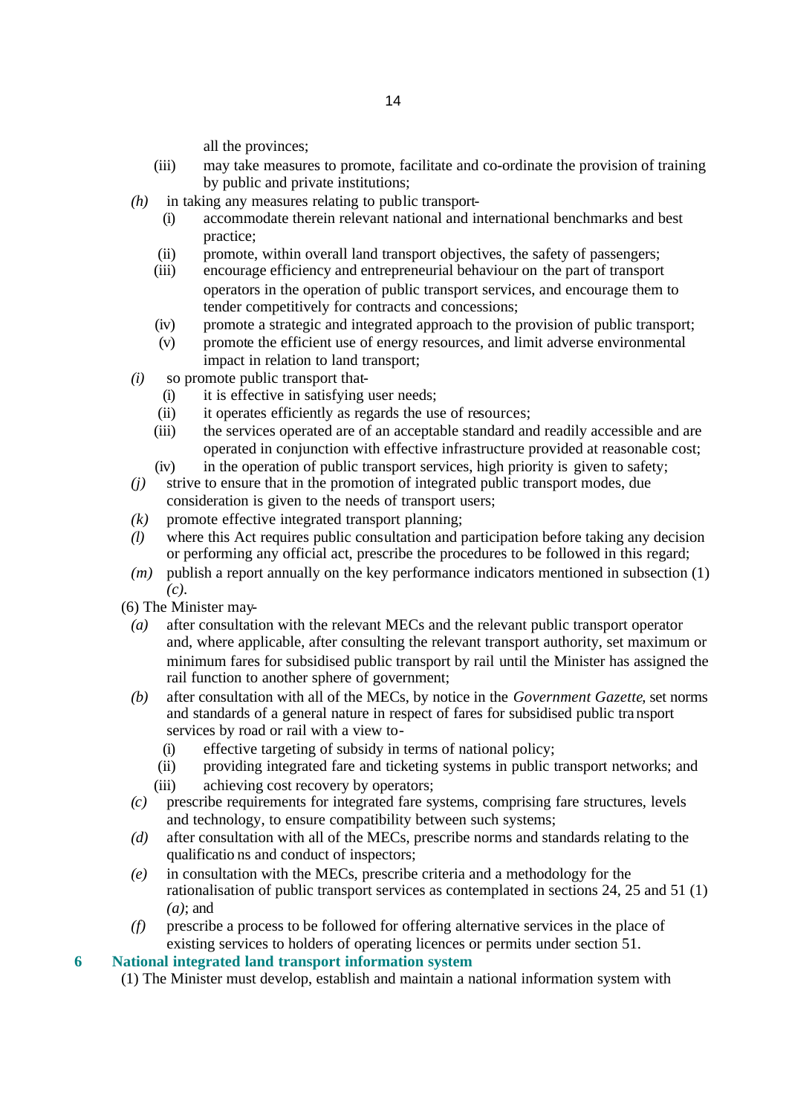all the provinces;

- (iii) may take measures to promote, facilitate and co-ordinate the provision of training by public and private institutions;
- *(h)* in taking any measures relating to public transport-
	- (i) accommodate therein relevant national and international benchmarks and best practice;
	- (ii) promote, within overall land transport objectives, the safety of passengers;
	- (iii) encourage efficiency and entrepreneurial behaviour on the part of transport operators in the operation of public transport services, and encourage them to tender competitively for contracts and concessions;
	- (iv) promote a strategic and integrated approach to the provision of public transport;
	- (v) promote the efficient use of energy resources, and limit adverse environmental impact in relation to land transport;
- *(i)* so promote public transport that-
	- (i) it is effective in satisfying user needs;
	- (ii) it operates efficiently as regards the use of resources;
	- (iii) the services operated are of an acceptable standard and readily accessible and are operated in conjunction with effective infrastructure provided at reasonable cost;
	- (iv) in the operation of public transport services, high priority is given to safety;
- *(j)* strive to ensure that in the promotion of integrated public transport modes, due consideration is given to the needs of transport users;
- $(k)$  promote effective integrated transport planning;
- *(l)* where this Act requires public consultation and participation before taking any decision or performing any official act, prescribe the procedures to be followed in this regard;
- *(m)* publish a report annually on the key performance indicators mentioned in subsection (1) *(c)*.
- (6) The Minister may-
	- *(a)* after consultation with the relevant MECs and the relevant public transport operator and, where applicable, after consulting the relevant transport authority, set maximum or minimum fares for subsidised public transport by rail until the Minister has assigned the rail function to another sphere of government;
	- *(b)* after consultation with all of the MECs, by notice in the *Government Gazette*, set norms and standards of a general nature in respect of fares for subsidised public transport services by road or rail with a view to-
		- (i) effective targeting of subsidy in terms of national policy;
		- (ii) providing integrated fare and ticketing systems in public transport networks; and
		- (iii) achieving cost recovery by operators;
	- *(c)* prescribe requirements for integrated fare systems, comprising fare structures, levels and technology, to ensure compatibility between such systems;
	- *(d)* after consultation with all of the MECs, prescribe norms and standards relating to the qualificatio ns and conduct of inspectors;
	- *(e)* in consultation with the MECs, prescribe criteria and a methodology for the rationalisation of public transport services as contemplated in sections 24, 25 and 51 (1) *(a)*; and
	- *(f)* prescribe a process to be followed for offering alternative services in the place of existing services to holders of operating licences or permits under section 51.

# **6 National integrated land transport information system**

(1) The Minister must develop, establish and maintain a national information system with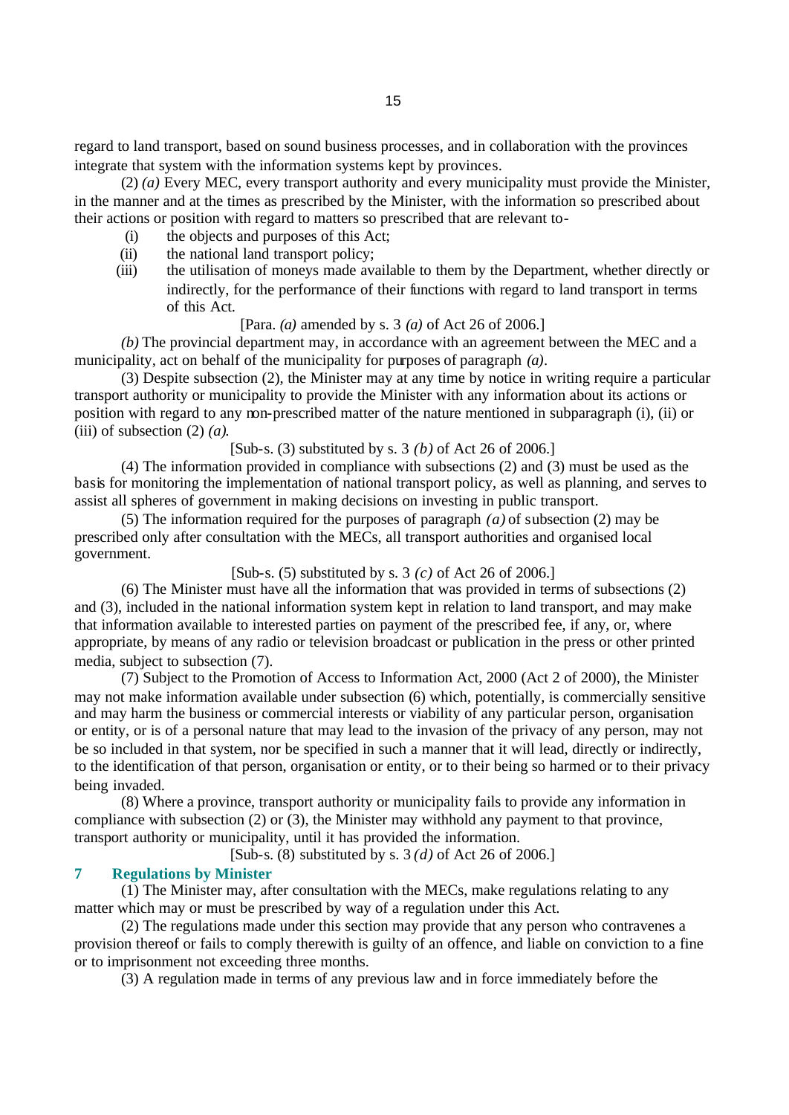regard to land transport, based on sound business processes, and in collaboration with the provinces integrate that system with the information systems kept by provinces.

(2) *(a)* Every MEC, every transport authority and every municipality must provide the Minister, in the manner and at the times as prescribed by the Minister, with the information so prescribed about their actions or position with regard to matters so prescribed that are relevant to-

- (i) the objects and purposes of this Act;
- (ii) the national land transport policy;
- (iii) the utilisation of moneys made available to them by the Department, whether directly or indirectly, for the performance of their functions with regard to land transport in terms of this Act.

#### [Para. *(a)* amended by s. 3 *(a)* of Act 26 of 2006.]

*(b)* The provincial department may, in accordance with an agreement between the MEC and a municipality, act on behalf of the municipality for purposes of paragraph *(a)*.

(3) Despite subsection (2), the Minister may at any time by notice in writing require a particular transport authority or municipality to provide the Minister with any information about its actions or position with regard to any non-prescribed matter of the nature mentioned in subparagraph (i), (ii) or (iii) of subsection (2) *(a)*.

[Sub-s. (3) substituted by s. 3 *(b)* of Act 26 of 2006.]

(4) The information provided in compliance with subsections (2) and (3) must be used as the basis for monitoring the implementation of national transport policy, as well as planning, and serves to assist all spheres of government in making decisions on investing in public transport.

(5) The information required for the purposes of paragraph *(a)* of subsection (2) may be prescribed only after consultation with the MECs, all transport authorities and organised local government.

## [Sub-s. (5) substituted by s. 3 *(c)* of Act 26 of 2006.]

(6) The Minister must have all the information that was provided in terms of subsections (2) and (3), included in the national information system kept in relation to land transport, and may make that information available to interested parties on payment of the prescribed fee, if any, or, where appropriate, by means of any radio or television broadcast or publication in the press or other printed media, subject to subsection (7).

(7) Subject to the Promotion of Access to Information Act, 2000 (Act 2 of 2000), the Minister may not make information available under subsection (6) which, potentially, is commercially sensitive and may harm the business or commercial interests or viability of any particular person, organisation or entity, or is of a personal nature that may lead to the invasion of the privacy of any person, may not be so included in that system, nor be specified in such a manner that it will lead, directly or indirectly, to the identification of that person, organisation or entity, or to their being so harmed or to their privacy being invaded.

(8) Where a province, transport authority or municipality fails to provide any information in compliance with subsection (2) or (3), the Minister may withhold any payment to that province, transport authority or municipality, until it has provided the information.

[Sub-s. (8) substituted by s. 3 *(d)* of Act 26 of 2006.]

### **7 Regulations by Minister**

(1) The Minister may, after consultation with the MECs, make regulations relating to any matter which may or must be prescribed by way of a regulation under this Act.

(2) The regulations made under this section may provide that any person who contravenes a provision thereof or fails to comply therewith is guilty of an offence, and liable on conviction to a fine or to imprisonment not exceeding three months.

(3) A regulation made in terms of any previous law and in force immediately before the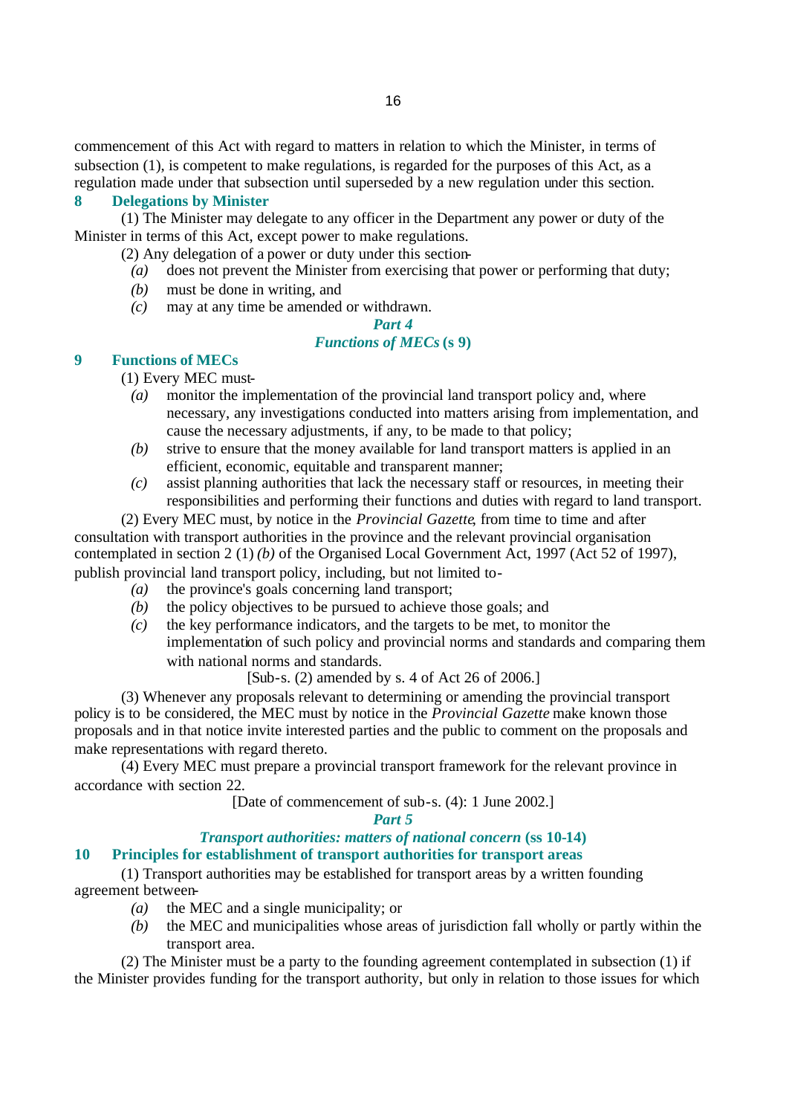commencement of this Act with regard to matters in relation to which the Minister, in terms of subsection (1), is competent to make regulations, is regarded for the purposes of this Act, as a regulation made under that subsection until superseded by a new regulation under this section.

## **8 Delegations by Minister**

(1) The Minister may delegate to any officer in the Department any power or duty of the Minister in terms of this Act, except power to make regulations.

(2) Any delegation of a power or duty under this section-

- *(a)* does not prevent the Minister from exercising that power or performing that duty;
- *(b)* must be done in writing, and
- *(c)* may at any time be amended or withdrawn.

# *Part 4*

# *Functions of MECs* **(s 9)**

## **9 Functions of MECs**

(1) Every MEC must-

- *(a)* monitor the implementation of the provincial land transport policy and, where necessary, any investigations conducted into matters arising from implementation, and cause the necessary adjustments, if any, to be made to that policy;
- *(b)* strive to ensure that the money available for land transport matters is applied in an efficient, economic, equitable and transparent manner;
- *(c)* assist planning authorities that lack the necessary staff or resources, in meeting their responsibilities and performing their functions and duties with regard to land transport.

(2) Every MEC must, by notice in the *Provincial Gazette*, from time to time and after consultation with transport authorities in the province and the relevant provincial organisation contemplated in section 2 (1) *(b)* of the Organised Local Government Act, 1997 (Act 52 of 1997), publish provincial land transport policy, including, but not limited to-

- *(a)* the province's goals concerning land transport;
- *(b)* the policy objectives to be pursued to achieve those goals; and
- *(c)* the key performance indicators, and the targets to be met, to monitor the implementation of such policy and provincial norms and standards and comparing them with national norms and standards.

[Sub-s. (2) amended by s. 4 of Act 26 of 2006.]

(3) Whenever any proposals relevant to determining or amending the provincial transport policy is to be considered, the MEC must by notice in the *Provincial Gazette* make known those proposals and in that notice invite interested parties and the public to comment on the proposals and make representations with regard thereto.

(4) Every MEC must prepare a provincial transport framework for the relevant province in accordance with section 22.

[Date of commencement of sub-s. (4): 1 June 2002.]

*Part 5*

#### *Transport authorities: matters of national concern* **(ss 10-14) 10 Principles for establishment of transport authorities for transport areas**

(1) Transport authorities may be established for transport areas by a written founding agreement between-

- *(a)* the MEC and a single municipality; or
- *(b)* the MEC and municipalities whose areas of jurisdiction fall wholly or partly within the transport area.

(2) The Minister must be a party to the founding agreement contemplated in subsection (1) if the Minister provides funding for the transport authority, but only in relation to those issues for which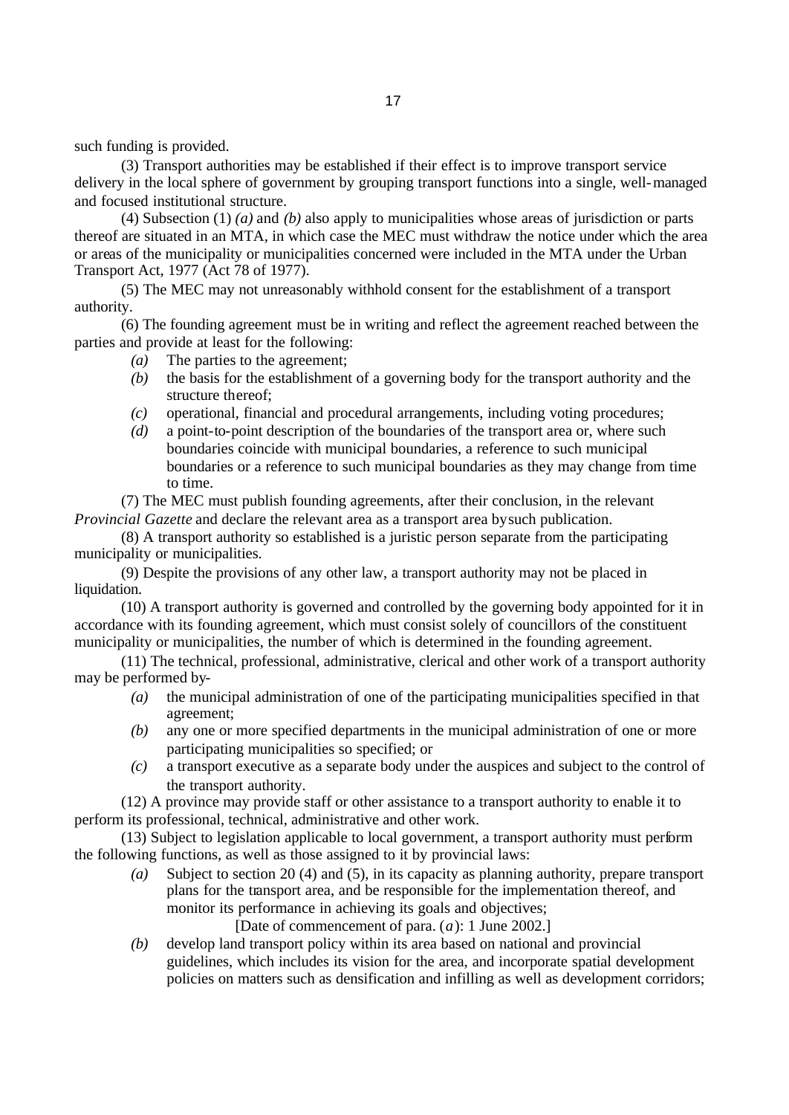such funding is provided.

(3) Transport authorities may be established if their effect is to improve transport service delivery in the local sphere of government by grouping transport functions into a single, well-managed and focused institutional structure.

(4) Subsection (1) *(a)* and *(b)* also apply to municipalities whose areas of jurisdiction or parts thereof are situated in an MTA, in which case the MEC must withdraw the notice under which the area or areas of the municipality or municipalities concerned were included in the MTA under the Urban Transport Act, 1977 (Act 78 of 1977).

(5) The MEC may not unreasonably withhold consent for the establishment of a transport authority.

(6) The founding agreement must be in writing and reflect the agreement reached between the parties and provide at least for the following:

- *(a)* The parties to the agreement;
- *(b)* the basis for the establishment of a governing body for the transport authority and the structure thereof;
- *(c)* operational, financial and procedural arrangements, including voting procedures;
- *(d)* a point-to-point description of the boundaries of the transport area or, where such boundaries coincide with municipal boundaries, a reference to such municipal boundaries or a reference to such municipal boundaries as they may change from time to time.

(7) The MEC must publish founding agreements, after their conclusion, in the relevant *Provincial Gazette* and declare the relevant area as a transport area by such publication.

(8) A transport authority so established is a juristic person separate from the participating municipality or municipalities.

(9) Despite the provisions of any other law, a transport authority may not be placed in liquidation.

(10) A transport authority is governed and controlled by the governing body appointed for it in accordance with its founding agreement, which must consist solely of councillors of the constituent municipality or municipalities, the number of which is determined in the founding agreement.

(11) The technical, professional, administrative, clerical and other work of a transport authority may be performed by-

- *(a)* the municipal administration of one of the participating municipalities specified in that agreement;
- *(b)* any one or more specified departments in the municipal administration of one or more participating municipalities so specified; or
- *(c)* a transport executive as a separate body under the auspices and subject to the control of the transport authority.

(12) A province may provide staff or other assistance to a transport authority to enable it to perform its professional, technical, administrative and other work.

(13) Subject to legislation applicable to local government, a transport authority must perform the following functions, as well as those assigned to it by provincial laws:

*(a)* Subject to section 20 (4) and (5), in its capacity as planning authority, prepare transport plans for the transport area, and be responsible for the implementation thereof, and monitor its performance in achieving its goals and objectives;

[Date of commencement of para. (*a*): 1 June 2002.]

*(b)* develop land transport policy within its area based on national and provincial guidelines, which includes its vision for the area, and incorporate spatial development policies on matters such as densification and infilling as well as development corridors;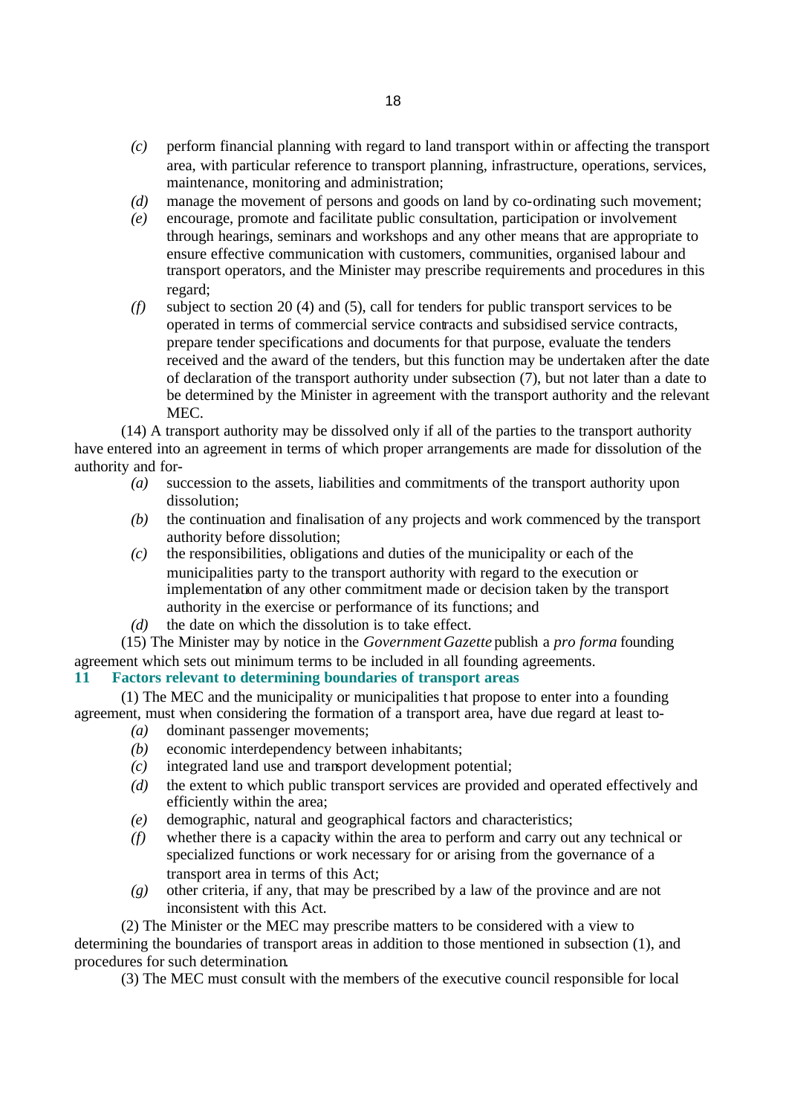- *(c)* perform financial planning with regard to land transport within or affecting the transport area, with particular reference to transport planning, infrastructure, operations, services, maintenance, monitoring and administration;
- *(d)* manage the movement of persons and goods on land by co-ordinating such movement;
- *(e)* encourage, promote and facilitate public consultation, participation or involvement through hearings, seminars and workshops and any other means that are appropriate to ensure effective communication with customers, communities, organised labour and transport operators, and the Minister may prescribe requirements and procedures in this regard;
- *(f)* subject to section 20 (4) and (5), call for tenders for public transport services to be operated in terms of commercial service contracts and subsidised service contracts, prepare tender specifications and documents for that purpose, evaluate the tenders received and the award of the tenders, but this function may be undertaken after the date of declaration of the transport authority under subsection (7), but not later than a date to be determined by the Minister in agreement with the transport authority and the relevant MEC.

(14) A transport authority may be dissolved only if all of the parties to the transport authority have entered into an agreement in terms of which proper arrangements are made for dissolution of the authority and for-

- *(a)* succession to the assets, liabilities and commitments of the transport authority upon dissolution;
- *(b)* the continuation and finalisation of any projects and work commenced by the transport authority before dissolution;
- *(c)* the responsibilities, obligations and duties of the municipality or each of the municipalities party to the transport authority with regard to the execution or implementation of any other commitment made or decision taken by the transport authority in the exercise or performance of its functions; and
- *(d)* the date on which the dissolution is to take effect.

(15) The Minister may by notice in the *Government Gazette* publish a *pro forma* founding agreement which sets out minimum terms to be included in all founding agreements.

## **11 Factors relevant to determining boundaries of transport areas**

(1) The MEC and the municipality or municipalities that propose to enter into a founding agreement, must when considering the formation of a transport area, have due regard at least to-

- *(a)* dominant passenger movements;
- *(b)* economic interdependency between inhabitants;
- *(c)* integrated land use and transport development potential;
- *(d)* the extent to which public transport services are provided and operated effectively and efficiently within the area;
- *(e)* demographic, natural and geographical factors and characteristics;
- *(f)* whether there is a capacity within the area to perform and carry out any technical or specialized functions or work necessary for or arising from the governance of a transport area in terms of this Act;
- *(g)* other criteria, if any, that may be prescribed by a law of the province and are not inconsistent with this Act.
- (2) The Minister or the MEC may prescribe matters to be considered with a view to

determining the boundaries of transport areas in addition to those mentioned in subsection (1), and procedures for such determination.

(3) The MEC must consult with the members of the executive council responsible for local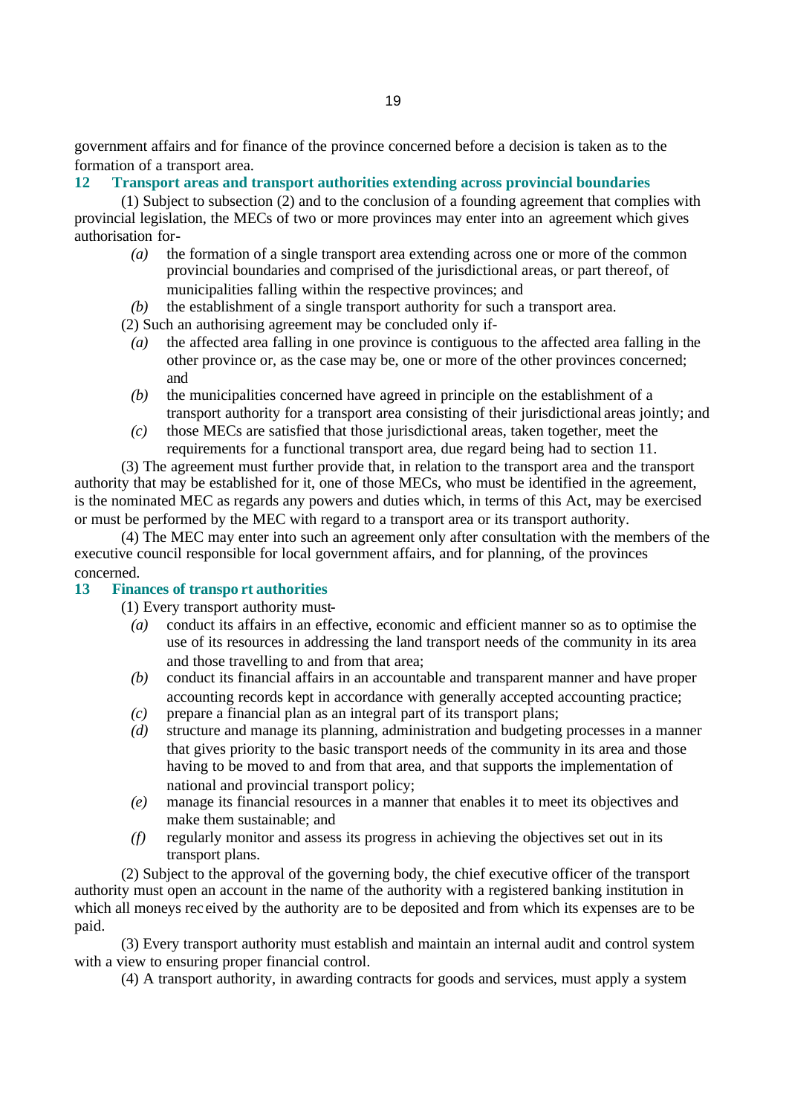government affairs and for finance of the province concerned before a decision is taken as to the formation of a transport area.

# **12 Transport areas and transport authorities extending across provincial boundaries**

(1) Subject to subsection (2) and to the conclusion of a founding agreement that complies with provincial legislation, the MECs of two or more provinces may enter into an agreement which gives authorisation for-

- *(a)* the formation of a single transport area extending across one or more of the common provincial boundaries and comprised of the jurisdictional areas, or part thereof, of municipalities falling within the respective provinces; and
- *(b)* the establishment of a single transport authority for such a transport area.
- (2) Such an authorising agreement may be concluded only if-
	- *(a)* the affected area falling in one province is contiguous to the affected area falling in the other province or, as the case may be, one or more of the other provinces concerned; and
	- *(b)* the municipalities concerned have agreed in principle on the establishment of a transport authority for a transport area consisting of their jurisdictional areas jointly; and
	- *(c)* those MECs are satisfied that those jurisdictional areas, taken together, meet the requirements for a functional transport area, due regard being had to section 11.

(3) The agreement must further provide that, in relation to the transport area and the transport authority that may be established for it, one of those MECs, who must be identified in the agreement, is the nominated MEC as regards any powers and duties which, in terms of this Act, may be exercised or must be performed by the MEC with regard to a transport area or its transport authority.

(4) The MEC may enter into such an agreement only after consultation with the members of the executive council responsible for local government affairs, and for planning, of the provinces concerned.

# **13 Finances of transpo rt authorities**

(1) Every transport authority must-

- *(a)* conduct its affairs in an effective, economic and efficient manner so as to optimise the use of its resources in addressing the land transport needs of the community in its area and those travelling to and from that area;
- *(b)* conduct its financial affairs in an accountable and transparent manner and have proper accounting records kept in accordance with generally accepted accounting practice;
- *(c)* prepare a financial plan as an integral part of its transport plans;
- *(d)* structure and manage its planning, administration and budgeting processes in a manner that gives priority to the basic transport needs of the community in its area and those having to be moved to and from that area, and that supports the implementation of national and provincial transport policy;
- *(e)* manage its financial resources in a manner that enables it to meet its objectives and make them sustainable; and
- *(f)* regularly monitor and assess its progress in achieving the objectives set out in its transport plans.

(2) Subject to the approval of the governing body, the chief executive officer of the transport authority must open an account in the name of the authority with a registered banking institution in which all moneys rec eived by the authority are to be deposited and from which its expenses are to be paid.

(3) Every transport authority must establish and maintain an internal audit and control system with a view to ensuring proper financial control.

(4) A transport authority, in awarding contracts for goods and services, must apply a system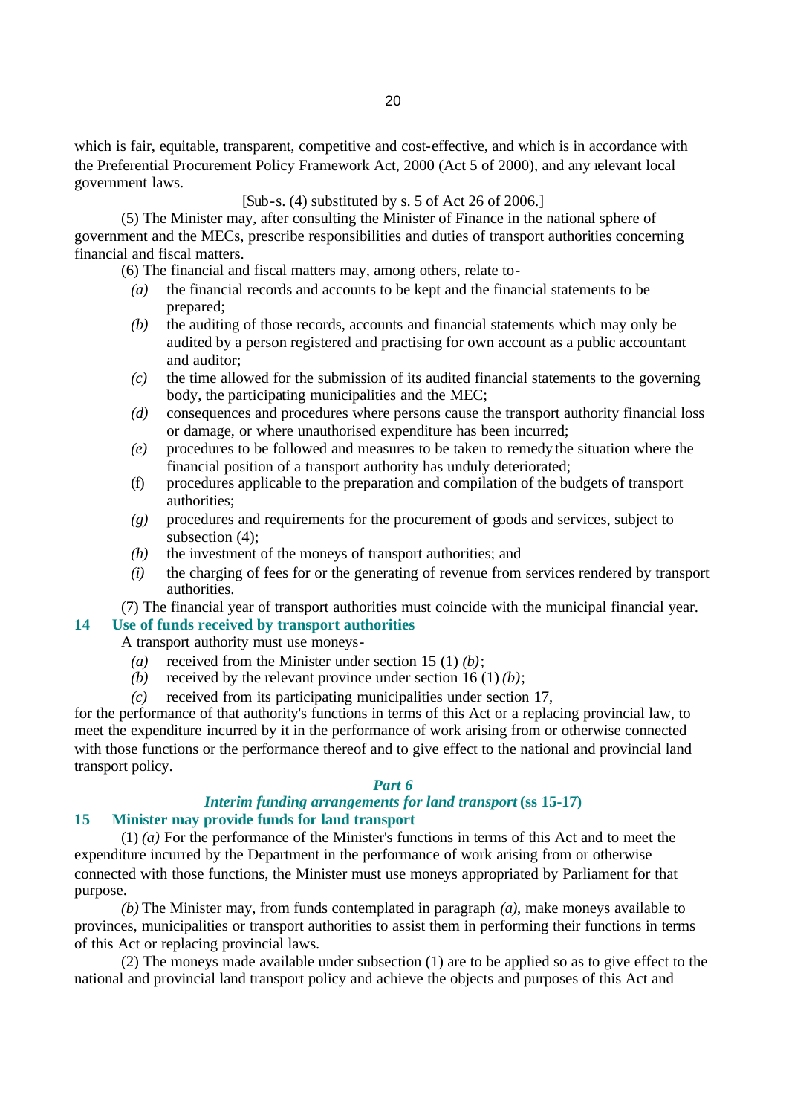which is fair, equitable, transparent, competitive and cost-effective, and which is in accordance with the Preferential Procurement Policy Framework Act, 2000 (Act 5 of 2000), and any relevant local government laws.

## [Sub-s. (4) substituted by s. 5 of Act 26 of 2006.]

(5) The Minister may, after consulting the Minister of Finance in the national sphere of government and the MECs, prescribe responsibilities and duties of transport authorities concerning financial and fiscal matters.

(6) The financial and fiscal matters may, among others, relate to-

- *(a)* the financial records and accounts to be kept and the financial statements to be prepared;
- *(b)* the auditing of those records, accounts and financial statements which may only be audited by a person registered and practising for own account as a public accountant and auditor;
- *(c)* the time allowed for the submission of its audited financial statements to the governing body, the participating municipalities and the MEC;
- *(d)* consequences and procedures where persons cause the transport authority financial loss or damage, or where unauthorised expenditure has been incurred;
- *(e)* procedures to be followed and measures to be taken to remedy the situation where the financial position of a transport authority has unduly deteriorated;
- (f) procedures applicable to the preparation and compilation of the budgets of transport authorities;
- *(g)* procedures and requirements for the procurement of goods and services, subject to subsection (4);
- *(h)* the investment of the moneys of transport authorities; and
- *(i)* the charging of fees for or the generating of revenue from services rendered by transport authorities.

(7) The financial year of transport authorities must coincide with the municipal financial year.

### **14 Use of funds received by transport authorities**

A transport authority must use moneys-

- *(a)* received from the Minister under section 15 (1) *(b)*;
- *(b)* received by the relevant province under section  $16(1)(b)$ ;
- *(c)* received from its participating municipalities under section 17,

for the performance of that authority's functions in terms of this Act or a replacing provincial law, to meet the expenditure incurred by it in the performance of work arising from or otherwise connected with those functions or the performance thereof and to give effect to the national and provincial land transport policy.

#### *Part 6*

### *Interim funding arrangements for land transport* **(ss 15-17) 15 Minister may provide funds for land transport**

(1) *(a)* For the performance of the Minister's functions in terms of this Act and to meet the expenditure incurred by the Department in the performance of work arising from or otherwise connected with those functions, the Minister must use moneys appropriated by Parliament for that purpose.

*(b)* The Minister may, from funds contemplated in paragraph *(a)*, make moneys available to provinces, municipalities or transport authorities to assist them in performing their functions in terms of this Act or replacing provincial laws.

(2) The moneys made available under subsection (1) are to be applied so as to give effect to the national and provincial land transport policy and achieve the objects and purposes of this Act and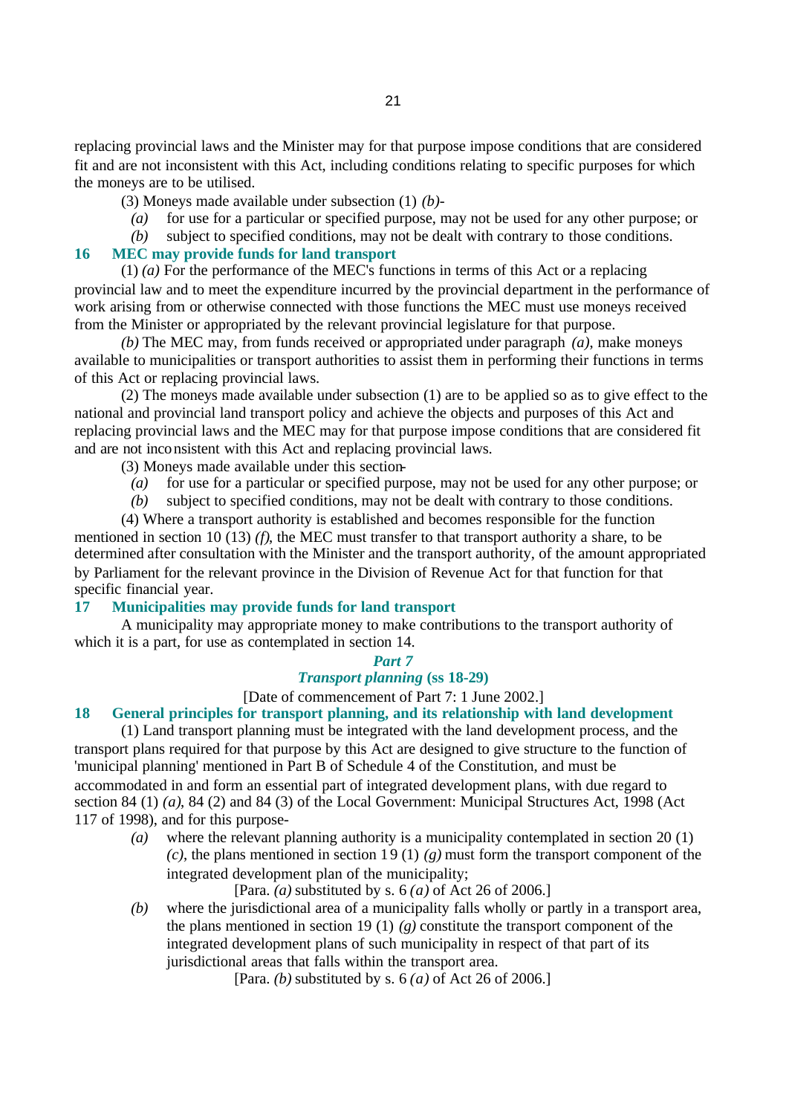replacing provincial laws and the Minister may for that purpose impose conditions that are considered fit and are not inconsistent with this Act, including conditions relating to specific purposes for which the moneys are to be utilised.

(3) Moneys made available under subsection (1) *(b)*-

- *(a)* for use for a particular or specified purpose, may not be used for any other purpose; or
- *(b)* subject to specified conditions, may not be dealt with contrary to those conditions.

# **16 MEC may provide funds for land transport**

(1) *(a)* For the performance of the MEC's functions in terms of this Act or a replacing provincial law and to meet the expenditure incurred by the provincial department in the performance of work arising from or otherwise connected with those functions the MEC must use moneys received from the Minister or appropriated by the relevant provincial legislature for that purpose.

*(b)* The MEC may, from funds received or appropriated under paragraph *(a)*, make moneys available to municipalities or transport authorities to assist them in performing their functions in terms of this Act or replacing provincial laws.

(2) The moneys made available under subsection (1) are to be applied so as to give effect to the national and provincial land transport policy and achieve the objects and purposes of this Act and replacing provincial laws and the MEC may for that purpose impose conditions that are considered fit and are not inconsistent with this Act and replacing provincial laws.

(3) Moneys made available under this section-

*(a)* for use for a particular or specified purpose, may not be used for any other purpose; or

*(b)* subject to specified conditions, may not be dealt with contrary to those conditions.

(4) Where a transport authority is established and becomes responsible for the function mentioned in section 10 (13) *(f)*, the MEC must transfer to that transport authority a share, to be determined after consultation with the Minister and the transport authority, of the amount appropriated by Parliament for the relevant province in the Division of Revenue Act for that function for that specific financial year.

### **17 Municipalities may provide funds for land transport**

A municipality may appropriate money to make contributions to the transport authority of which it is a part, for use as contemplated in section 14.

#### *Part 7*

# *Transport planning* **(ss 18-29)**

## [Date of commencement of Part 7: 1 June 2002.]

### **18 General principles for transport planning, and its relationship with land development**

(1) Land transport planning must be integrated with the land development process, and the transport plans required for that purpose by this Act are designed to give structure to the function of 'municipal planning' mentioned in Part B of Schedule 4 of the Constitution, and must be accommodated in and form an essential part of integrated development plans, with due regard to section 84 (1) *(a)*, 84 (2) and 84 (3) of the Local Government: Municipal Structures Act, 1998 (Act 117 of 1998), and for this purpose-

*(a)* where the relevant planning authority is a municipality contemplated in section 20 (1) *(c)*, the plans mentioned in section 19 (1) *(g)* must form the transport component of the integrated development plan of the municipality;

[Para. *(a)* substituted by s. 6 *(a)* of Act 26 of 2006.]

*(b)* where the jurisdictional area of a municipality falls wholly or partly in a transport area, the plans mentioned in section 19 (1)  $(g)$  constitute the transport component of the integrated development plans of such municipality in respect of that part of its jurisdictional areas that falls within the transport area.

[Para. *(b)* substituted by s. 6 *(a)* of Act 26 of 2006.]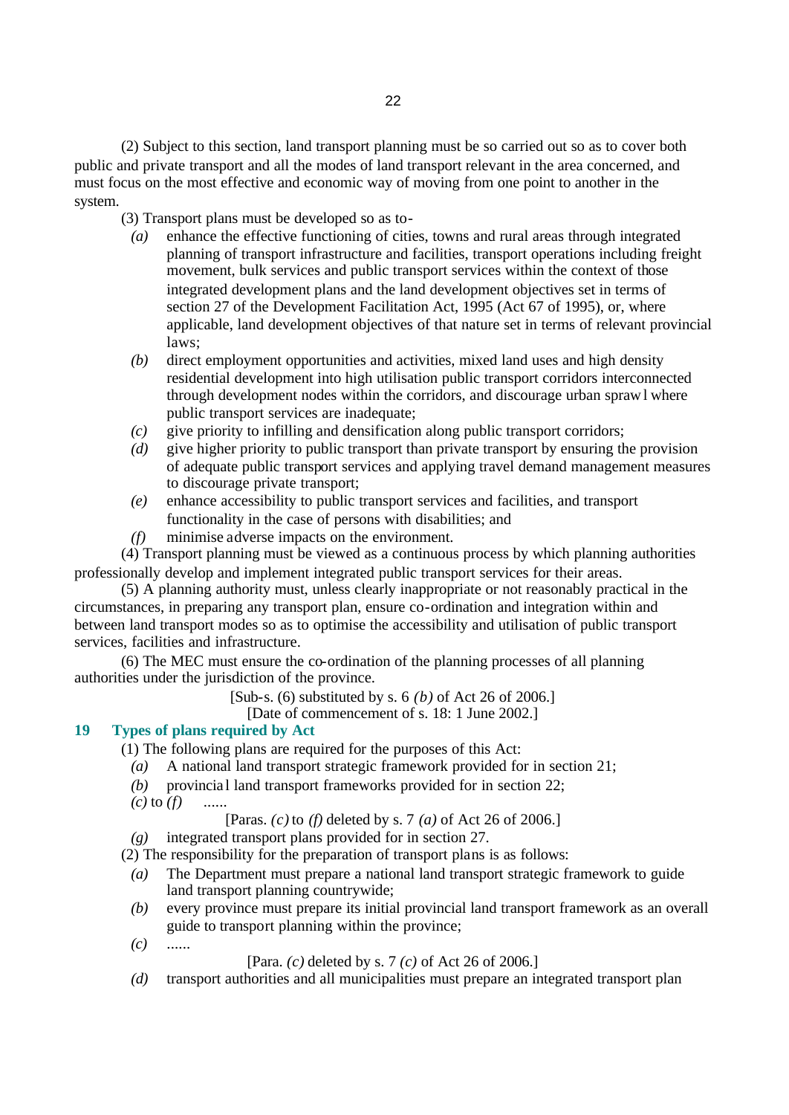(2) Subject to this section, land transport planning must be so carried out so as to cover both public and private transport and all the modes of land transport relevant in the area concerned, and must focus on the most effective and economic way of moving from one point to another in the system.

(3) Transport plans must be developed so as to-

- *(a)* enhance the effective functioning of cities, towns and rural areas through integrated planning of transport infrastructure and facilities, transport operations including freight movement, bulk services and public transport services within the context of those integrated development plans and the land development objectives set in terms of section 27 of the Development Facilitation Act, 1995 (Act 67 of 1995), or, where applicable, land development objectives of that nature set in terms of relevant provincial laws;
- *(b)* direct employment opportunities and activities, mixed land uses and high density residential development into high utilisation public transport corridors interconnected through development nodes within the corridors, and discourage urban sprawl where public transport services are inadequate;
- *(c)* give priority to infilling and densification along public transport corridors;
- *(d)* give higher priority to public transport than private transport by ensuring the provision of adequate public transport services and applying travel demand management measures to discourage private transport;
- *(e)* enhance accessibility to public transport services and facilities, and transport functionality in the case of persons with disabilities; and
- *(f)* minimise adverse impacts on the environment.

(4) Transport planning must be viewed as a continuous process by which planning authorities professionally develop and implement integrated public transport services for their areas.

(5) A planning authority must, unless clearly inappropriate or not reasonably practical in the circumstances, in preparing any transport plan, ensure co-ordination and integration within and between land transport modes so as to optimise the accessibility and utilisation of public transport services, facilities and infrastructure.

(6) The MEC must ensure the co-ordination of the planning processes of all planning authorities under the jurisdiction of the province.

[Sub-s. (6) substituted by s. 6 *(b)* of Act 26 of 2006.]

[Date of commencement of s. 18: 1 June 2002.]

# **19 Types of plans required by Act**

(1) The following plans are required for the purposes of this Act:

- *(a)* A national land transport strategic framework provided for in section 21;
- *(b)* provincial land transport frameworks provided for in section 22;
- *(c)* to *(f)* ......

[Paras. *(c)* to *(f)* deleted by s. 7 *(a)* of Act 26 of 2006.]

*(g)* integrated transport plans provided for in section 27.

(2) The responsibility for the preparation of transport plans is as follows:

- *(a)* The Department must prepare a national land transport strategic framework to guide land transport planning countrywide;
- *(b)* every province must prepare its initial provincial land transport framework as an overall guide to transport planning within the province;
- *(c)* ......

[Para. *(c)* deleted by s. 7 *(c)* of Act 26 of 2006.]

*(d)* transport authorities and all municipalities must prepare an integrated transport plan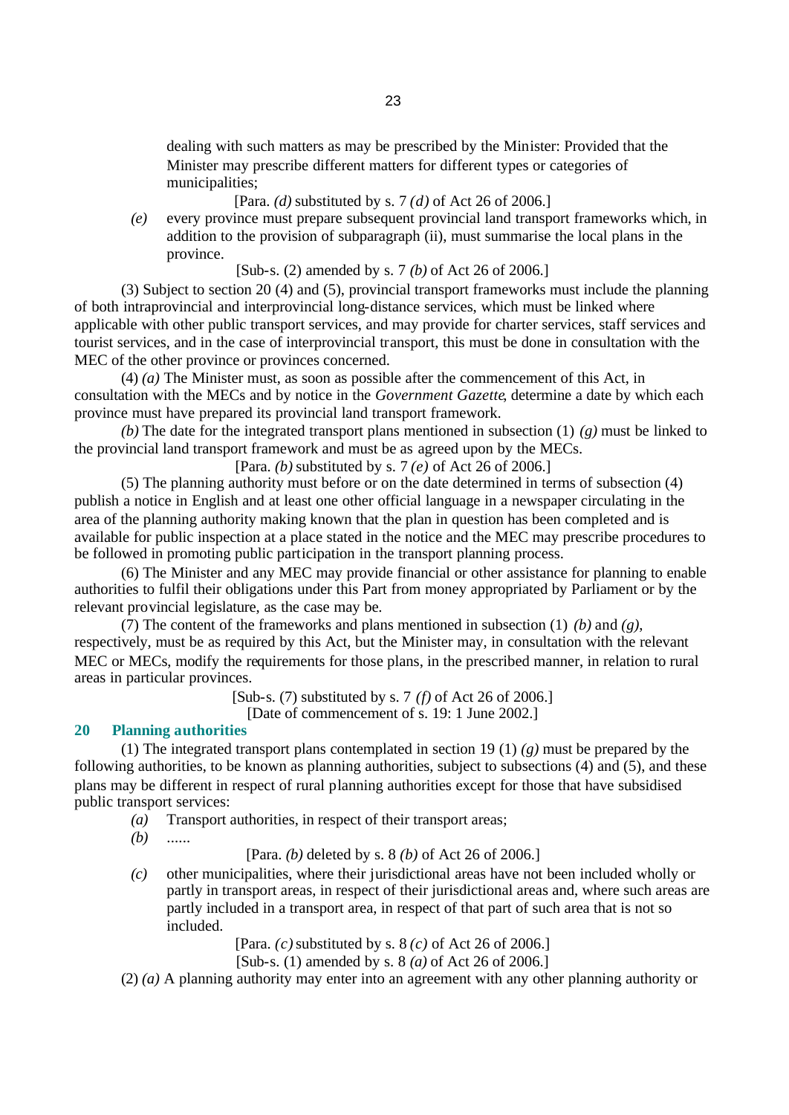dealing with such matters as may be prescribed by the Minister: Provided that the Minister may prescribe different matters for different types or categories of municipalities;

[Para. *(d)* substituted by s. 7 *(d)* of Act 26 of 2006.]

*(e)* every province must prepare subsequent provincial land transport frameworks which, in addition to the provision of subparagraph (ii), must summarise the local plans in the province.

[Sub-s. (2) amended by s. 7 *(b)* of Act 26 of 2006.]

(3) Subject to section 20 (4) and (5), provincial transport frameworks must include the planning of both intraprovincial and interprovincial long-distance services, which must be linked where applicable with other public transport services, and may provide for charter services, staff services and tourist services, and in the case of interprovincial transport, this must be done in consultation with the MEC of the other province or provinces concerned.

(4) *(a)* The Minister must, as soon as possible after the commencement of this Act, in consultation with the MECs and by notice in the *Government Gazette*, determine a date by which each province must have prepared its provincial land transport framework.

*(b)* The date for the integrated transport plans mentioned in subsection (1) *(g)* must be linked to the provincial land transport framework and must be as agreed upon by the MECs.

[Para. *(b)* substituted by s. 7 *(e)* of Act 26 of 2006.]

(5) The planning authority must before or on the date determined in terms of subsection (4) publish a notice in English and at least one other official language in a newspaper circulating in the area of the planning authority making known that the plan in question has been completed and is available for public inspection at a place stated in the notice and the MEC may prescribe procedures to be followed in promoting public participation in the transport planning process.

(6) The Minister and any MEC may provide financial or other assistance for planning to enable authorities to fulfil their obligations under this Part from money appropriated by Parliament or by the relevant provincial legislature, as the case may be.

(7) The content of the frameworks and plans mentioned in subsection (1) *(b)* and *(g)*, respectively, must be as required by this Act, but the Minister may, in consultation with the relevant MEC or MECs, modify the requirements for those plans, in the prescribed manner, in relation to rural areas in particular provinces.

[Sub-s. (7) substituted by s. 7 *(f)* of Act 26 of 2006.]

[Date of commencement of s. 19: 1 June 2002.]

## **20 Planning authorities**

(1) The integrated transport plans contemplated in section 19 (1) *(g)* must be prepared by the following authorities, to be known as planning authorities, subject to subsections (4) and (5), and these plans may be different in respect of rural planning authorities except for those that have subsidised public transport services:

- *(a)* Transport authorities, in respect of their transport areas;
- *(b)* ......

[Para. *(b)* deleted by s. 8 *(b)* of Act 26 of 2006.]

*(c)* other municipalities, where their jurisdictional areas have not been included wholly or partly in transport areas, in respect of their jurisdictional areas and, where such areas are partly included in a transport area, in respect of that part of such area that is not so included.

[Para. *(c)* substituted by s. 8 *(c)* of Act 26 of 2006.]

[Sub-s. (1) amended by s. 8 *(a)* of Act 26 of 2006.]

(2) *(a)* A planning authority may enter into an agreement with any other planning authority or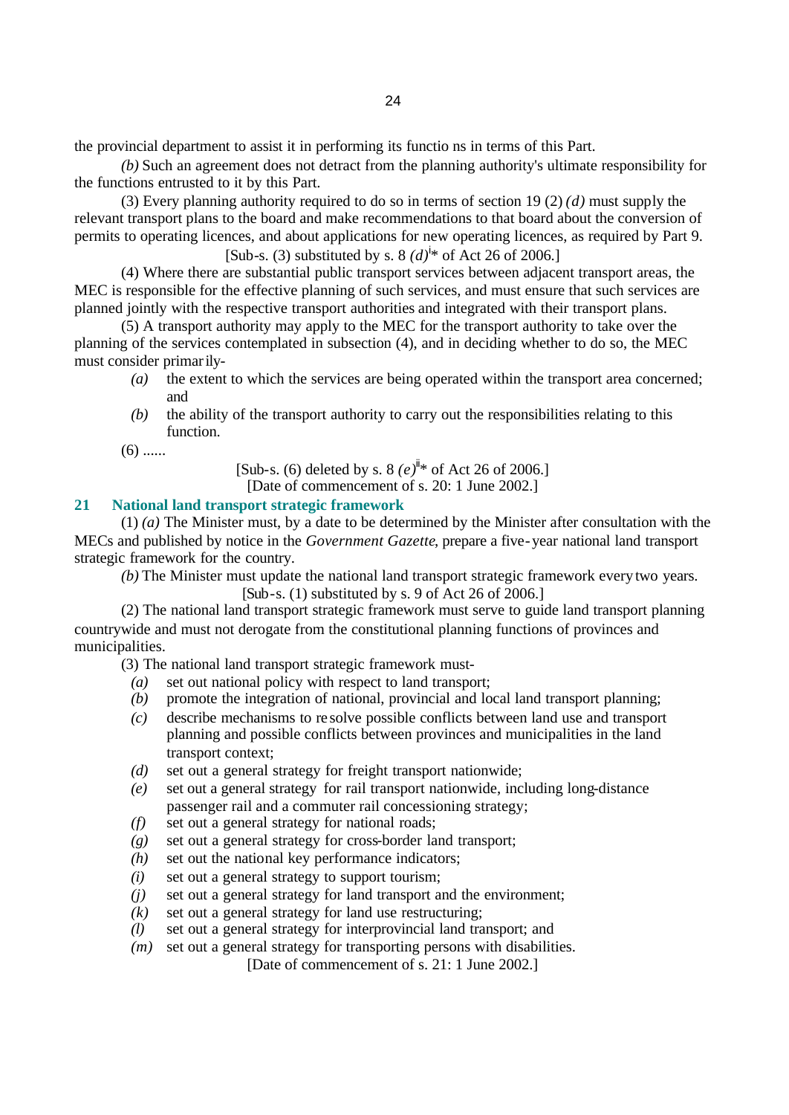the provincial department to assist it in performing its functio ns in terms of this Part.

*(b)* Such an agreement does not detract from the planning authority's ultimate responsibility for the functions entrusted to it by this Part.

(3) Every planning authority required to do so in terms of section 19 (2) *(d)* must supply the relevant transport plans to the board and make recommendations to that board about the conversion of permits to operating licences, and about applications for new operating licences, as required by Part 9.

[Sub-s. (3) substituted by s. 8  $(d)^{i*}$  of Act 26 of 2006.]

(4) Where there are substantial public transport services between adjacent transport areas, the MEC is responsible for the effective planning of such services, and must ensure that such services are planned jointly with the respective transport authorities and integrated with their transport plans.

(5) A transport authority may apply to the MEC for the transport authority to take over the planning of the services contemplated in subsection (4), and in deciding whether to do so, the MEC must consider primarily-

- *(a)* the extent to which the services are being operated within the transport area concerned; and
- *(b)* the ability of the transport authority to carry out the responsibilities relating to this function.

 $(6)$  ......

[Sub-s. (6) deleted by s.  $8 (e)^{i}$  f Act 26 of 2006.]

[Date of commencement of s. 20: 1 June 2002.]

# **21 National land transport strategic framework**

(1) *(a)* The Minister must, by a date to be determined by the Minister after consultation with the MECs and published by notice in the *Government Gazette*, prepare a five-year national land transport strategic framework for the country.

*(b)* The Minister must update the national land transport strategic framework every two years.  $[Sub-s. (1)$  substituted by s. 9 of Act 26 of 2006.

(2) The national land transport strategic framework must serve to guide land transport planning countrywide and must not derogate from the constitutional planning functions of provinces and municipalities.

(3) The national land transport strategic framework must-

- *(a)* set out national policy with respect to land transport;
- *(b)* promote the integration of national, provincial and local land transport planning;
- *(c)* describe mechanisms to re solve possible conflicts between land use and transport planning and possible conflicts between provinces and municipalities in the land transport context;
- *(d)* set out a general strategy for freight transport nationwide;
- *(e)* set out a general strategy for rail transport nationwide, including long-distance passenger rail and a commuter rail concessioning strategy;
- *(f)* set out a general strategy for national roads;
- *(g)* set out a general strategy for cross-border land transport;
- *(h)* set out the national key performance indicators;
- *(i)* set out a general strategy to support tourism;
- *(j)* set out a general strategy for land transport and the environment;
- *(k)* set out a general strategy for land use restructuring;
- *(l)* set out a general strategy for interprovincial land transport; and
- *(m)* set out a general strategy for transporting persons with disabilities.

[Date of commencement of s. 21: 1 June 2002.]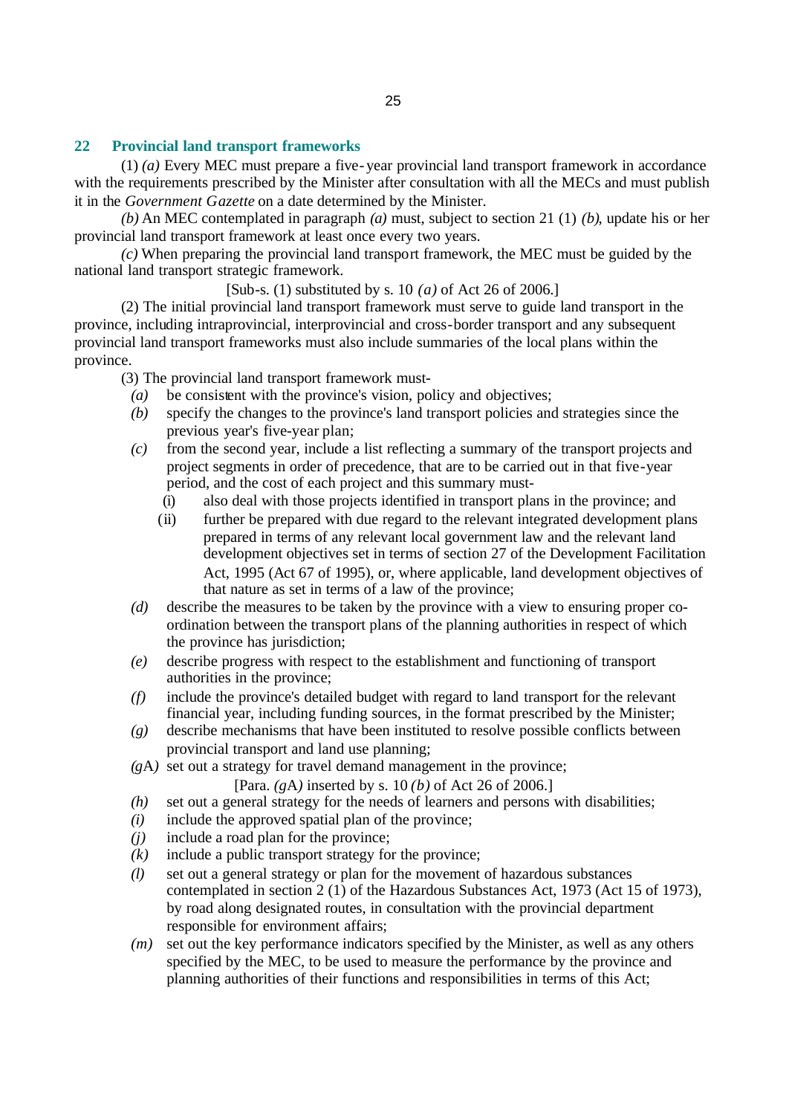## **22 Provincial land transport frameworks**

(1) *(a)* Every MEC must prepare a five-year provincial land transport framework in accordance with the requirements prescribed by the Minister after consultation with all the MECs and must publish it in the *Government Gazette* on a date determined by the Minister.

*(b)* An MEC contemplated in paragraph *(a)* must, subject to section 21 (1) *(b)*, update his or her provincial land transport framework at least once every two years.

*(c)* When preparing the provincial land transport framework, the MEC must be guided by the national land transport strategic framework.

[Sub-s. (1) substituted by s. 10 *(a)* of Act 26 of 2006.]

(2) The initial provincial land transport framework must serve to guide land transport in the province, including intraprovincial, interprovincial and cross-border transport and any subsequent provincial land transport frameworks must also include summaries of the local plans within the province.

(3) The provincial land transport framework must-

- *(a)* be consistent with the province's vision, policy and objectives;
- *(b)* specify the changes to the province's land transport policies and strategies since the previous year's five-year plan;
- *(c)* from the second year, include a list reflecting a summary of the transport projects and project segments in order of precedence, that are to be carried out in that five-year period, and the cost of each project and this summary must-
	- (i) also deal with those projects identified in transport plans in the province; and
	- (ii) further be prepared with due regard to the relevant integrated development plans prepared in terms of any relevant local government law and the relevant land development objectives set in terms of section 27 of the Development Facilitation Act, 1995 (Act 67 of 1995), or, where applicable, land development objectives of that nature as set in terms of a law of the province;
- *(d)* describe the measures to be taken by the province with a view to ensuring proper coordination between the transport plans of the planning authorities in respect of which the province has jurisdiction;
- *(e)* describe progress with respect to the establishment and functioning of transport authorities in the province;
- *(f)* include the province's detailed budget with regard to land transport for the relevant financial year, including funding sources, in the format prescribed by the Minister;
- *(g)* describe mechanisms that have been instituted to resolve possible conflicts between provincial transport and land use planning;
- *(g*A*)* set out a strategy for travel demand management in the province;

[Para. *(g*A*)* inserted by s. 10 *(b)* of Act 26 of 2006.]

- *(h)* set out a general strategy for the needs of learners and persons with disabilities;
- *(i)* include the approved spatial plan of the province;
- *(j)* include a road plan for the province;
- *(k)* include a public transport strategy for the province;
- *(l)* set out a general strategy or plan for the movement of hazardous substances contemplated in section 2 (1) of the Hazardous Substances Act, 1973 (Act 15 of 1973), by road along designated routes, in consultation with the provincial department responsible for environment affairs;
- *(m)* set out the key performance indicators specified by the Minister, as well as any others specified by the MEC, to be used to measure the performance by the province and planning authorities of their functions and responsibilities in terms of this Act;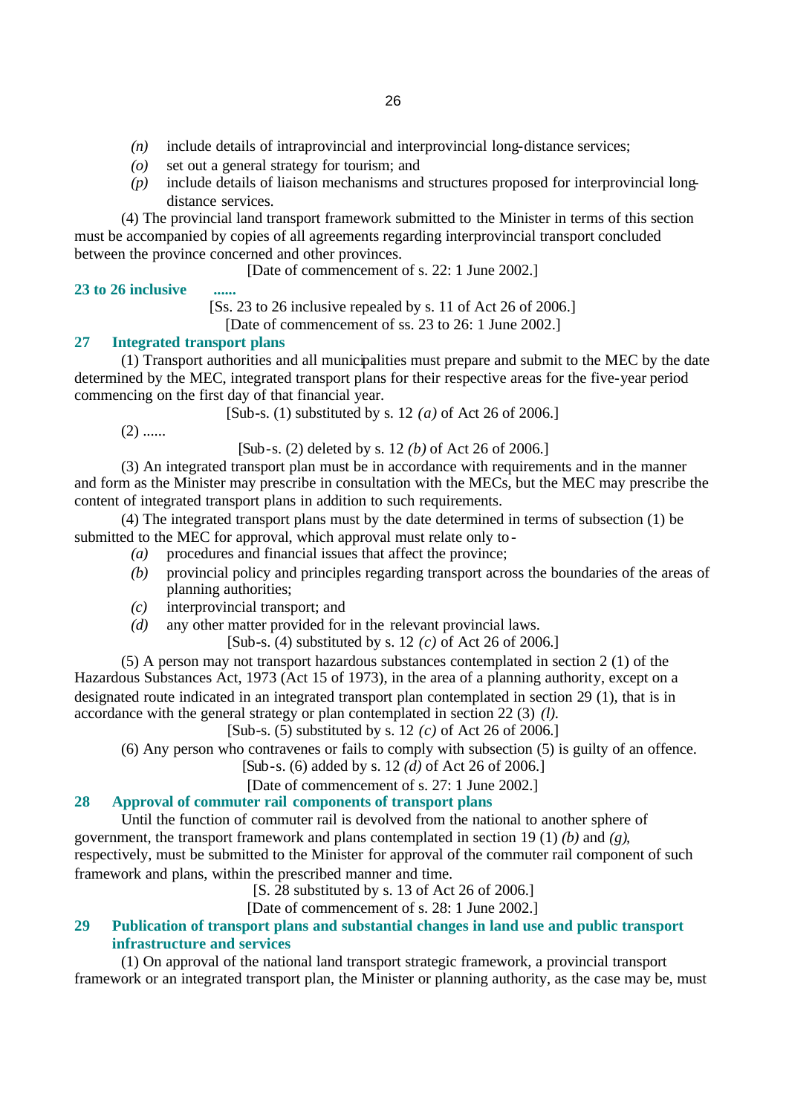- *(n)* include details of intraprovincial and interprovincial long-distance services;
- *(o)* set out a general strategy for tourism; and
- *(p)* include details of liaison mechanisms and structures proposed for interprovincial longdistance services.

(4) The provincial land transport framework submitted to the Minister in terms of this section must be accompanied by copies of all agreements regarding interprovincial transport concluded between the province concerned and other provinces.

[Date of commencement of s. 22: 1 June 2002.]

## **23 to 26 inclusive ......**

[Ss. 23 to 26 inclusive repealed by s. 11 of Act 26 of 2006.]

[Date of commencement of ss. 23 to 26: 1 June 2002.]

## **27 Integrated transport plans**

(1) Transport authorities and all municipalities must prepare and submit to the MEC by the date determined by the MEC, integrated transport plans for their respective areas for the five-year period commencing on the first day of that financial year.

[Sub-s. (1) substituted by s. 12 *(a)* of Act 26 of 2006.]

 $(2)$  ......

[Sub-s. (2) deleted by s. 12 *(b)* of Act 26 of 2006.]

(3) An integrated transport plan must be in accordance with requirements and in the manner and form as the Minister may prescribe in consultation with the MECs, but the MEC may prescribe the content of integrated transport plans in addition to such requirements.

(4) The integrated transport plans must by the date determined in terms of subsection (1) be submitted to the MEC for approval, which approval must relate only to-

- *(a)* procedures and financial issues that affect the province;
- *(b)* provincial policy and principles regarding transport across the boundaries of the areas of planning authorities;
- *(c)* interprovincial transport; and
- *(d)* any other matter provided for in the relevant provincial laws.

[Sub-s. (4) substituted by s. 12 *(c)* of Act 26 of 2006.]

(5) A person may not transport hazardous substances contemplated in section 2 (1) of the Hazardous Substances Act, 1973 (Act 15 of 1973), in the area of a planning authority, except on a designated route indicated in an integrated transport plan contemplated in section 29 (1), that is in accordance with the general strategy or plan contemplated in section 22 (3) *(l)*.

[Sub-s. (5) substituted by s. 12 *(c)* of Act 26 of 2006.]

(6) Any person who contravenes or fails to comply with subsection (5) is guilty of an offence.

# [Sub-s. (6) added by s. 12 *(d)* of Act 26 of 2006.]

[Date of commencement of s. 27: 1 June 2002.]

# **28 Approval of commuter rail components of transport plans**

Until the function of commuter rail is devolved from the national to another sphere of government, the transport framework and plans contemplated in section 19 (1) *(b)* and *(g)*, respectively, must be submitted to the Minister for approval of the commuter rail component of such framework and plans, within the prescribed manner and time.

[S. 28 substituted by s. 13 of Act 26 of 2006.]

[Date of commencement of s. 28: 1 June 2002.]

# **29 Publication of transport plans and substantial changes in land use and public transport infrastructure and services**

(1) On approval of the national land transport strategic framework, a provincial transport framework or an integrated transport plan, the Minister or planning authority, as the case may be, must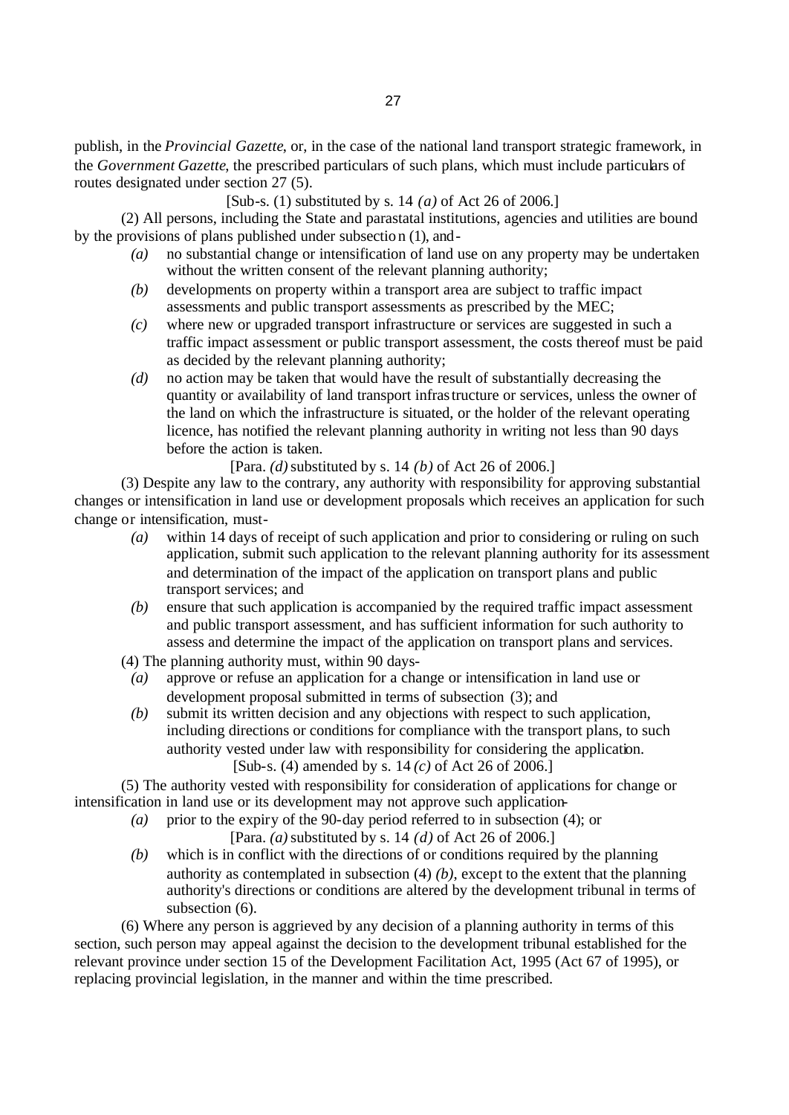publish, in the *Provincial Gazette*, or, in the case of the national land transport strategic framework, in the *Government Gazette*, the prescribed particulars of such plans, which must include particulars of routes designated under section 27 (5).

[Sub-s. (1) substituted by s. 14 *(a)* of Act 26 of 2006.]

(2) All persons, including the State and parastatal institutions, agencies and utilities are bound by the provisions of plans published under subsection (1), and-

- *(a)* no substantial change or intensification of land use on any property may be undertaken without the written consent of the relevant planning authority;
- *(b)* developments on property within a transport area are subject to traffic impact assessments and public transport assessments as prescribed by the MEC;
- *(c)* where new or upgraded transport infrastructure or services are suggested in such a traffic impact assessment or public transport assessment, the costs thereof must be paid as decided by the relevant planning authority;
- *(d)* no action may be taken that would have the result of substantially decreasing the quantity or availability of land transport infrastructure or services, unless the owner of the land on which the infrastructure is situated, or the holder of the relevant operating licence, has notified the relevant planning authority in writing not less than 90 days before the action is taken.

[Para. *(d)* substituted by s. 14 *(b)* of Act 26 of 2006.]

(3) Despite any law to the contrary, any authority with responsibility for approving substantial changes or intensification in land use or development proposals which receives an application for such change or intensification, must-

- *(a)* within 14 days of receipt of such application and prior to considering or ruling on such application, submit such application to the relevant planning authority for its assessment and determination of the impact of the application on transport plans and public transport services; and
- *(b)* ensure that such application is accompanied by the required traffic impact assessment and public transport assessment, and has sufficient information for such authority to assess and determine the impact of the application on transport plans and services.
- (4) The planning authority must, within 90 days-
	- *(a)* approve or refuse an application for a change or intensification in land use or development proposal submitted in terms of subsection (3); and
	- *(b)* submit its written decision and any objections with respect to such application, including directions or conditions for compliance with the transport plans, to such authority vested under law with responsibility for considering the application. [Sub-s. (4) amended by s. 14 *(c)* of Act 26 of 2006.]

(5) The authority vested with responsibility for consideration of applications for change or intensification in land use or its development may not approve such application-

- *(a)* prior to the expiry of the 90-day period referred to in subsection (4); or [Para. *(a)* substituted by s. 14 *(d)* of Act 26 of 2006.]
- *(b)* which is in conflict with the directions of or conditions required by the planning authority as contemplated in subsection (4) *(b)*, except to the extent that the planning authority's directions or conditions are altered by the development tribunal in terms of subsection  $(6)$ .

(6) Where any person is aggrieved by any decision of a planning authority in terms of this section, such person may appeal against the decision to the development tribunal established for the relevant province under section 15 of the Development Facilitation Act, 1995 (Act 67 of 1995), or replacing provincial legislation, in the manner and within the time prescribed.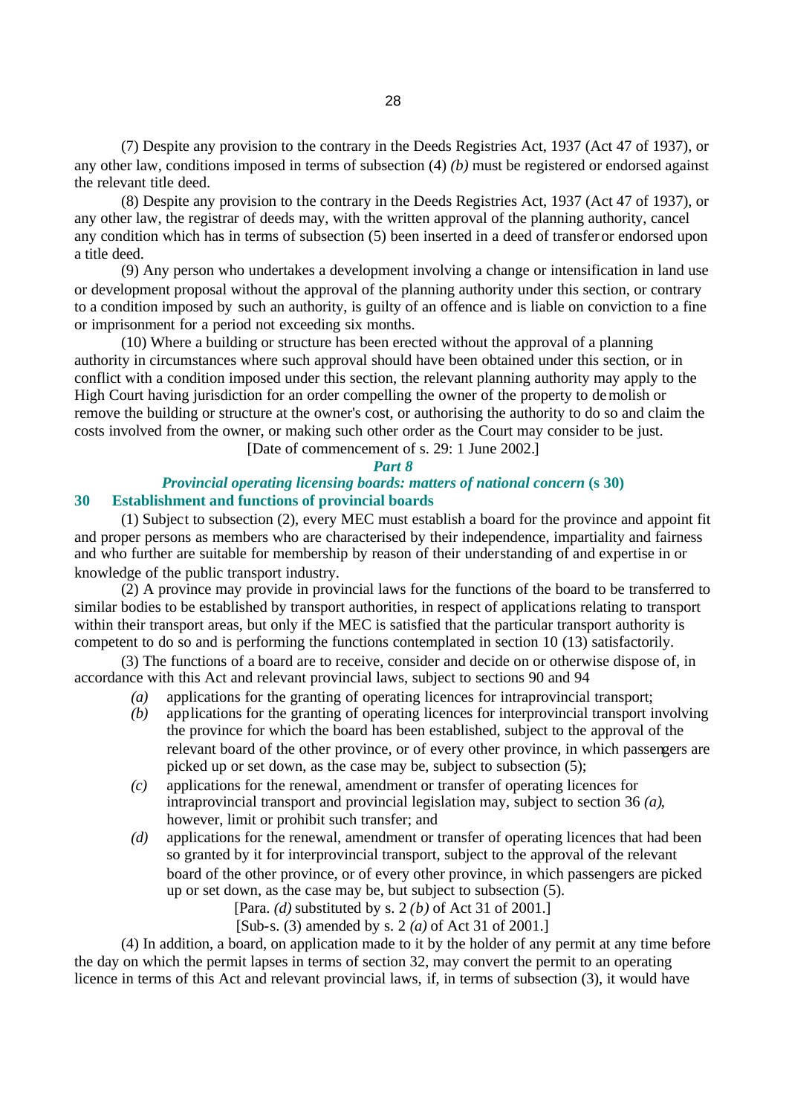(7) Despite any provision to the contrary in the Deeds Registries Act, 1937 (Act 47 of 1937), or any other law, conditions imposed in terms of subsection (4) *(b)* must be registered or endorsed against the relevant title deed.

(8) Despite any provision to the contrary in the Deeds Registries Act, 1937 (Act 47 of 1937), or any other law, the registrar of deeds may, with the written approval of the planning authority, cancel any condition which has in terms of subsection (5) been inserted in a deed of transfer or endorsed upon a title deed.

(9) Any person who undertakes a development involving a change or intensification in land use or development proposal without the approval of the planning authority under this section, or contrary to a condition imposed by such an authority, is guilty of an offence and is liable on conviction to a fine or imprisonment for a period not exceeding six months.

(10) Where a building or structure has been erected without the approval of a planning authority in circumstances where such approval should have been obtained under this section, or in conflict with a condition imposed under this section, the relevant planning authority may apply to the High Court having jurisdiction for an order compelling the owner of the property to demolish or remove the building or structure at the owner's cost, or authorising the authority to do so and claim the costs involved from the owner, or making such other order as the Court may consider to be just.

[Date of commencement of s. 29: 1 June 2002.]

## *Part 8*

## *Provincial operating licensing boards: matters of national concern* **(s 30) 30 Establishment and functions of provincial boards**

(1) Subject to subsection (2), every MEC must establish a board for the province and appoint fit and proper persons as members who are characterised by their independence, impartiality and fairness and who further are suitable for membership by reason of their understanding of and expertise in or knowledge of the public transport industry.

(2) A province may provide in provincial laws for the functions of the board to be transferred to similar bodies to be established by transport authorities, in respect of applications relating to transport within their transport areas, but only if the MEC is satisfied that the particular transport authority is competent to do so and is performing the functions contemplated in section 10 (13) satisfactorily.

(3) The functions of a board are to receive, consider and decide on or otherwise dispose of, in accordance with this Act and relevant provincial laws, subject to sections 90 and 94

- *(a)* applications for the granting of operating licences for intraprovincial transport;
- *(b)* applications for the granting of operating licences for interprovincial transport involving the province for which the board has been established, subject to the approval of the relevant board of the other province, or of every other province, in which passengers are picked up or set down, as the case may be, subject to subsection (5);
- *(c)* applications for the renewal, amendment or transfer of operating licences for intraprovincial transport and provincial legislation may, subject to section 36 *(a)*, however, limit or prohibit such transfer; and
- *(d)* applications for the renewal, amendment or transfer of operating licences that had been so granted by it for interprovincial transport, subject to the approval of the relevant board of the other province, or of every other province, in which passengers are picked up or set down, as the case may be, but subject to subsection (5).

[Para. *(d)* substituted by s. 2 *(b)* of Act 31 of 2001.]

[Sub-s. (3) amended by s. 2 *(a)* of Act 31 of 2001.]

(4) In addition, a board, on application made to it by the holder of any permit at any time before the day on which the permit lapses in terms of section 32, may convert the permit to an operating licence in terms of this Act and relevant provincial laws, if, in terms of subsection (3), it would have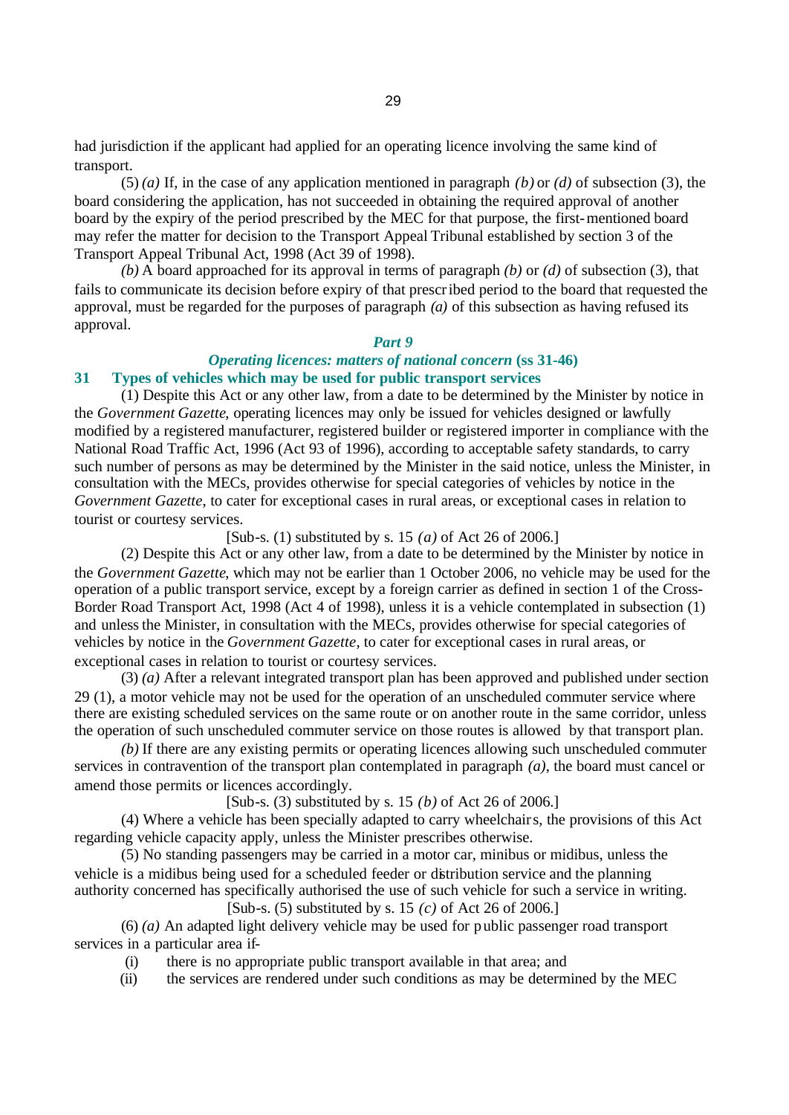had jurisdiction if the applicant had applied for an operating licence involving the same kind of transport.

(5) *(a)* If, in the case of any application mentioned in paragraph *(b)* or *(d)* of subsection (3), the board considering the application, has not succeeded in obtaining the required approval of another board by the expiry of the period prescribed by the MEC for that purpose, the first-mentioned board may refer the matter for decision to the Transport Appeal Tribunal established by section 3 of the Transport Appeal Tribunal Act, 1998 (Act 39 of 1998).

*(b)* A board approached for its approval in terms of paragraph *(b)* or *(d)* of subsection (3), that fails to communicate its decision before expiry of that prescribed period to the board that requested the approval, must be regarded for the purposes of paragraph *(a)* of this subsection as having refused its approval.

#### *Part 9*

## *Operating licences: matters of national concern* **(ss 31-46) 31 Types of vehicles which may be used for public transport services**

(1) Despite this Act or any other law, from a date to be determined by the Minister by notice in the *Government Gazette*, operating licences may only be issued for vehicles designed or lawfully modified by a registered manufacturer, registered builder or registered importer in compliance with the National Road Traffic Act, 1996 (Act 93 of 1996), according to acceptable safety standards, to carry such number of persons as may be determined by the Minister in the said notice, unless the Minister, in consultation with the MECs, provides otherwise for special categories of vehicles by notice in the *Government Gazette*, to cater for exceptional cases in rural areas, or exceptional cases in relation to tourist or courtesy services.

[Sub-s. (1) substituted by s. 15 *(a)* of Act 26 of 2006.]

(2) Despite this Act or any other law, from a date to be determined by the Minister by notice in the *Government Gazette*, which may not be earlier than 1 October 2006, no vehicle may be used for the operation of a public transport service, except by a foreign carrier as defined in section 1 of the Cross-Border Road Transport Act, 1998 (Act 4 of 1998), unless it is a vehicle contemplated in subsection (1) and unless the Minister, in consultation with the MECs, provides otherwise for special categories of vehicles by notice in the *Government Gazette*, to cater for exceptional cases in rural areas, or exceptional cases in relation to tourist or courtesy services.

(3) *(a)* After a relevant integrated transport plan has been approved and published under section 29 (1), a motor vehicle may not be used for the operation of an unscheduled commuter service where there are existing scheduled services on the same route or on another route in the same corridor, unless the operation of such unscheduled commuter service on those routes is allowed by that transport plan.

*(b)* If there are any existing permits or operating licences allowing such unscheduled commuter services in contravention of the transport plan contemplated in paragraph *(a)*, the board must cancel or amend those permits or licences accordingly.

## [Sub-s. (3) substituted by s. 15 *(b)* of Act 26 of 2006.]

(4) Where a vehicle has been specially adapted to carry wheelchairs, the provisions of this Act regarding vehicle capacity apply, unless the Minister prescribes otherwise.

(5) No standing passengers may be carried in a motor car, minibus or midibus, unless the vehicle is a midibus being used for a scheduled feeder or distribution service and the planning authority concerned has specifically authorised the use of such vehicle for such a service in writing.

[Sub-s. (5) substituted by s. 15 *(c)* of Act 26 of 2006.]

(6) *(a)* An adapted light delivery vehicle may be used for public passenger road transport services in a particular area if-

(i) there is no appropriate public transport available in that area; and

(ii) the services are rendered under such conditions as may be determined by the MEC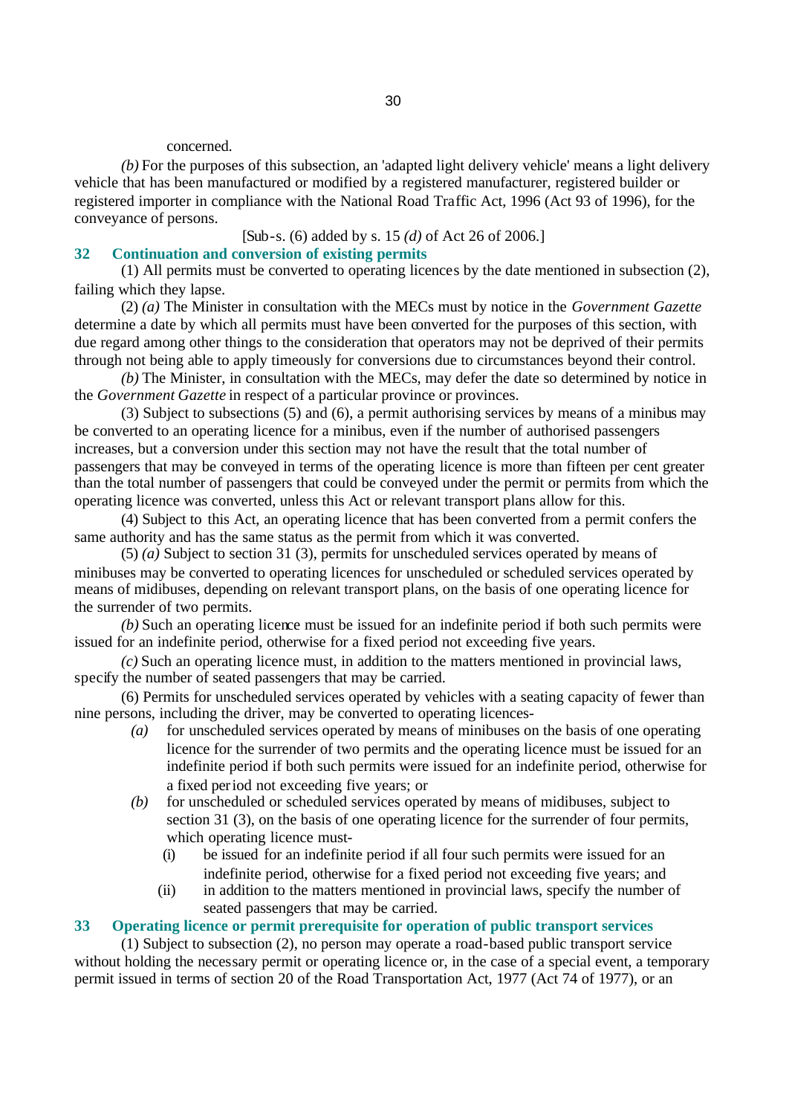#### concerned.

*(b)* For the purposes of this subsection, an 'adapted light delivery vehicle' means a light delivery vehicle that has been manufactured or modified by a registered manufacturer, registered builder or registered importer in compliance with the National Road Traffic Act, 1996 (Act 93 of 1996), for the conveyance of persons.

## [Sub-s. (6) added by s. 15 *(d)* of Act 26 of 2006.]

## **32 Continuation and conversion of existing permits**

(1) All permits must be converted to operating licences by the date mentioned in subsection (2), failing which they lapse.

(2) *(a)* The Minister in consultation with the MECs must by notice in the *Government Gazette* determine a date by which all permits must have been converted for the purposes of this section, with due regard among other things to the consideration that operators may not be deprived of their permits through not being able to apply timeously for conversions due to circumstances beyond their control.

*(b)* The Minister, in consultation with the MECs, may defer the date so determined by notice in the *Government Gazette* in respect of a particular province or provinces.

(3) Subject to subsections (5) and (6), a permit authorising services by means of a minibus may be converted to an operating licence for a minibus, even if the number of authorised passengers increases, but a conversion under this section may not have the result that the total number of passengers that may be conveyed in terms of the operating licence is more than fifteen per cent greater than the total number of passengers that could be conveyed under the permit or permits from which the operating licence was converted, unless this Act or relevant transport plans allow for this.

(4) Subject to this Act, an operating licence that has been converted from a permit confers the same authority and has the same status as the permit from which it was converted.

(5) *(a)* Subject to section 31 (3), permits for unscheduled services operated by means of minibuses may be converted to operating licences for unscheduled or scheduled services operated by means of midibuses, depending on relevant transport plans, on the basis of one operating licence for the surrender of two permits.

*(b)* Such an operating licence must be issued for an indefinite period if both such permits were issued for an indefinite period, otherwise for a fixed period not exceeding five years.

*(c)* Such an operating licence must, in addition to the matters mentioned in provincial laws, specify the number of seated passengers that may be carried.

(6) Permits for unscheduled services operated by vehicles with a seating capacity of fewer than nine persons, including the driver, may be converted to operating licences-

- *(a)* for unscheduled services operated by means of minibuses on the basis of one operating licence for the surrender of two permits and the operating licence must be issued for an indefinite period if both such permits were issued for an indefinite period, otherwise for a fixed period not exceeding five years; or
- *(b)* for unscheduled or scheduled services operated by means of midibuses, subject to section 31 (3), on the basis of one operating licence for the surrender of four permits, which operating licence must-
	- (i) be issued for an indefinite period if all four such permits were issued for an indefinite period, otherwise for a fixed period not exceeding five years; and
	- (ii) in addition to the matters mentioned in provincial laws, specify the number of seated passengers that may be carried.

## **33 Operating licence or permit prerequisite for operation of public transport services**

(1) Subject to subsection (2), no person may operate a road-based public transport service without holding the necessary permit or operating licence or, in the case of a special event, a temporary permit issued in terms of section 20 of the Road Transportation Act, 1977 (Act 74 of 1977), or an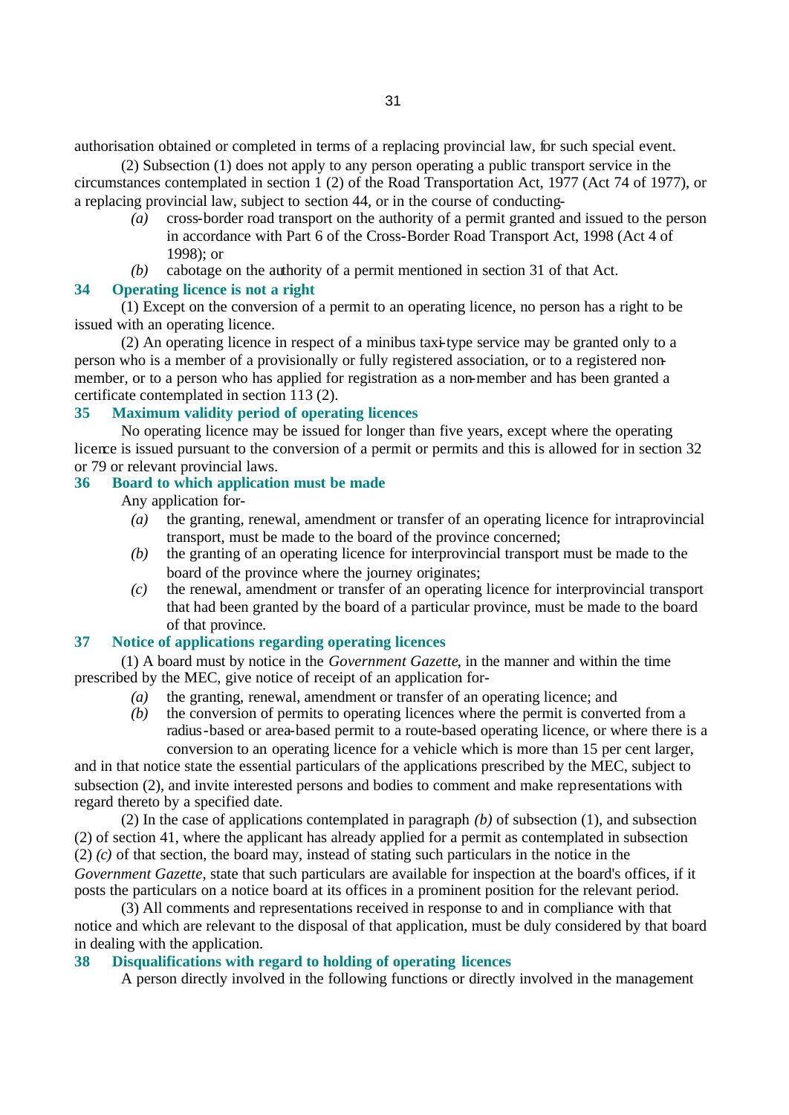authorisation obtained or completed in terms of a replacing provincial law, for such special event.

(2) Subsection (1) does not apply to any person operating a public transport service in the circumstances contemplated in section 1 (2) of the Road Transportation Act, 1977 (Act 74 of 1977), or a replacing provincial law, subject to section 44, or in the course of conducting-

- *(a)* cross-border road transport on the authority of a permit granted and issued to the person in accordance with Part 6 of the Cross-Border Road Transport Act, 1998 (Act 4 of 1998); or
- *(b)* cabotage on the authority of a permit mentioned in section 31 of that Act.

## **34 Operating licence is not a right**

(1) Except on the conversion of a permit to an operating licence, no person has a right to be issued with an operating licence.

(2) An operating licence in respect of a minibus taxi-type service may be granted only to a person who is a member of a provisionally or fully registered association, or to a registered nonmember, or to a person who has applied for registration as a non-member and has been granted a certificate contemplated in section 113 (2).

# **35 Maximum validity period of operating licences**

No operating licence may be issued for longer than five years, except where the operating licence is issued pursuant to the conversion of a permit or permits and this is allowed for in section 32 or 79 or relevant provincial laws.

## **36 Board to which application must be made**

Any application for-

- *(a)* the granting, renewal, amendment or transfer of an operating licence for intraprovincial transport, must be made to the board of the province concerned;
- *(b)* the granting of an operating licence for interprovincial transport must be made to the board of the province where the journey originates;
- *(c)* the renewal, amendment or transfer of an operating licence for interprovincial transport that had been granted by the board of a particular province, must be made to the board of that province.

# **37 Notice of applications regarding operating licences**

(1) A board must by notice in the *Government Gazette*, in the manner and within the time prescribed by the MEC, give notice of receipt of an application for-

- *(a)* the granting, renewal, amendment or transfer of an operating licence; and
- *(b)* the conversion of permits to operating licences where the permit is converted from a radius-based or area-based permit to a route-based operating licence, or where there is a conversion to an operating licence for a vehicle which is more than 15 per cent larger,

and in that notice state the essential particulars of the applications prescribed by the MEC, subject to subsection (2), and invite interested persons and bodies to comment and make representations with regard thereto by a specified date.

(2) In the case of applications contemplated in paragraph *(b)* of subsection (1), and subsection (2) of section 41, where the applicant has already applied for a permit as contemplated in subsection (2) *(c)* of that section, the board may, instead of stating such particulars in the notice in the *Government Gazette*, state that such particulars are available for inspection at the board's offices, if it posts the particulars on a notice board at its offices in a prominent position for the relevant period.

(3) All comments and representations received in response to and in compliance with that notice and which are relevant to the disposal of that application, must be duly considered by that board in dealing with the application.

## **38 Disqualifications with regard to holding of operating licences**

A person directly involved in the following functions or directly involved in the management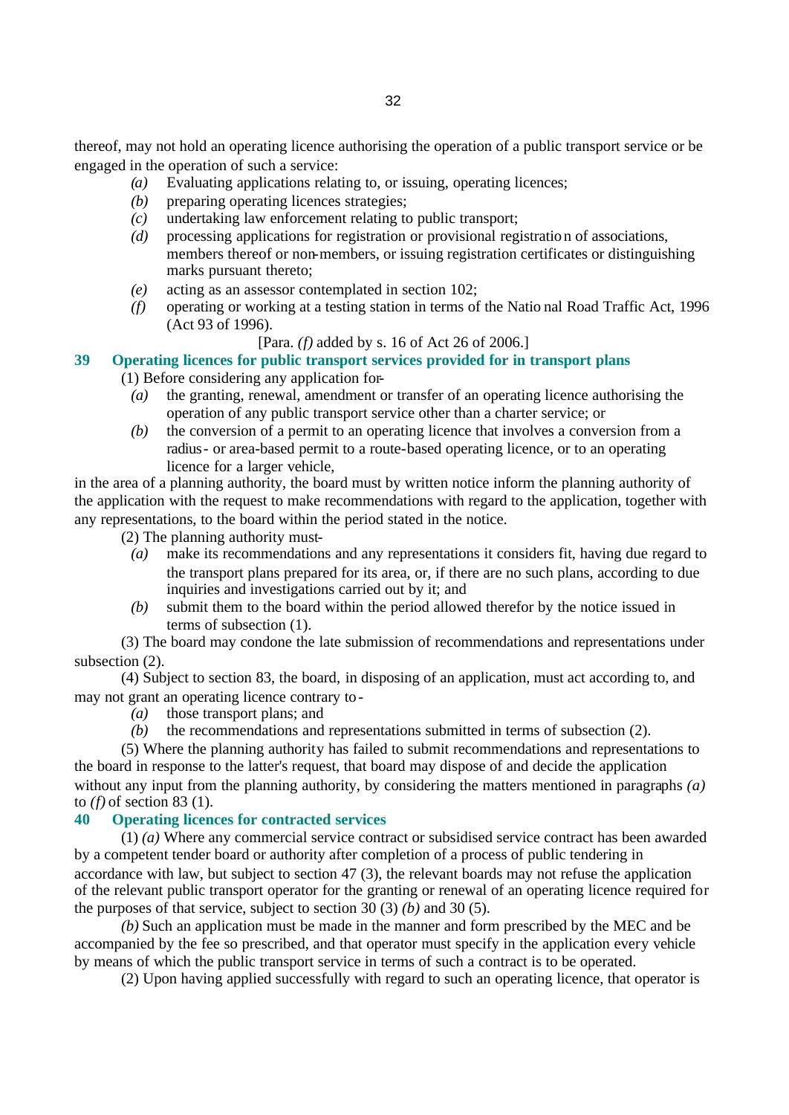thereof, may not hold an operating licence authorising the operation of a public transport service or be engaged in the operation of such a service:

- *(a)* Evaluating applications relating to, or issuing, operating licences;
- *(b)* preparing operating licences strategies;
- *(c)* undertaking law enforcement relating to public transport;
- *(d)* processing applications for registration or provisional registration of associations, members thereof or non-members, or issuing registration certificates or distinguishing marks pursuant thereto;
- *(e)* acting as an assessor contemplated in section 102;
- *(f)* operating or working at a testing station in terms of the Natio nal Road Traffic Act, 1996 (Act 93 of 1996).

### [Para. *(f)* added by s. 16 of Act 26 of 2006.]

# **39 Operating licences for public transport services provided for in transport plans**

(1) Before considering any application for-

- *(a)* the granting, renewal, amendment or transfer of an operating licence authorising the operation of any public transport service other than a charter service; or
- *(b)* the conversion of a permit to an operating licence that involves a conversion from a radius- or area-based permit to a route-based operating licence, or to an operating licence for a larger vehicle,

in the area of a planning authority, the board must by written notice inform the planning authority of the application with the request to make recommendations with regard to the application, together with any representations, to the board within the period stated in the notice.

(2) The planning authority must-

- *(a)* make its recommendations and any representations it considers fit, having due regard to the transport plans prepared for its area, or, if there are no such plans, according to due inquiries and investigations carried out by it; and
- *(b)* submit them to the board within the period allowed therefor by the notice issued in terms of subsection (1).

(3) The board may condone the late submission of recommendations and representations under subsection  $(2)$ .

(4) Subject to section 83, the board, in disposing of an application, must act according to, and may not grant an operating licence contrary to-

- *(a)* those transport plans; and
- *(b)* the recommendations and representations submitted in terms of subsection (2).

(5) Where the planning authority has failed to submit recommendations and representations to the board in response to the latter's request, that board may dispose of and decide the application without any input from the planning authority, by considering the matters mentioned in paragraphs *(a)* to *(f)* of section 83 (1).

## **40 Operating licences for contracted services**

(1) *(a)* Where any commercial service contract or subsidised service contract has been awarded by a competent tender board or authority after completion of a process of public tendering in accordance with law, but subject to section 47 (3), the relevant boards may not refuse the application of the relevant public transport operator for the granting or renewal of an operating licence required for the purposes of that service, subject to section 30 (3) *(b)* and 30 (5).

*(b)* Such an application must be made in the manner and form prescribed by the MEC and be accompanied by the fee so prescribed, and that operator must specify in the application every vehicle by means of which the public transport service in terms of such a contract is to be operated.

(2) Upon having applied successfully with regard to such an operating licence, that operator is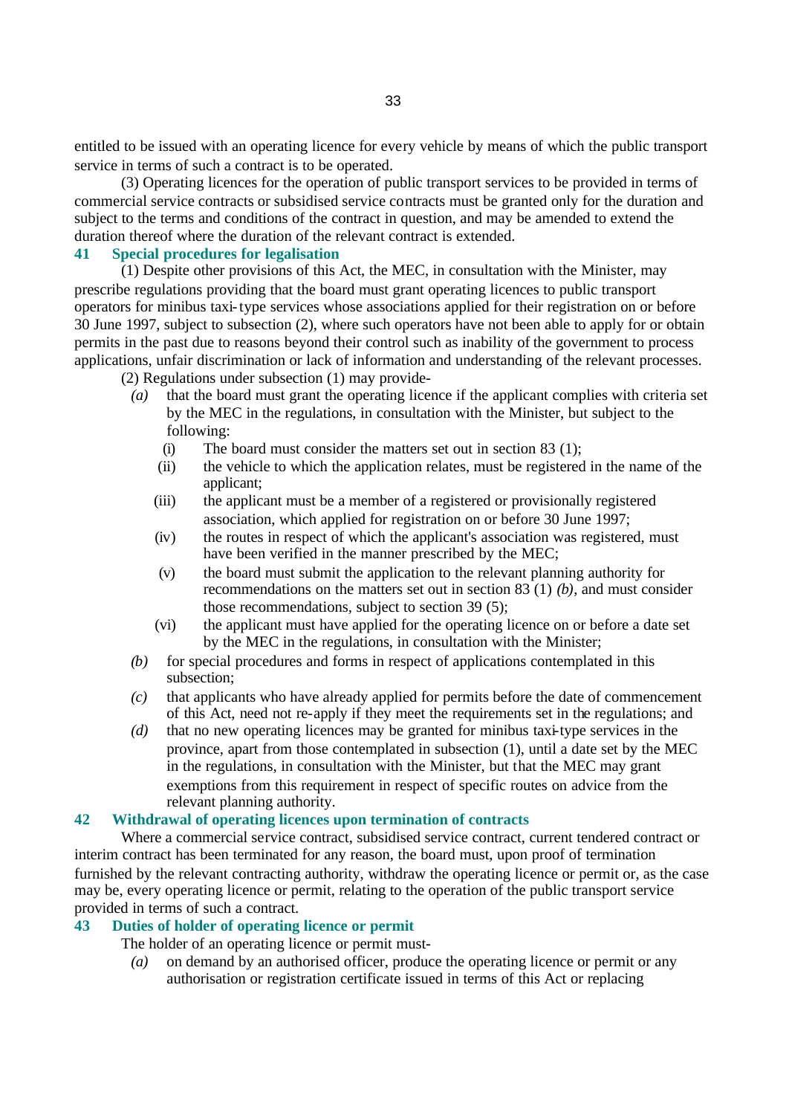entitled to be issued with an operating licence for every vehicle by means of which the public transport service in terms of such a contract is to be operated.

(3) Operating licences for the operation of public transport services to be provided in terms of commercial service contracts or subsidised service contracts must be granted only for the duration and subject to the terms and conditions of the contract in question, and may be amended to extend the duration thereof where the duration of the relevant contract is extended.

## **41 Special procedures for legalisation**

(1) Despite other provisions of this Act, the MEC, in consultation with the Minister, may prescribe regulations providing that the board must grant operating licences to public transport operators for minibus taxi-type services whose associations applied for their registration on or before 30 June 1997, subject to subsection (2), where such operators have not been able to apply for or obtain permits in the past due to reasons beyond their control such as inability of the government to process applications, unfair discrimination or lack of information and understanding of the relevant processes.

(2) Regulations under subsection (1) may provide-

- *(a)* that the board must grant the operating licence if the applicant complies with criteria set by the MEC in the regulations, in consultation with the Minister, but subject to the following:
	- (i) The board must consider the matters set out in section 83 (1);
	- (ii) the vehicle to which the application relates, must be registered in the name of the applicant;
	- (iii) the applicant must be a member of a registered or provisionally registered association, which applied for registration on or before 30 June 1997;
	- (iv) the routes in respect of which the applicant's association was registered, must have been verified in the manner prescribed by the MEC;
	- (v) the board must submit the application to the relevant planning authority for recommendations on the matters set out in section 83 (1) *(b)*, and must consider those recommendations, subject to section 39 (5);
	- (vi) the applicant must have applied for the operating licence on or before a date set by the MEC in the regulations, in consultation with the Minister;
- *(b)* for special procedures and forms in respect of applications contemplated in this subsection;
- *(c)* that applicants who have already applied for permits before the date of commencement of this Act, need not re-apply if they meet the requirements set in the regulations; and
- *(d)* that no new operating licences may be granted for minibus taxi-type services in the province, apart from those contemplated in subsection (1), until a date set by the MEC in the regulations, in consultation with the Minister, but that the MEC may grant exemptions from this requirement in respect of specific routes on advice from the relevant planning authority.

## **42 Withdrawal of operating licences upon termination of contracts**

Where a commercial service contract, subsidised service contract, current tendered contract or interim contract has been terminated for any reason, the board must, upon proof of termination furnished by the relevant contracting authority, withdraw the operating licence or permit or, as the case may be, every operating licence or permit, relating to the operation of the public transport service provided in terms of such a contract.

## **43 Duties of holder of operating licence or permit**

The holder of an operating licence or permit must-

*(a)* on demand by an authorised officer, produce the operating licence or permit or any authorisation or registration certificate issued in terms of this Act or replacing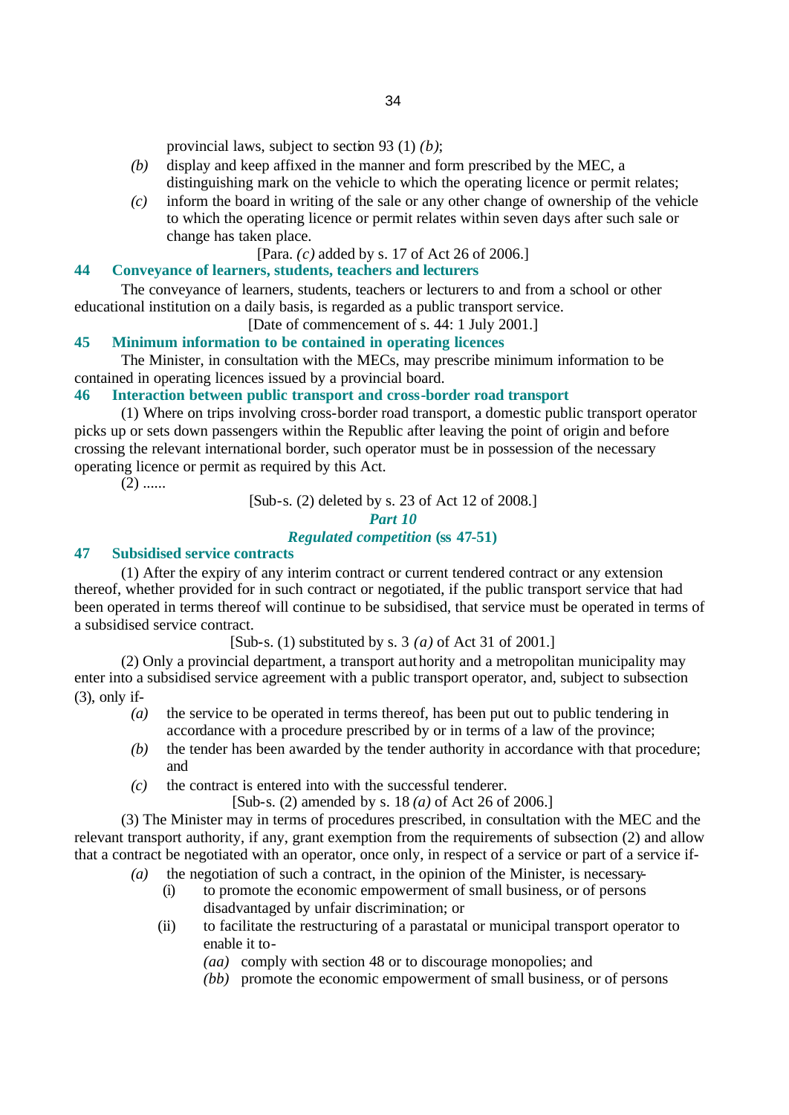provincial laws, subject to section 93 (1) *(b)*;

- *(b)* display and keep affixed in the manner and form prescribed by the MEC, a distinguishing mark on the vehicle to which the operating licence or permit relates;
- *(c)* inform the board in writing of the sale or any other change of ownership of the vehicle to which the operating licence or permit relates within seven days after such sale or change has taken place.

[Para. *(c)* added by s. 17 of Act 26 of 2006.]

# **44 Conveyance of learners, students, teachers and lecturers**

The conveyance of learners, students, teachers or lecturers to and from a school or other educational institution on a daily basis, is regarded as a public transport service.

[Date of commencement of s. 44: 1 July 2001.]

## **45 Minimum information to be contained in operating licences**

The Minister, in consultation with the MECs, may prescribe minimum information to be contained in operating licences issued by a provincial board.

#### **46 Interaction between public transport and cross-border road transport**

(1) Where on trips involving cross-border road transport, a domestic public transport operator picks up or sets down passengers within the Republic after leaving the point of origin and before crossing the relevant international border, such operator must be in possession of the necessary operating licence or permit as required by this Act.

 $(2)$  ......

[Sub-s. (2) deleted by s. 23 of Act 12 of 2008.]

#### *Part 10*

### *Regulated competition* **(ss 47-51)**

## **47 Subsidised service contracts**

(1) After the expiry of any interim contract or current tendered contract or any extension thereof, whether provided for in such contract or negotiated, if the public transport service that had been operated in terms thereof will continue to be subsidised, that service must be operated in terms of a subsidised service contract.

[Sub-s. (1) substituted by s. 3 *(a)* of Act 31 of 2001.]

(2) Only a provincial department, a transport authority and a metropolitan municipality may enter into a subsidised service agreement with a public transport operator, and, subject to subsection (3), only if-

- *(a)* the service to be operated in terms thereof, has been put out to public tendering in accordance with a procedure prescribed by or in terms of a law of the province;
- *(b)* the tender has been awarded by the tender authority in accordance with that procedure; and
- *(c)* the contract is entered into with the successful tenderer.

[Sub-s. (2) amended by s. 18 *(a)* of Act 26 of 2006.]

(3) The Minister may in terms of procedures prescribed, in consultation with the MEC and the relevant transport authority, if any, grant exemption from the requirements of subsection (2) and allow that a contract be negotiated with an operator, once only, in respect of a service or part of a service if-

- *(a)* the negotiation of such a contract, in the opinion of the Minister, is necessary-
	- (i) to promote the economic empowerment of small business, or of persons disadvantaged by unfair discrimination; or
	- (ii) to facilitate the restructuring of a parastatal or municipal transport operator to enable it to-
		- *(aa)* comply with section 48 or to discourage monopolies; and
		- *(bb)* promote the economic empowerment of small business, or of persons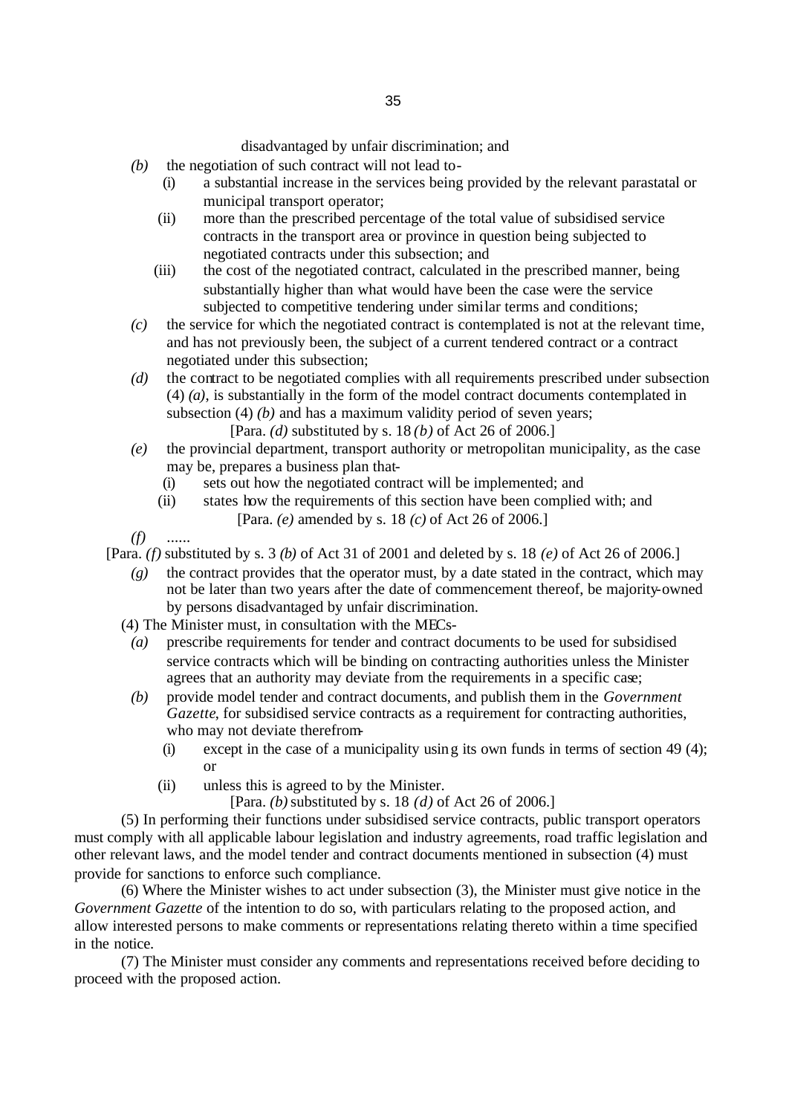- *(b)* the negotiation of such contract will not lead to-
	- (i) a substantial increase in the services being provided by the relevant parastatal or municipal transport operator;
	- (ii) more than the prescribed percentage of the total value of subsidised service contracts in the transport area or province in question being subjected to negotiated contracts under this subsection; and
	- (iii) the cost of the negotiated contract, calculated in the prescribed manner, being substantially higher than what would have been the case were the service subjected to competitive tendering under similar terms and conditions;
- *(c)* the service for which the negotiated contract is contemplated is not at the relevant time, and has not previously been, the subject of a current tendered contract or a contract negotiated under this subsection;
- *(d)* the contract to be negotiated complies with all requirements prescribed under subsection (4) *(a)*, is substantially in the form of the model contract documents contemplated in subsection (4) *(b)* and has a maximum validity period of seven years; [Para. *(d)* substituted by s. 18 *(b)* of Act 26 of 2006.]
- *(e)* the provincial department, transport authority or metropolitan municipality, as the case may be, prepares a business plan that-
	- (i) sets out how the negotiated contract will be implemented; and
	- (ii) states how the requirements of this section have been complied with; and [Para. *(e)* amended by s. 18 *(c)* of Act 26 of 2006.]
- *(f)* ......
- [Para. *(f)* substituted by s. 3 *(b)* of Act 31 of 2001 and deleted by s. 18 *(e)* of Act 26 of 2006.]
	- *(g)* the contract provides that the operator must, by a date stated in the contract, which may not be later than two years after the date of commencement thereof, be majority-owned by persons disadvantaged by unfair discrimination.
	- (4) The Minister must, in consultation with the MECs-
	- *(a)* prescribe requirements for tender and contract documents to be used for subsidised service contracts which will be binding on contracting authorities unless the Minister agrees that an authority may deviate from the requirements in a specific case;
	- *(b)* provide model tender and contract documents, and publish them in the *Government Gazette*, for subsidised service contracts as a requirement for contracting authorities, who may not deviate therefrom-
		- (i) except in the case of a municipality using its own funds in terms of section 49 (4); or
		- (ii) unless this is agreed to by the Minister.
			- [Para. *(b)* substituted by s. 18 *(d)* of Act 26 of 2006.]

(5) In performing their functions under subsidised service contracts, public transport operators must comply with all applicable labour legislation and industry agreements, road traffic legislation and other relevant laws, and the model tender and contract documents mentioned in subsection (4) must provide for sanctions to enforce such compliance.

(6) Where the Minister wishes to act under subsection (3), the Minister must give notice in the *Government Gazette* of the intention to do so, with particulars relating to the proposed action, and allow interested persons to make comments or representations relating thereto within a time specified in the notice.

(7) The Minister must consider any comments and representations received before deciding to proceed with the proposed action.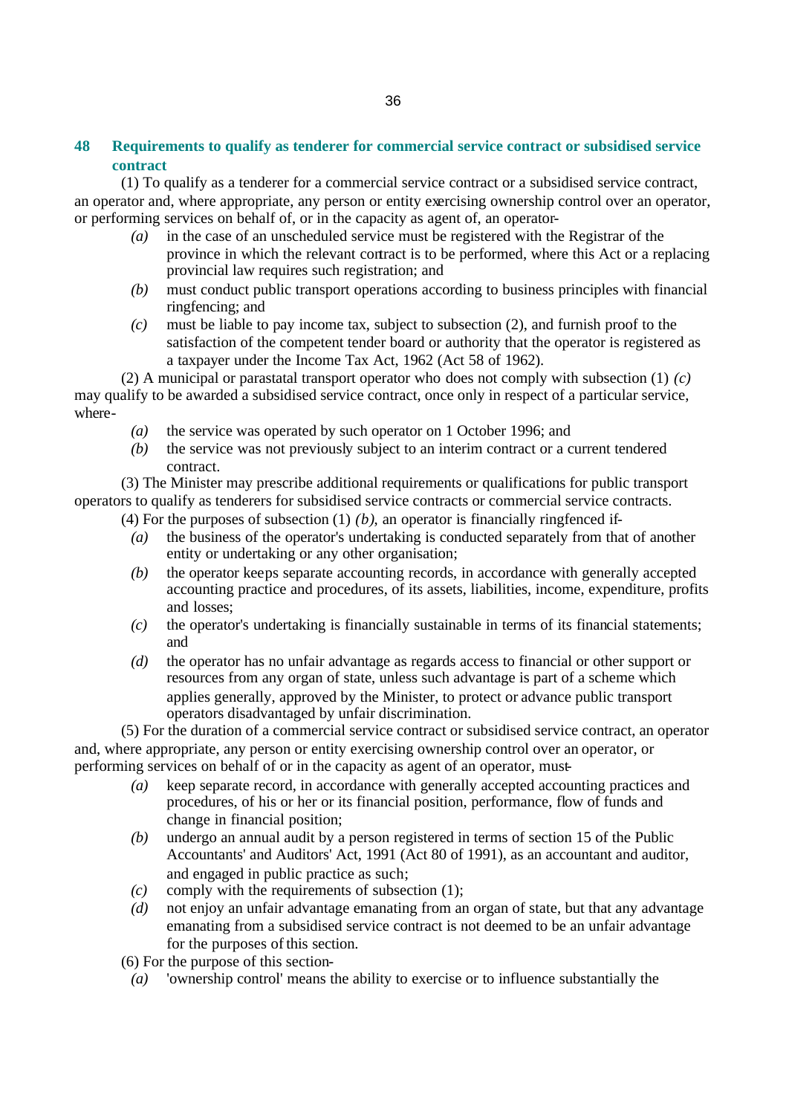# **48 Requirements to qualify as tenderer for commercial service contract or subsidised service contract**

(1) To qualify as a tenderer for a commercial service contract or a subsidised service contract, an operator and, where appropriate, any person or entity exercising ownership control over an operator, or performing services on behalf of, or in the capacity as agent of, an operator-

- *(a)* in the case of an unscheduled service must be registered with the Registrar of the province in which the relevant contract is to be performed, where this Act or a replacing provincial law requires such registration; and
- *(b)* must conduct public transport operations according to business principles with financial ringfencing; and
- *(c)* must be liable to pay income tax, subject to subsection (2), and furnish proof to the satisfaction of the competent tender board or authority that the operator is registered as a taxpayer under the Income Tax Act, 1962 (Act 58 of 1962).

(2) A municipal or parastatal transport operator who does not comply with subsection (1) *(c)* may qualify to be awarded a subsidised service contract, once only in respect of a particular service, where-

- *(a)* the service was operated by such operator on 1 October 1996; and
- *(b)* the service was not previously subject to an interim contract or a current tendered contract.

(3) The Minister may prescribe additional requirements or qualifications for public transport operators to qualify as tenderers for subsidised service contracts or commercial service contracts.

(4) For the purposes of subsection (1) *(b)*, an operator is financially ringfenced if-

- *(a)* the business of the operator's undertaking is conducted separately from that of another entity or undertaking or any other organisation;
- *(b)* the operator keeps separate accounting records, in accordance with generally accepted accounting practice and procedures, of its assets, liabilities, income, expenditure, profits and losses;
- *(c)* the operator's undertaking is financially sustainable in terms of its financial statements; and
- *(d)* the operator has no unfair advantage as regards access to financial or other support or resources from any organ of state, unless such advantage is part of a scheme which applies generally, approved by the Minister, to protect or advance public transport operators disadvantaged by unfair discrimination.

(5) For the duration of a commercial service contract or subsidised service contract, an operator and, where appropriate, any person or entity exercising ownership control over an operator, or performing services on behalf of or in the capacity as agent of an operator, must-

- *(a)* keep separate record, in accordance with generally accepted accounting practices and procedures, of his or her or its financial position, performance, flow of funds and change in financial position;
- *(b)* undergo an annual audit by a person registered in terms of section 15 of the Public Accountants' and Auditors' Act, 1991 (Act 80 of 1991), as an accountant and auditor, and engaged in public practice as such;
- *(c)* comply with the requirements of subsection (1);
- *(d)* not enjoy an unfair advantage emanating from an organ of state, but that any advantage emanating from a subsidised service contract is not deemed to be an unfair advantage for the purposes of this section.
- (6) For the purpose of this section-
	- *(a)* 'ownership control' means the ability to exercise or to influence substantially the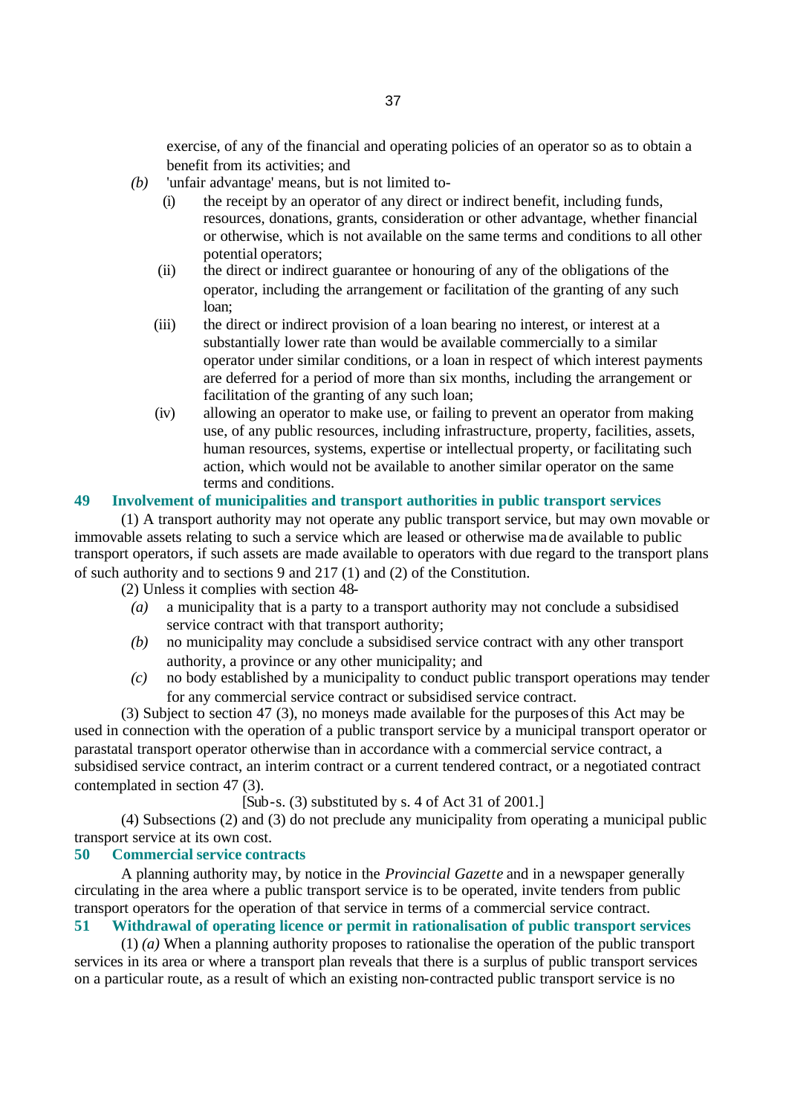exercise, of any of the financial and operating policies of an operator so as to obtain a benefit from its activities; and

- *(b)* 'unfair advantage' means, but is not limited to-
	- (i) the receipt by an operator of any direct or indirect benefit, including funds, resources, donations, grants, consideration or other advantage, whether financial or otherwise, which is not available on the same terms and conditions to all other potential operators;
	- (ii) the direct or indirect guarantee or honouring of any of the obligations of the operator, including the arrangement or facilitation of the granting of any such loan;
	- (iii) the direct or indirect provision of a loan bearing no interest, or interest at a substantially lower rate than would be available commercially to a similar operator under similar conditions, or a loan in respect of which interest payments are deferred for a period of more than six months, including the arrangement or facilitation of the granting of any such loan;
	- (iv) allowing an operator to make use, or failing to prevent an operator from making use, of any public resources, including infrastructure, property, facilities, assets, human resources, systems, expertise or intellectual property, or facilitating such action, which would not be available to another similar operator on the same terms and conditions.

# **49 Involvement of municipalities and transport authorities in public transport services**

(1) A transport authority may not operate any public transport service, but may own movable or immovable assets relating to such a service which are leased or otherwise made available to public transport operators, if such assets are made available to operators with due regard to the transport plans of such authority and to sections 9 and 217 (1) and (2) of the Constitution.

(2) Unless it complies with section 48-

- *(a)* a municipality that is a party to a transport authority may not conclude a subsidised service contract with that transport authority;
- *(b)* no municipality may conclude a subsidised service contract with any other transport authority, a province or any other municipality; and
- *(c)* no body established by a municipality to conduct public transport operations may tender for any commercial service contract or subsidised service contract.

(3) Subject to section 47 (3), no moneys made available for the purposes of this Act may be used in connection with the operation of a public transport service by a municipal transport operator or parastatal transport operator otherwise than in accordance with a commercial service contract, a subsidised service contract, an interim contract or a current tendered contract, or a negotiated contract contemplated in section 47 (3).

 $[Sub-s. (3)$  substituted by s. 4 of Act 31 of 2001.

(4) Subsections (2) and (3) do not preclude any municipality from operating a municipal public transport service at its own cost.

### **50 Commercial service contracts**

A planning authority may, by notice in the *Provincial Gazette* and in a newspaper generally circulating in the area where a public transport service is to be operated, invite tenders from public transport operators for the operation of that service in terms of a commercial service contract.

**51 Withdrawal of operating licence or permit in rationalisation of public transport services**

(1) *(a)* When a planning authority proposes to rationalise the operation of the public transport services in its area or where a transport plan reveals that there is a surplus of public transport services on a particular route, as a result of which an existing non-contracted public transport service is no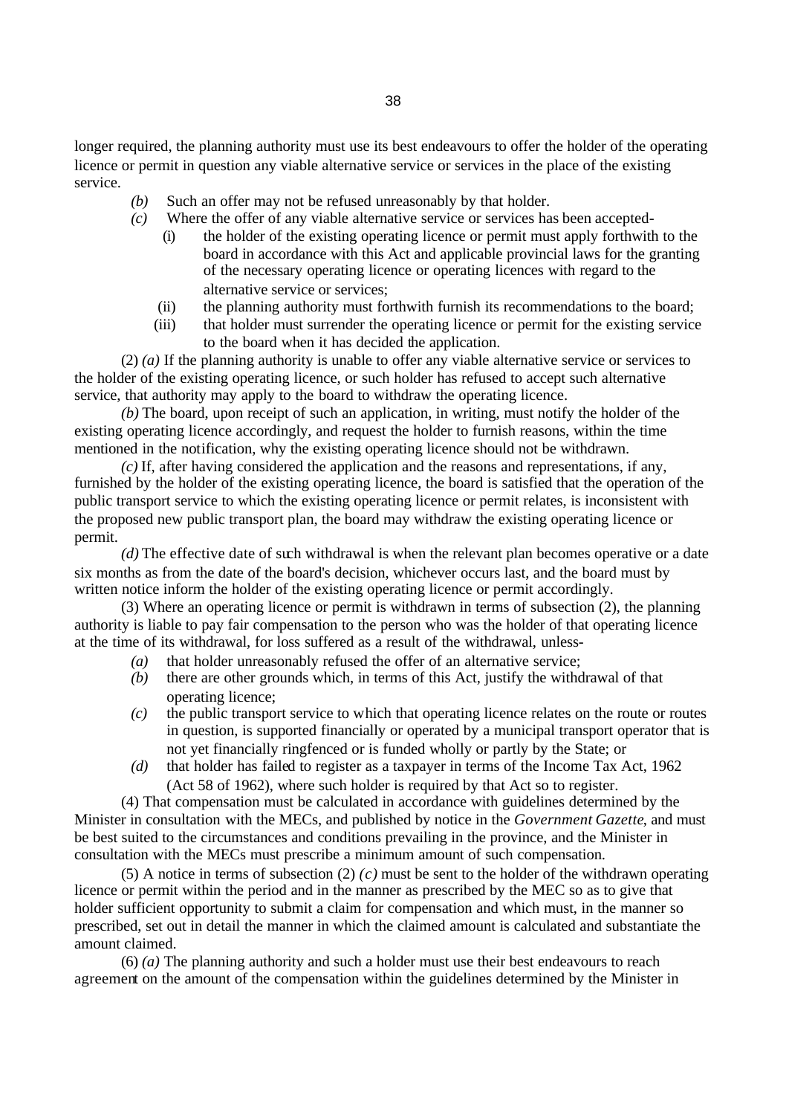longer required, the planning authority must use its best endeavours to offer the holder of the operating licence or permit in question any viable alternative service or services in the place of the existing service.

- *(b)* Such an offer may not be refused unreasonably by that holder.
- *(c)* Where the offer of any viable alternative service or services has been accepted-
	- (i) the holder of the existing operating licence or permit must apply forthwith to the board in accordance with this Act and applicable provincial laws for the granting of the necessary operating licence or operating licences with regard to the alternative service or services;
	- (ii) the planning authority must forthwith furnish its recommendations to the board;
	- (iii) that holder must surrender the operating licence or permit for the existing service to the board when it has decided the application.

(2) *(a)* If the planning authority is unable to offer any viable alternative service or services to the holder of the existing operating licence, or such holder has refused to accept such alternative service, that authority may apply to the board to withdraw the operating licence.

*(b)* The board, upon receipt of such an application, in writing, must notify the holder of the existing operating licence accordingly, and request the holder to furnish reasons, within the time mentioned in the notification, why the existing operating licence should not be withdrawn.

*(c)* If, after having considered the application and the reasons and representations, if any, furnished by the holder of the existing operating licence, the board is satisfied that the operation of the public transport service to which the existing operating licence or permit relates, is inconsistent with the proposed new public transport plan, the board may withdraw the existing operating licence or permit.

*(d)* The effective date of such withdrawal is when the relevant plan becomes operative or a date six months as from the date of the board's decision, whichever occurs last, and the board must by written notice inform the holder of the existing operating licence or permit accordingly.

(3) Where an operating licence or permit is withdrawn in terms of subsection (2), the planning authority is liable to pay fair compensation to the person who was the holder of that operating licence at the time of its withdrawal, for loss suffered as a result of the withdrawal, unless-

- *(a)* that holder unreasonably refused the offer of an alternative service;
- *(b)* there are other grounds which, in terms of this Act, justify the withdrawal of that operating licence;
- *(c)* the public transport service to which that operating licence relates on the route or routes in question, is supported financially or operated by a municipal transport operator that is not yet financially ringfenced or is funded wholly or partly by the State; or
- *(d)* that holder has failed to register as a taxpayer in terms of the Income Tax Act, 1962 (Act 58 of 1962), where such holder is required by that Act so to register.

(4) That compensation must be calculated in accordance with guidelines determined by the Minister in consultation with the MECs, and published by notice in the *Government Gazette*, and must be best suited to the circumstances and conditions prevailing in the province, and the Minister in consultation with the MECs must prescribe a minimum amount of such compensation.

(5) A notice in terms of subsection (2)  $(c)$  must be sent to the holder of the withdrawn operating licence or permit within the period and in the manner as prescribed by the MEC so as to give that holder sufficient opportunity to submit a claim for compensation and which must, in the manner so prescribed, set out in detail the manner in which the claimed amount is calculated and substantiate the amount claimed.

(6) *(a)* The planning authority and such a holder must use their best endeavours to reach agreement on the amount of the compensation within the guidelines determined by the Minister in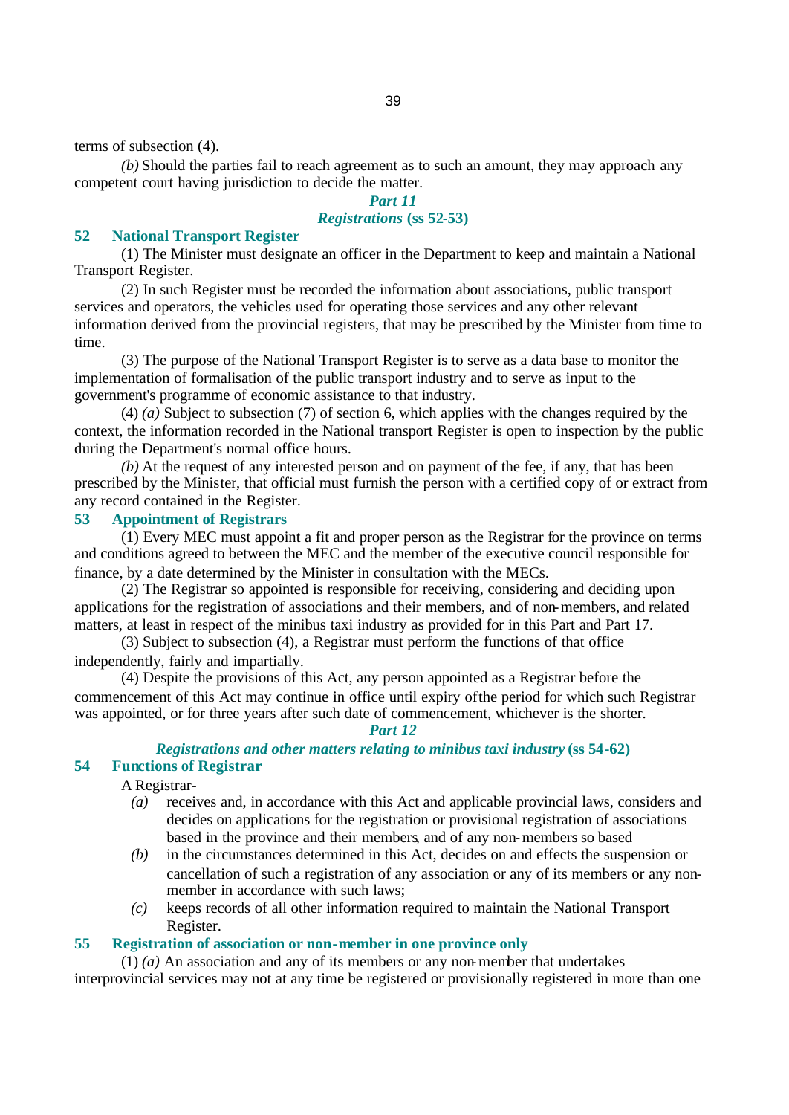terms of subsection (4).

*(b)* Should the parties fail to reach agreement as to such an amount, they may approach any competent court having jurisdiction to decide the matter.

# *Part 11 Registrations* **(ss 52-53)**

### **52 National Transport Register**

(1) The Minister must designate an officer in the Department to keep and maintain a National Transport Register.

(2) In such Register must be recorded the information about associations, public transport services and operators, the vehicles used for operating those services and any other relevant information derived from the provincial registers, that may be prescribed by the Minister from time to time.

(3) The purpose of the National Transport Register is to serve as a data base to monitor the implementation of formalisation of the public transport industry and to serve as input to the government's programme of economic assistance to that industry.

(4) *(a)* Subject to subsection (7) of section 6, which applies with the changes required by the context, the information recorded in the National transport Register is open to inspection by the public during the Department's normal office hours.

*(b)* At the request of any interested person and on payment of the fee, if any, that has been prescribed by the Minister, that official must furnish the person with a certified copy of or extract from any record contained in the Register.

# **53 Appointment of Registrars**

(1) Every MEC must appoint a fit and proper person as the Registrar for the province on terms and conditions agreed to between the MEC and the member of the executive council responsible for finance, by a date determined by the Minister in consultation with the MECs.

(2) The Registrar so appointed is responsible for receiving, considering and deciding upon applications for the registration of associations and their members, and of non-members, and related matters, at least in respect of the minibus taxi industry as provided for in this Part and Part 17.

(3) Subject to subsection (4), a Registrar must perform the functions of that office independently, fairly and impartially.

(4) Despite the provisions of this Act, any person appointed as a Registrar before the commencement of this Act may continue in office until expiry of the period for which such Registrar was appointed, or for three years after such date of commencement, whichever is the shorter.

*Part 12*

### *Registrations and other matters relating to minibus taxi industry* **(ss 54-62) 54 Functions of Registrar**

### A Registrar-

- *(a)* receives and, in accordance with this Act and applicable provincial laws, considers and decides on applications for the registration or provisional registration of associations based in the province and their members, and of any non-members so based
- *(b)* in the circumstances determined in this Act, decides on and effects the suspension or cancellation of such a registration of any association or any of its members or any nonmember in accordance with such laws;
- *(c)* keeps records of all other information required to maintain the National Transport Register.

### **55 Registration of association or non-member in one province only**

(1) *(a)* An association and any of its members or any non-member that undertakes interprovincial services may not at any time be registered or provisionally registered in more than one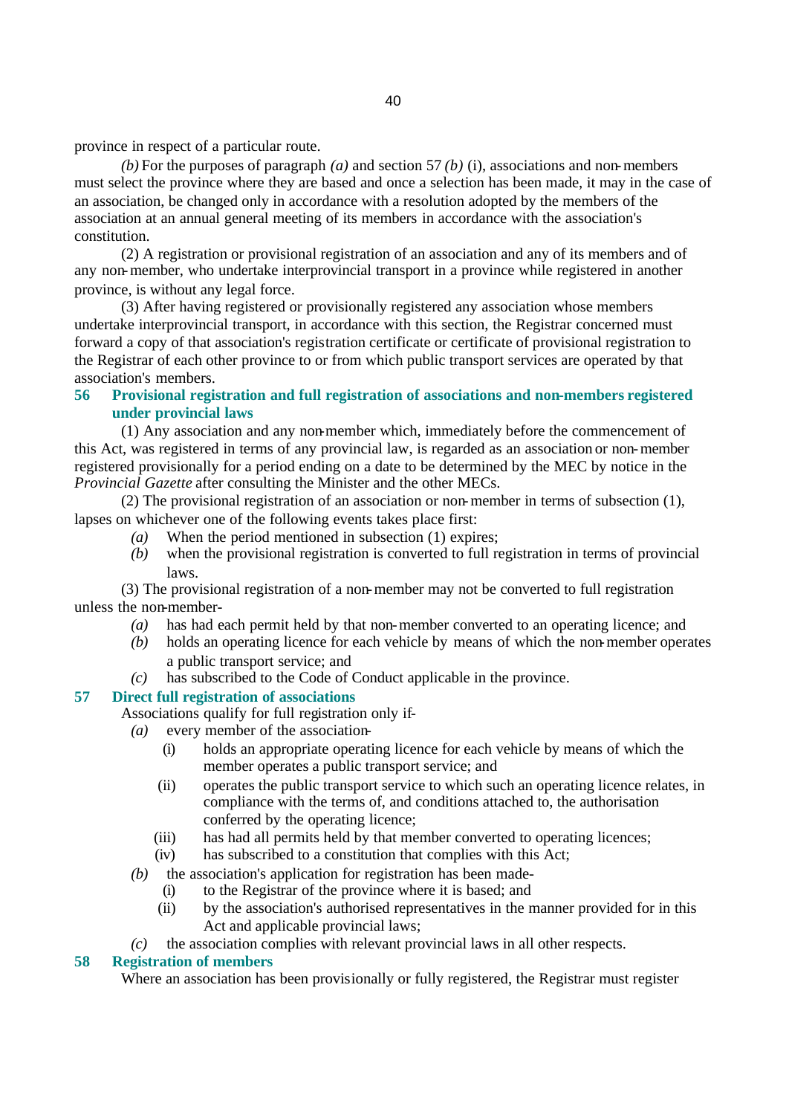province in respect of a particular route.

*(b)* For the purposes of paragraph *(a)* and section 57 *(b)* (i), associations and non-members must select the province where they are based and once a selection has been made, it may in the case of an association, be changed only in accordance with a resolution adopted by the members of the association at an annual general meeting of its members in accordance with the association's constitution.

(2) A registration or provisional registration of an association and any of its members and of any non-member, who undertake interprovincial transport in a province while registered in another province, is without any legal force.

(3) After having registered or provisionally registered any association whose members undertake interprovincial transport, in accordance with this section, the Registrar concerned must forward a copy of that association's registration certificate or certificate of provisional registration to the Registrar of each other province to or from which public transport services are operated by that association's members.

**56 Provisional registration and full registration of associations and non-members registered under provincial laws**

(1) Any association and any non-member which, immediately before the commencement of this Act, was registered in terms of any provincial law, is regarded as an association or non-member registered provisionally for a period ending on a date to be determined by the MEC by notice in the *Provincial Gazette* after consulting the Minister and the other MECs.

(2) The provisional registration of an association or non-member in terms of subsection (1), lapses on whichever one of the following events takes place first:

- *(a)* When the period mentioned in subsection (1) expires;
- *(b)* when the provisional registration is converted to full registration in terms of provincial laws.

(3) The provisional registration of a non-member may not be converted to full registration unless the non-member-

- *(a)* has had each permit held by that non-member converted to an operating licence; and
- *(b)* holds an operating licence for each vehicle by means of which the non-member operates a public transport service; and
- *(c)* has subscribed to the Code of Conduct applicable in the province.

### **57 Direct full registration of associations**

- Associations qualify for full registration only if-
	- *(a)* every member of the association-
		- (i) holds an appropriate operating licence for each vehicle by means of which the member operates a public transport service; and
		- (ii) operates the public transport service to which such an operating licence relates, in compliance with the terms of, and conditions attached to, the authorisation conferred by the operating licence;
		- (iii) has had all permits held by that member converted to operating licences;
		- (iv) has subscribed to a constitution that complies with this Act;
	- *(b)* the association's application for registration has been made-
		- (i) to the Registrar of the province where it is based; and
		- (ii) by the association's authorised representatives in the manner provided for in this Act and applicable provincial laws;
- *(c)* the association complies with relevant provincial laws in all other respects.

### **58 Registration of members**

Where an association has been provisionally or fully registered, the Registrar must register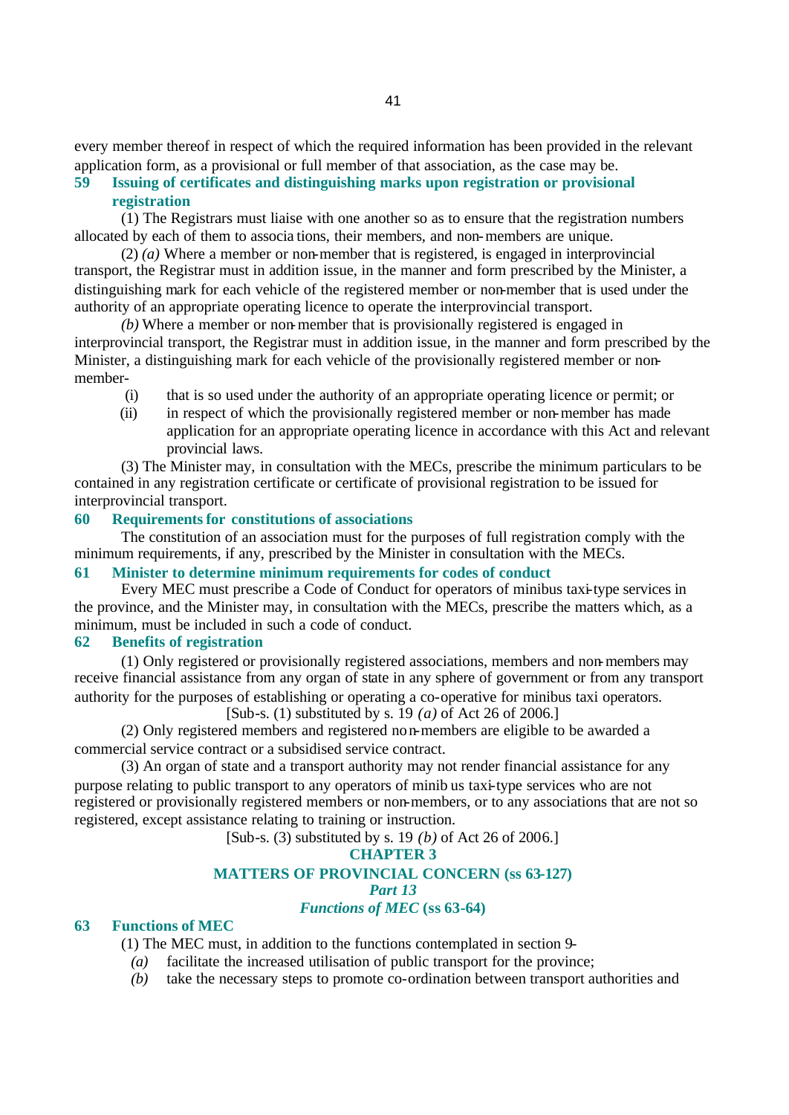every member thereof in respect of which the required information has been provided in the relevant application form, as a provisional or full member of that association, as the case may be.

### **59 Issuing of certificates and distinguishing marks upon registration or provisional registration**

(1) The Registrars must liaise with one another so as to ensure that the registration numbers allocated by each of them to associa tions, their members, and non-members are unique.

(2) *(a)* Where a member or non-member that is registered, is engaged in interprovincial transport, the Registrar must in addition issue, in the manner and form prescribed by the Minister, a distinguishing mark for each vehicle of the registered member or non-member that is used under the authority of an appropriate operating licence to operate the interprovincial transport.

*(b)* Where a member or non-member that is provisionally registered is engaged in interprovincial transport, the Registrar must in addition issue, in the manner and form prescribed by the Minister, a distinguishing mark for each vehicle of the provisionally registered member or nonmember-

- (i) that is so used under the authority of an appropriate operating licence or permit; or
- (ii) in respect of which the provisionally registered member or non-member has made application for an appropriate operating licence in accordance with this Act and relevant provincial laws.

(3) The Minister may, in consultation with the MECs, prescribe the minimum particulars to be contained in any registration certificate or certificate of provisional registration to be issued for interprovincial transport.

# **60 Requirements for constitutions of associations**

The constitution of an association must for the purposes of full registration comply with the minimum requirements, if any, prescribed by the Minister in consultation with the MECs.

# **61 Minister to determine minimum requirements for codes of conduct**

Every MEC must prescribe a Code of Conduct for operators of minibus taxi-type services in the province, and the Minister may, in consultation with the MECs, prescribe the matters which, as a minimum, must be included in such a code of conduct.

### **62 Benefits of registration**

(1) Only registered or provisionally registered associations, members and non-members may receive financial assistance from any organ of state in any sphere of government or from any transport authority for the purposes of establishing or operating a co-operative for minibus taxi operators. [Sub-s. (1) substituted by s. 19 *(a)* of Act 26 of 2006.]

(2) Only registered members and registered non-members are eligible to be awarded a commercial service contract or a subsidised service contract.

(3) An organ of state and a transport authority may not render financial assistance for any purpose relating to public transport to any operators of minib us taxi-type services who are not registered or provisionally registered members or non-members, or to any associations that are not so registered, except assistance relating to training or instruction.

[Sub-s. (3) substituted by s. 19 *(b)* of Act 26 of 2006.]

### **CHAPTER 3**

### **MATTERS OF PROVINCIAL CONCERN (ss 63-127)**

*Part 13*

### *Functions of MEC* **(ss 63-64)**

### **63 Functions of MEC**

(1) The MEC must, in addition to the functions contemplated in section 9-

*(a)* facilitate the increased utilisation of public transport for the province;

*(b)* take the necessary steps to promote co-ordination between transport authorities and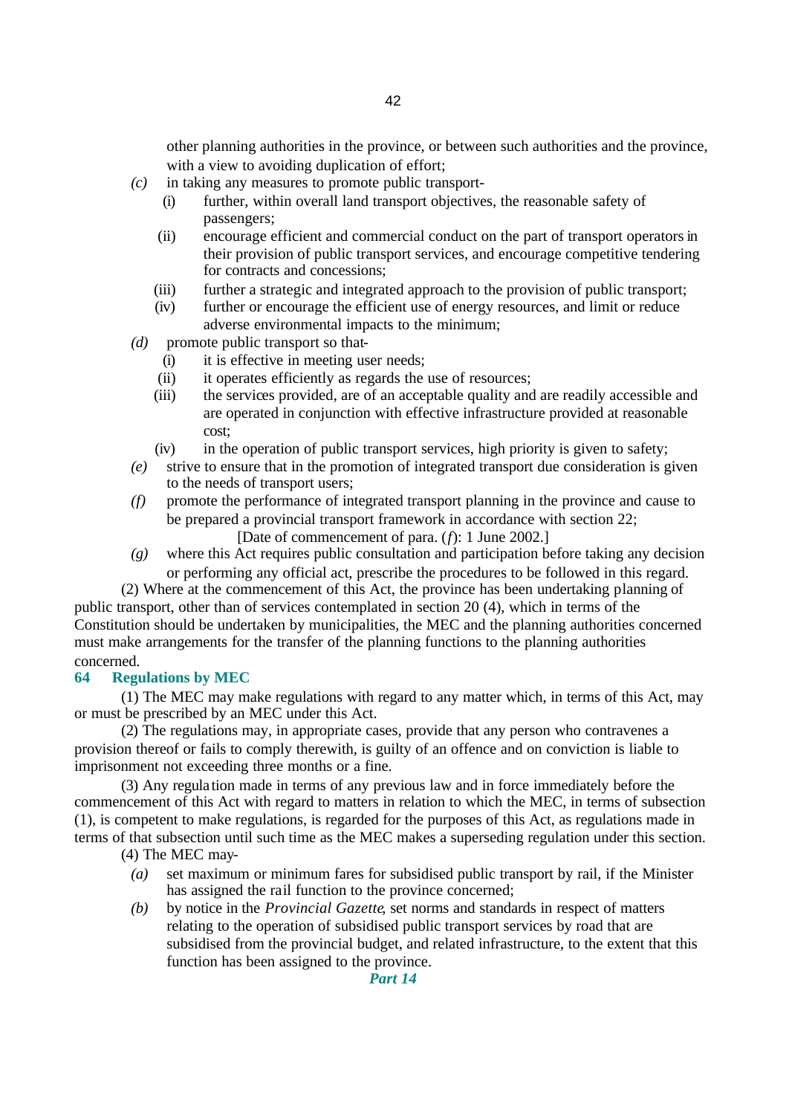other planning authorities in the province, or between such authorities and the province, with a view to avoiding duplication of effort;

- *(c)* in taking any measures to promote public transport-
	- (i) further, within overall land transport objectives, the reasonable safety of passengers;
	- (ii) encourage efficient and commercial conduct on the part of transport operators in their provision of public transport services, and encourage competitive tendering for contracts and concessions;
	- (iii) further a strategic and integrated approach to the provision of public transport;
	- (iv) further or encourage the efficient use of energy resources, and limit or reduce adverse environmental impacts to the minimum;
- *(d)* promote public transport so that-
	- (i) it is effective in meeting user needs;
	- (ii) it operates efficiently as regards the use of resources;
	- (iii) the services provided, are of an acceptable quality and are readily accessible and are operated in conjunction with effective infrastructure provided at reasonable cost;
	- (iv) in the operation of public transport services, high priority is given to safety;
- *(e)* strive to ensure that in the promotion of integrated transport due consideration is given to the needs of transport users;
- *(f)* promote the performance of integrated transport planning in the province and cause to be prepared a provincial transport framework in accordance with section 22; [Date of commencement of para. (*f*): 1 June 2002.]
- *(g)* where this Act requires public consultation and participation before taking any decision or performing any official act, prescribe the procedures to be followed in this regard.

(2) Where at the commencement of this Act, the province has been undertaking planning of public transport, other than of services contemplated in section 20 (4), which in terms of the Constitution should be undertaken by municipalities, the MEC and the planning authorities concerned must make arrangements for the transfer of the planning functions to the planning authorities concerned.

#### **64 Regulations by MEC**

(1) The MEC may make regulations with regard to any matter which, in terms of this Act, may or must be prescribed by an MEC under this Act.

(2) The regulations may, in appropriate cases, provide that any person who contravenes a provision thereof or fails to comply therewith, is guilty of an offence and on conviction is liable to imprisonment not exceeding three months or a fine.

(3) Any regulation made in terms of any previous law and in force immediately before the commencement of this Act with regard to matters in relation to which the MEC, in terms of subsection (1), is competent to make regulations, is regarded for the purposes of this Act, as regulations made in terms of that subsection until such time as the MEC makes a superseding regulation under this section.

(4) The MEC may-

- *(a)* set maximum or minimum fares for subsidised public transport by rail, if the Minister has assigned the rail function to the province concerned;
- *(b)* by notice in the *Provincial Gazette*, set norms and standards in respect of matters relating to the operation of subsidised public transport services by road that are subsidised from the provincial budget, and related infrastructure, to the extent that this function has been assigned to the province.

*Part 14*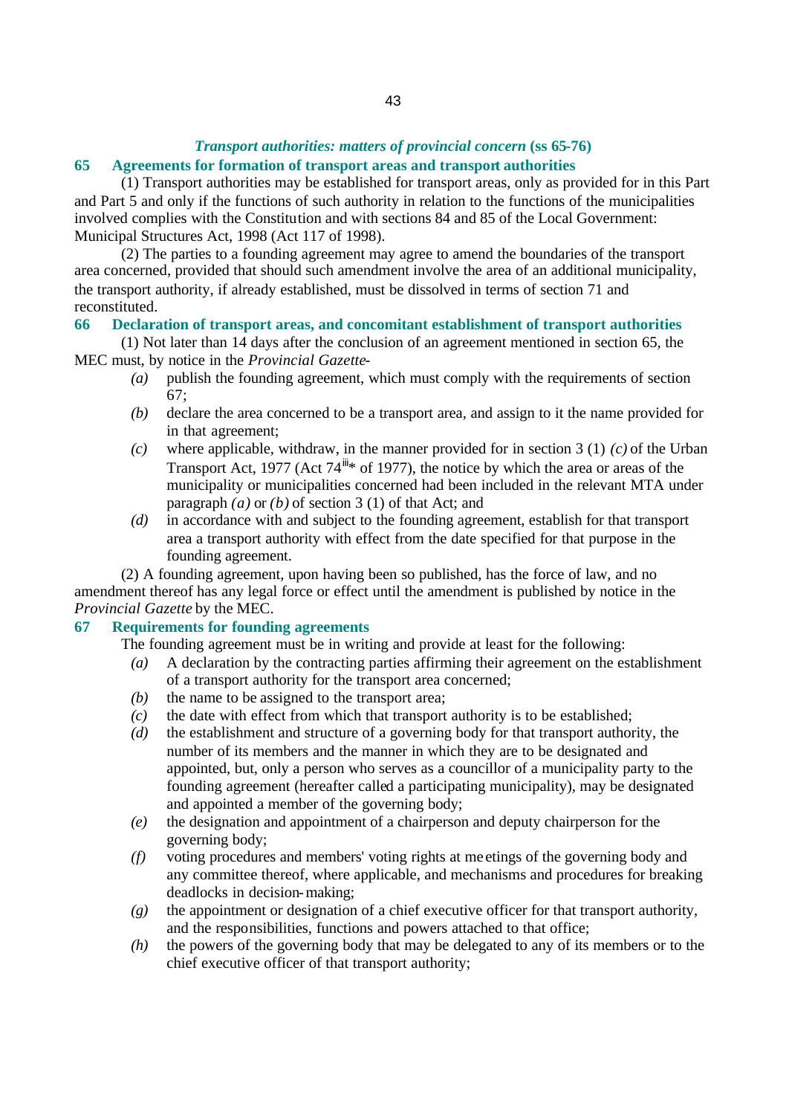# *Transport authorities: matters of provincial concern* **(ss 65-76)**

# **65 Agreements for formation of transport areas and transport authorities**

(1) Transport authorities may be established for transport areas, only as provided for in this Part and Part 5 and only if the functions of such authority in relation to the functions of the municipalities involved complies with the Constitution and with sections 84 and 85 of the Local Government: Municipal Structures Act, 1998 (Act 117 of 1998).

(2) The parties to a founding agreement may agree to amend the boundaries of the transport area concerned, provided that should such amendment involve the area of an additional municipality, the transport authority, if already established, must be dissolved in terms of section 71 and reconstituted.

# **66 Declaration of transport areas, and concomitant establishment of transport authorities**

(1) Not later than 14 days after the conclusion of an agreement mentioned in section 65, the MEC must, by notice in the *Provincial Gazette*-

- *(a)* publish the founding agreement, which must comply with the requirements of section 67;
- *(b)* declare the area concerned to be a transport area, and assign to it the name provided for in that agreement;
- *(c)* where applicable, withdraw, in the manner provided for in section 3 (1) *(c)* of the Urban Transport Act, 1977 (Act  $74^{\frac{1}{10}*}$  of 1977), the notice by which the area or areas of the municipality or municipalities concerned had been included in the relevant MTA under paragraph *(a)* or *(b)* of section 3 (1) of that Act; and
- *(d)* in accordance with and subject to the founding agreement, establish for that transport area a transport authority with effect from the date specified for that purpose in the founding agreement.

(2) A founding agreement, upon having been so published, has the force of law, and no amendment thereof has any legal force or effect until the amendment is published by notice in the *Provincial Gazette* by the MEC.

# **67 Requirements for founding agreements**

The founding agreement must be in writing and provide at least for the following:

- *(a)* A declaration by the contracting parties affirming their agreement on the establishment of a transport authority for the transport area concerned;
- *(b)* the name to be assigned to the transport area;
- *(c)* the date with effect from which that transport authority is to be established;
- *(d)* the establishment and structure of a governing body for that transport authority, the number of its members and the manner in which they are to be designated and appointed, but, only a person who serves as a councillor of a municipality party to the founding agreement (hereafter called a participating municipality), may be designated and appointed a member of the governing body;
- *(e)* the designation and appointment of a chairperson and deputy chairperson for the governing body;
- *(f)* voting procedures and members' voting rights at me etings of the governing body and any committee thereof, where applicable, and mechanisms and procedures for breaking deadlocks in decision-making;
- *(g)* the appointment or designation of a chief executive officer for that transport authority, and the responsibilities, functions and powers attached to that office;
- *(h)* the powers of the governing body that may be delegated to any of its members or to the chief executive officer of that transport authority;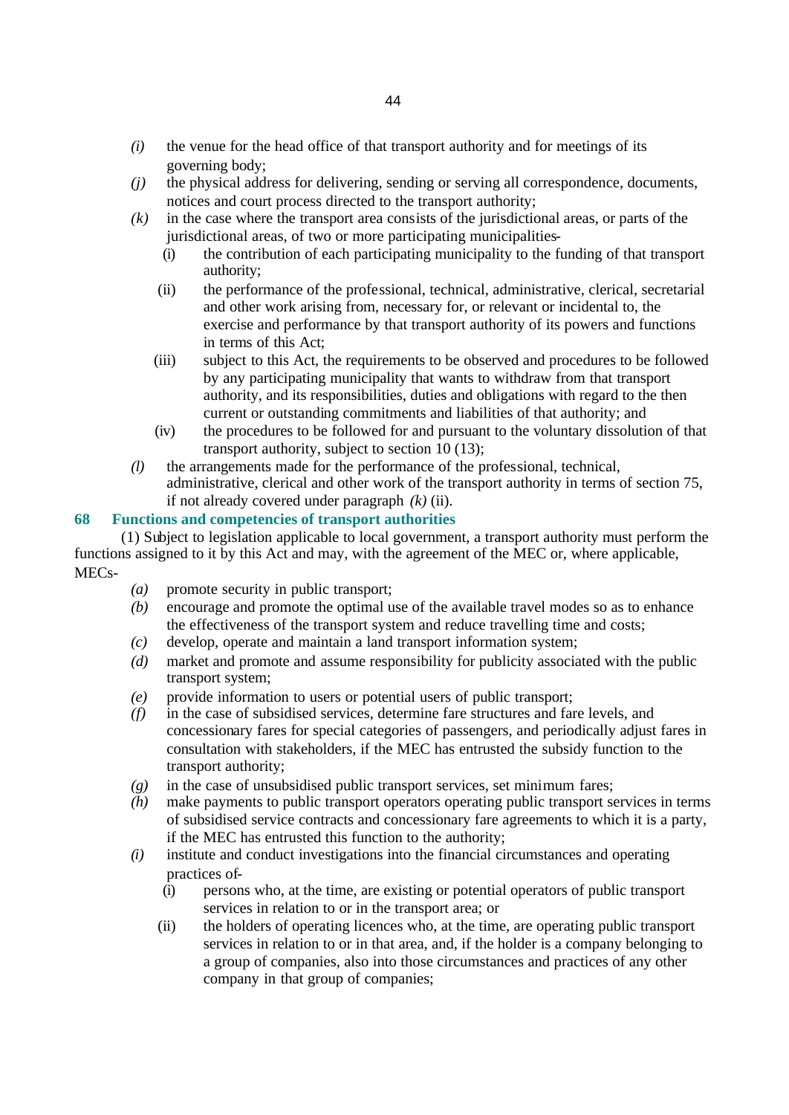- *(i)* the venue for the head office of that transport authority and for meetings of its governing body;
- *(j)* the physical address for delivering, sending or serving all correspondence, documents, notices and court process directed to the transport authority;
- *(k)* in the case where the transport area consists of the jurisdictional areas, or parts of the jurisdictional areas, of two or more participating municipalities-
	- (i) the contribution of each participating municipality to the funding of that transport authority;
	- (ii) the performance of the professional, technical, administrative, clerical, secretarial and other work arising from, necessary for, or relevant or incidental to, the exercise and performance by that transport authority of its powers and functions in terms of this Act;
	- (iii) subject to this Act, the requirements to be observed and procedures to be followed by any participating municipality that wants to withdraw from that transport authority, and its responsibilities, duties and obligations with regard to the then current or outstanding commitments and liabilities of that authority; and
	- (iv) the procedures to be followed for and pursuant to the voluntary dissolution of that transport authority, subject to section 10 (13);
- *(l)* the arrangements made for the performance of the professional, technical, administrative, clerical and other work of the transport authority in terms of section 75, if not already covered under paragraph *(k)* (ii).

# **68 Functions and competencies of transport authorities**

(1) Subject to legislation applicable to local government, a transport authority must perform the functions assigned to it by this Act and may, with the agreement of the MEC or, where applicable, MECs-

- *(a)* promote security in public transport;
- *(b)* encourage and promote the optimal use of the available travel modes so as to enhance the effectiveness of the transport system and reduce travelling time and costs;
- *(c)* develop, operate and maintain a land transport information system;
- *(d)* market and promote and assume responsibility for publicity associated with the public transport system;
- *(e)* provide information to users or potential users of public transport;
- *(f)* in the case of subsidised services, determine fare structures and fare levels, and concessionary fares for special categories of passengers, and periodically adjust fares in consultation with stakeholders, if the MEC has entrusted the subsidy function to the transport authority;
- *(g)* in the case of unsubsidised public transport services, set minimum fares;
- *(h)* make payments to public transport operators operating public transport services in terms of subsidised service contracts and concessionary fare agreements to which it is a party, if the MEC has entrusted this function to the authority;
- *(i)* institute and conduct investigations into the financial circumstances and operating practices of-
	- (i) persons who, at the time, are existing or potential operators of public transport services in relation to or in the transport area; or
	- (ii) the holders of operating licences who, at the time, are operating public transport services in relation to or in that area, and, if the holder is a company belonging to a group of companies, also into those circumstances and practices of any other company in that group of companies;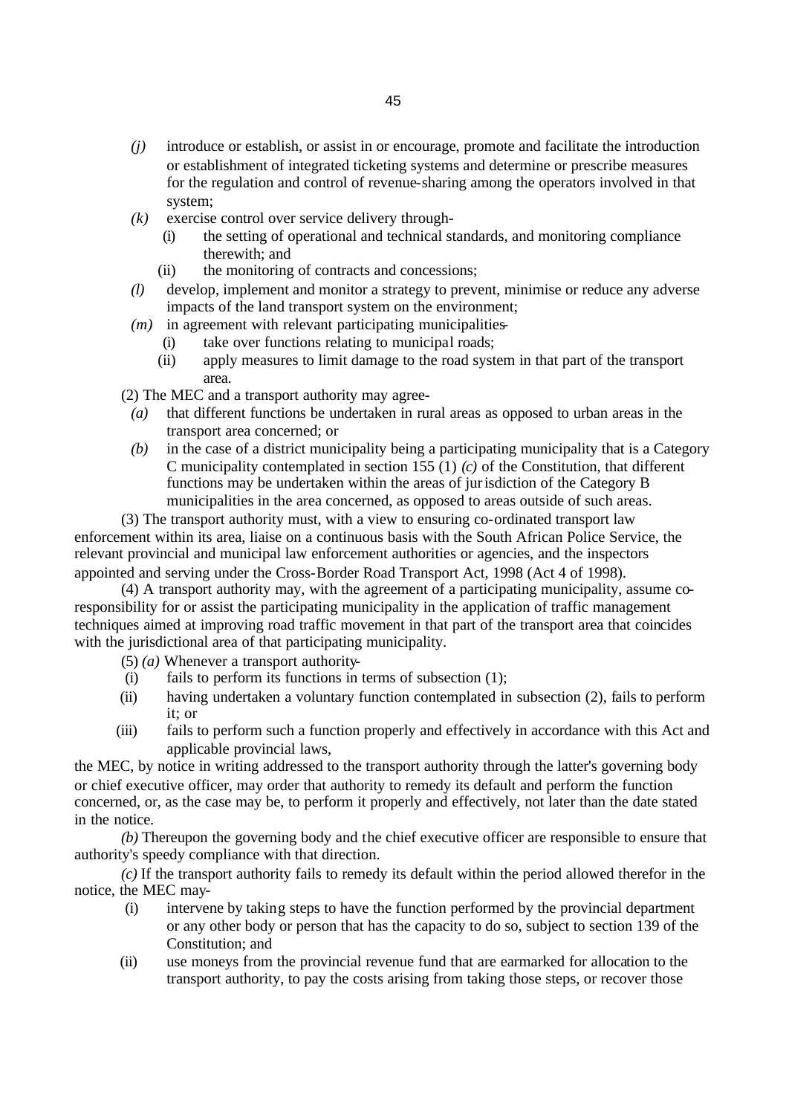- *(j)* introduce or establish, or assist in or encourage, promote and facilitate the introduction or establishment of integrated ticketing systems and determine or prescribe measures for the regulation and control of revenue-sharing among the operators involved in that system;
- *(k)* exercise control over service delivery through-
	- (i) the setting of operational and technical standards, and monitoring compliance therewith; and
	- (ii) the monitoring of contracts and concessions;
- *(l)* develop, implement and monitor a strategy to prevent, minimise or reduce any adverse impacts of the land transport system on the environment;
- *(m)* in agreement with relevant participating municipalities-
	- (i) take over functions relating to municipal roads;
	- (ii) apply measures to limit damage to the road system in that part of the transport area.

(2) The MEC and a transport authority may agree-

- *(a)* that different functions be undertaken in rural areas as opposed to urban areas in the transport area concerned; or
- *(b)* in the case of a district municipality being a participating municipality that is a Category C municipality contemplated in section 155 (1) *(c)* of the Constitution, that different functions may be undertaken within the areas of jurisdiction of the Category B municipalities in the area concerned, as opposed to areas outside of such areas.
- (3) The transport authority must, with a view to ensuring co-ordinated transport law enforcement within its area, liaise on a continuous basis with the South African Police Service, the

relevant provincial and municipal law enforcement authorities or agencies, and the inspectors appointed and serving under the Cross-Border Road Transport Act, 1998 (Act 4 of 1998).

(4) A transport authority may, with the agreement of a participating municipality, assume coresponsibility for or assist the participating municipality in the application of traffic management techniques aimed at improving road traffic movement in that part of the transport area that coincides with the jurisdictional area of that participating municipality.

(5) *(a)* Whenever a transport authority-

- (i) fails to perform its functions in terms of subsection (1);
- (ii) having undertaken a voluntary function contemplated in subsection (2), fails to perform it; or
- (iii) fails to perform such a function properly and effectively in accordance with this Act and applicable provincial laws,

the MEC, by notice in writing addressed to the transport authority through the latter's governing body or chief executive officer, may order that authority to remedy its default and perform the function concerned, or, as the case may be, to perform it properly and effectively, not later than the date stated in the notice.

*(b)* Thereupon the governing body and the chief executive officer are responsible to ensure that authority's speedy compliance with that direction.

*(c)* If the transport authority fails to remedy its default within the period allowed therefor in the notice, the MEC may-

- (i) intervene by taking steps to have the function performed by the provincial department or any other body or person that has the capacity to do so, subject to section 139 of the Constitution; and
- (ii) use moneys from the provincial revenue fund that are earmarked for allocation to the transport authority, to pay the costs arising from taking those steps, or recover those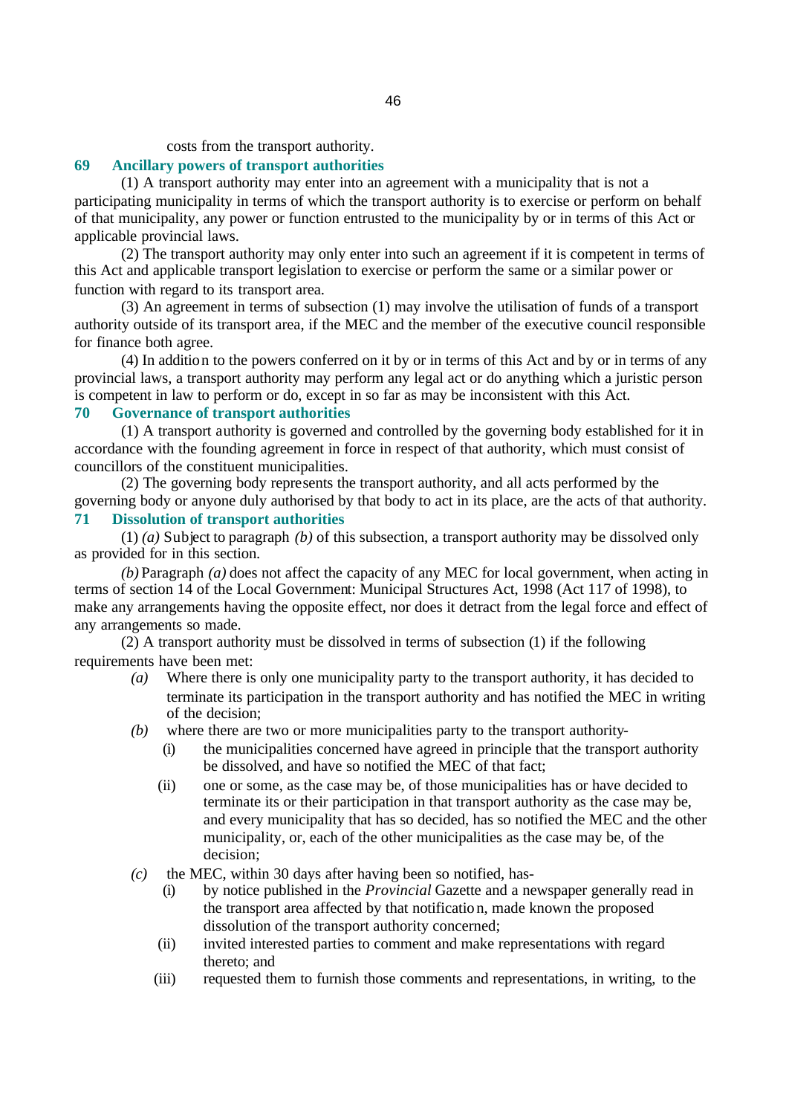costs from the transport authority.

### **69 Ancillary powers of transport authorities**

(1) A transport authority may enter into an agreement with a municipality that is not a participating municipality in terms of which the transport authority is to exercise or perform on behalf of that municipality, any power or function entrusted to the municipality by or in terms of this Act or applicable provincial laws.

(2) The transport authority may only enter into such an agreement if it is competent in terms of this Act and applicable transport legislation to exercise or perform the same or a similar power or function with regard to its transport area.

(3) An agreement in terms of subsection (1) may involve the utilisation of funds of a transport authority outside of its transport area, if the MEC and the member of the executive council responsible for finance both agree.

(4) In addition to the powers conferred on it by or in terms of this Act and by or in terms of any provincial laws, a transport authority may perform any legal act or do anything which a juristic person is competent in law to perform or do, except in so far as may be inconsistent with this Act.

# **70 Governance of transport authorities**

(1) A transport authority is governed and controlled by the governing body established for it in accordance with the founding agreement in force in respect of that authority, which must consist of councillors of the constituent municipalities.

(2) The governing body represents the transport authority, and all acts performed by the governing body or anyone duly authorised by that body to act in its place, are the acts of that authority. **71 Dissolution of transport authorities**

(1) *(a)* Subject to paragraph *(b)* of this subsection, a transport authority may be dissolved only as provided for in this section.

*(b)* Paragraph *(a)* does not affect the capacity of any MEC for local government, when acting in terms of section 14 of the Local Government: Municipal Structures Act, 1998 (Act 117 of 1998), to make any arrangements having the opposite effect, nor does it detract from the legal force and effect of any arrangements so made.

(2) A transport authority must be dissolved in terms of subsection (1) if the following requirements have been met:

- *(a)* Where there is only one municipality party to the transport authority, it has decided to terminate its participation in the transport authority and has notified the MEC in writing of the decision;
- *(b)* where there are two or more municipalities party to the transport authority-
	- (i) the municipalities concerned have agreed in principle that the transport authority be dissolved, and have so notified the MEC of that fact;
	- (ii) one or some, as the case may be, of those municipalities has or have decided to terminate its or their participation in that transport authority as the case may be, and every municipality that has so decided, has so notified the MEC and the other municipality, or, each of the other municipalities as the case may be, of the decision;
- *(c)* the MEC, within 30 days after having been so notified, has-
	- (i) by notice published in the *Provincial* Gazette and a newspaper generally read in the transport area affected by that notification, made known the proposed dissolution of the transport authority concerned;
	- (ii) invited interested parties to comment and make representations with regard thereto; and
	- (iii) requested them to furnish those comments and representations, in writing, to the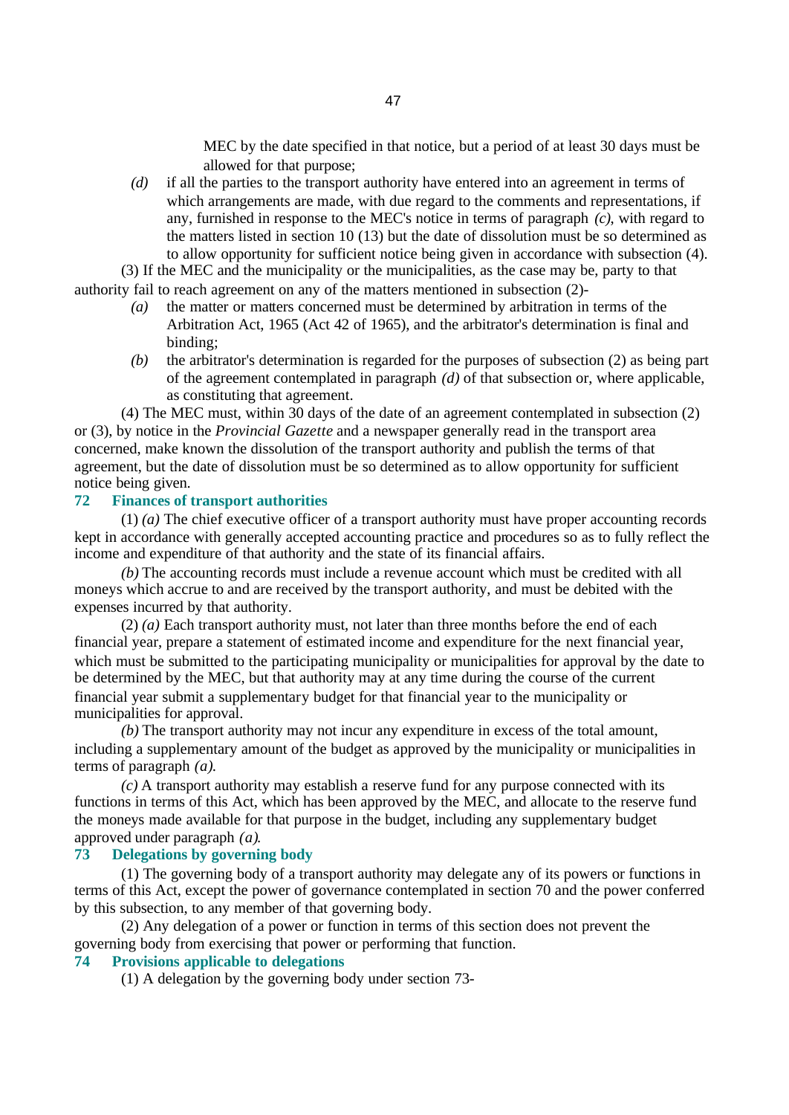MEC by the date specified in that notice, but a period of at least 30 days must be allowed for that purpose;

*(d)* if all the parties to the transport authority have entered into an agreement in terms of which arrangements are made, with due regard to the comments and representations, if any, furnished in response to the MEC's notice in terms of paragraph *(c)*, with regard to the matters listed in section 10 (13) but the date of dissolution must be so determined as to allow opportunity for sufficient notice being given in accordance with subsection (4).

(3) If the MEC and the municipality or the municipalities, as the case may be, party to that authority fail to reach agreement on any of the matters mentioned in subsection (2)-

- *(a)* the matter or matters concerned must be determined by arbitration in terms of the Arbitration Act, 1965 (Act 42 of 1965), and the arbitrator's determination is final and binding;
- *(b)* the arbitrator's determination is regarded for the purposes of subsection (2) as being part of the agreement contemplated in paragraph *(d)* of that subsection or, where applicable, as constituting that agreement.

(4) The MEC must, within 30 days of the date of an agreement contemplated in subsection (2) or (3), by notice in the *Provincial Gazette* and a newspaper generally read in the transport area concerned, make known the dissolution of the transport authority and publish the terms of that agreement, but the date of dissolution must be so determined as to allow opportunity for sufficient notice being given.

### **72 Finances of transport authorities**

(1) *(a)* The chief executive officer of a transport authority must have proper accounting records kept in accordance with generally accepted accounting practice and procedures so as to fully reflect the income and expenditure of that authority and the state of its financial affairs.

*(b)* The accounting records must include a revenue account which must be credited with all moneys which accrue to and are received by the transport authority, and must be debited with the expenses incurred by that authority.

(2) *(a)* Each transport authority must, not later than three months before the end of each financial year, prepare a statement of estimated income and expenditure for the next financial year, which must be submitted to the participating municipality or municipalities for approval by the date to be determined by the MEC, but that authority may at any time during the course of the current financial year submit a supplementary budget for that financial year to the municipality or municipalities for approval.

*(b)* The transport authority may not incur any expenditure in excess of the total amount, including a supplementary amount of the budget as approved by the municipality or municipalities in terms of paragraph *(a)*.

*(c)* A transport authority may establish a reserve fund for any purpose connected with its functions in terms of this Act, which has been approved by the MEC, and allocate to the reserve fund the moneys made available for that purpose in the budget, including any supplementary budget approved under paragraph *(a)*.

#### **73 Delegations by governing body**

(1) The governing body of a transport authority may delegate any of its powers or functions in terms of this Act, except the power of governance contemplated in section 70 and the power conferred by this subsection, to any member of that governing body.

(2) Any delegation of a power or function in terms of this section does not prevent the governing body from exercising that power or performing that function.

### **74 Provisions applicable to delegations**

(1) A delegation by the governing body under section 73-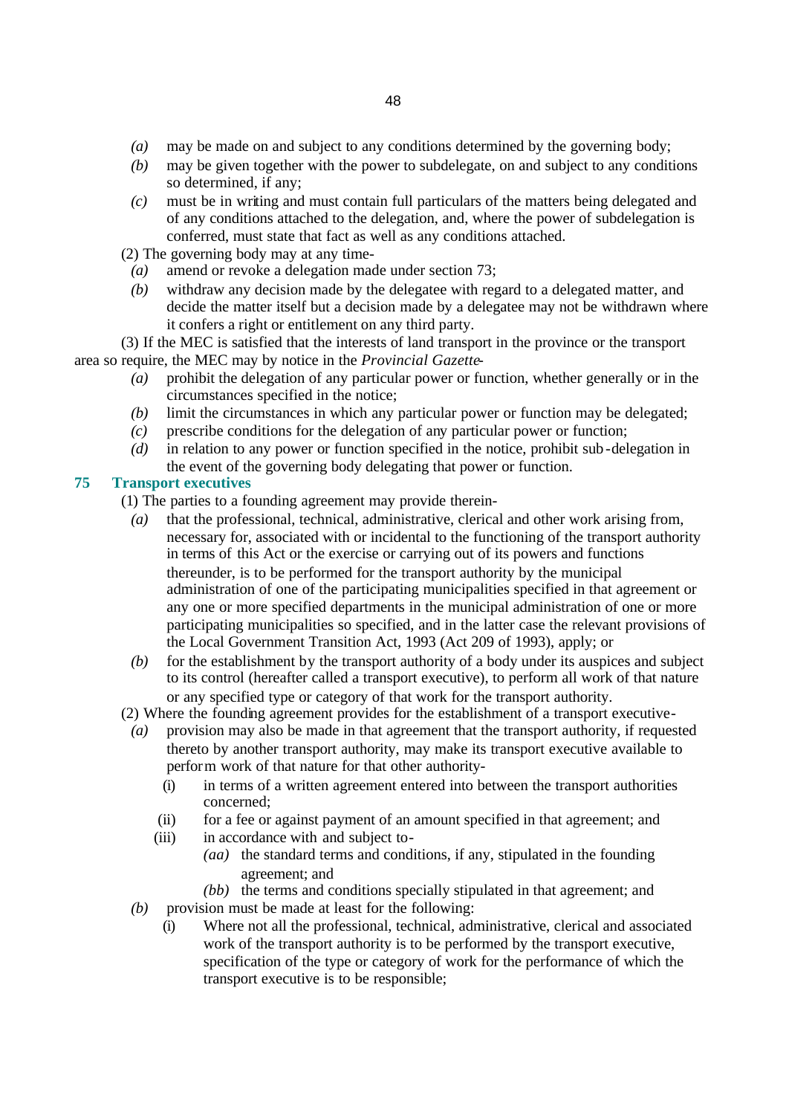- *(a)* may be made on and subject to any conditions determined by the governing body;
- *(b)* may be given together with the power to subdelegate, on and subject to any conditions so determined, if any;
- *(c)* must be in writing and must contain full particulars of the matters being delegated and of any conditions attached to the delegation, and, where the power of subdelegation is conferred, must state that fact as well as any conditions attached.

(2) The governing body may at any time-

- *(a)* amend or revoke a delegation made under section 73;
- *(b)* withdraw any decision made by the delegatee with regard to a delegated matter, and decide the matter itself but a decision made by a delegatee may not be withdrawn where it confers a right or entitlement on any third party.
- (3) If the MEC is satisfied that the interests of land transport in the province or the transport area so require, the MEC may by notice in the *Provincial Gazette*-
	- *(a)* prohibit the delegation of any particular power or function, whether generally or in the circumstances specified in the notice;
	- *(b)* limit the circumstances in which any particular power or function may be delegated;
	- *(c)* prescribe conditions for the delegation of any particular power or function;
	- *(d)* in relation to any power or function specified in the notice, prohibit sub-delegation in the event of the governing body delegating that power or function.

# **75 Transport executives**

- (1) The parties to a founding agreement may provide therein-
	- *(a)* that the professional, technical, administrative, clerical and other work arising from, necessary for, associated with or incidental to the functioning of the transport authority in terms of this Act or the exercise or carrying out of its powers and functions thereunder, is to be performed for the transport authority by the municipal administration of one of the participating municipalities specified in that agreement or any one or more specified departments in the municipal administration of one or more participating municipalities so specified, and in the latter case the relevant provisions of the Local Government Transition Act, 1993 (Act 209 of 1993), apply; or
	- *(b)* for the establishment by the transport authority of a body under its auspices and subject to its control (hereafter called a transport executive), to perform all work of that nature or any specified type or category of that work for the transport authority.
- (2) Where the founding agreement provides for the establishment of a transport executive-
	- *(a)* provision may also be made in that agreement that the transport authority, if requested thereto by another transport authority, may make its transport executive available to perform work of that nature for that other authority-
		- (i) in terms of a written agreement entered into between the transport authorities concerned;
		- (ii) for a fee or against payment of an amount specified in that agreement; and
		- (iii) in accordance with and subject to-
			- *(aa)* the standard terms and conditions, if any, stipulated in the founding agreement; and
	- *(bb)* the terms and conditions specially stipulated in that agreement; and *(b)* provision must be made at least for the following:
		- (i) Where not all the professional, technical, administrative, clerical and associated work of the transport authority is to be performed by the transport executive, specification of the type or category of work for the performance of which the transport executive is to be responsible;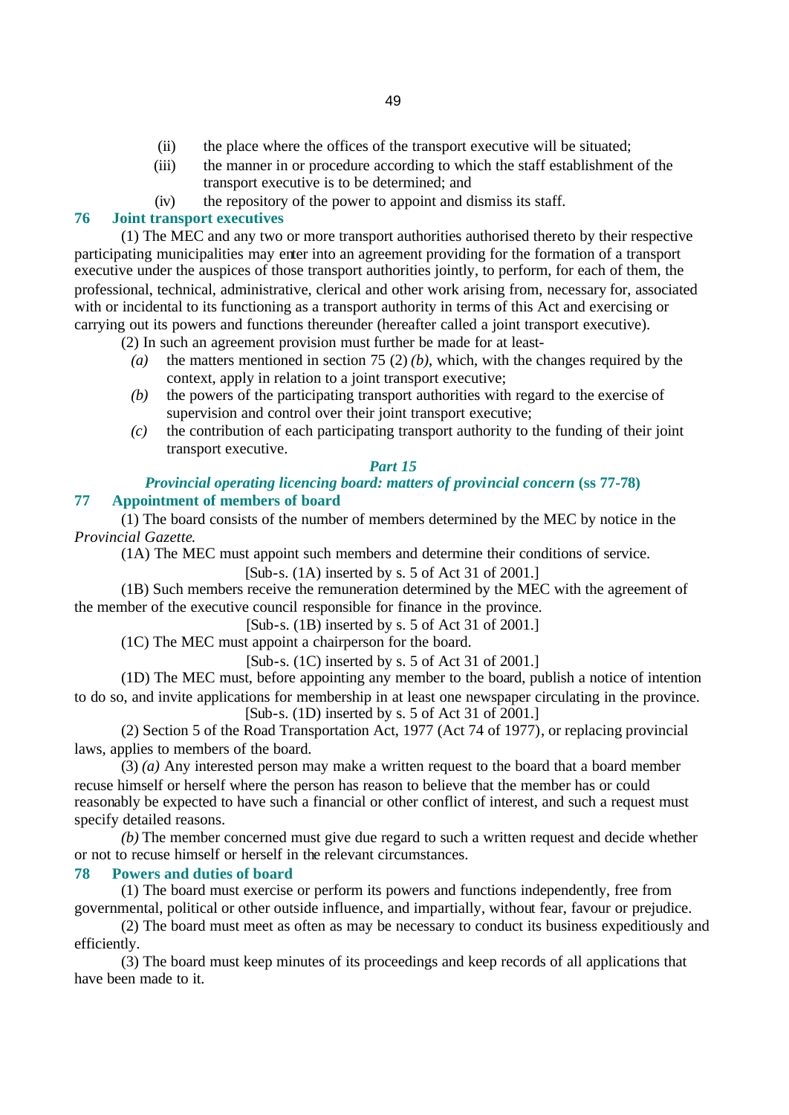- (ii) the place where the offices of the transport executive will be situated;
- (iii) the manner in or procedure according to which the staff establishment of the transport executive is to be determined; and
- (iv) the repository of the power to appoint and dismiss its staff.

### **76 Joint transport executives**

(1) The MEC and any two or more transport authorities authorised thereto by their respective participating municipalities may enter into an agreement providing for the formation of a transport executive under the auspices of those transport authorities jointly, to perform, for each of them, the professional, technical, administrative, clerical and other work arising from, necessary for, associated with or incidental to its functioning as a transport authority in terms of this Act and exercising or carrying out its powers and functions thereunder (hereafter called a joint transport executive).

(2) In such an agreement provision must further be made for at least-

- *(a)* the matters mentioned in section 75 (2) *(b)*, which, with the changes required by the context, apply in relation to a joint transport executive;
- *(b)* the powers of the participating transport authorities with regard to the exercise of supervision and control over their joint transport executive;
- *(c)* the contribution of each participating transport authority to the funding of their joint transport executive.

### *Part 15*

# *Provincial operating licencing board: matters of provincial concern (ss 77-78)* **77 Appointment of members of board**

(1) The board consists of the number of members determined by the MEC by notice in the *Provincial Gazette*.

(1A) The MEC must appoint such members and determine their conditions of service. [Sub-s. (1A) inserted by s. 5 of Act 31 of 2001.]

(1B) Such members receive the remuneration determined by the MEC with the agreement of the member of the executive council responsible for finance in the province.

[Sub-s. (1B) inserted by s. 5 of Act 31 of 2001.]

(1C) The MEC must appoint a chairperson for the board.

 $[Sub-s, (1C)$  inserted by s. 5 of Act 31 of 2001.

(1D) The MEC must, before appointing any member to the board, publish a notice of intention to do so, and invite applications for membership in at least one newspaper circulating in the province. [Sub-s. (1D) inserted by s. 5 of Act 31 of 2001.]

(2) Section 5 of the Road Transportation Act, 1977 (Act 74 of 1977), or replacing provincial laws, applies to members of the board.

(3) *(a)* Any interested person may make a written request to the board that a board member recuse himself or herself where the person has reason to believe that the member has or could reasonably be expected to have such a financial or other conflict of interest, and such a request must specify detailed reasons.

*(b)* The member concerned must give due regard to such a written request and decide whether or not to recuse himself or herself in the relevant circumstances.

#### **78 Powers and duties of board**

(1) The board must exercise or perform its powers and functions independently, free from governmental, political or other outside influence, and impartially, without fear, favour or prejudice.

(2) The board must meet as often as may be necessary to conduct its business expeditiously and efficiently.

(3) The board must keep minutes of its proceedings and keep records of all applications that have been made to it.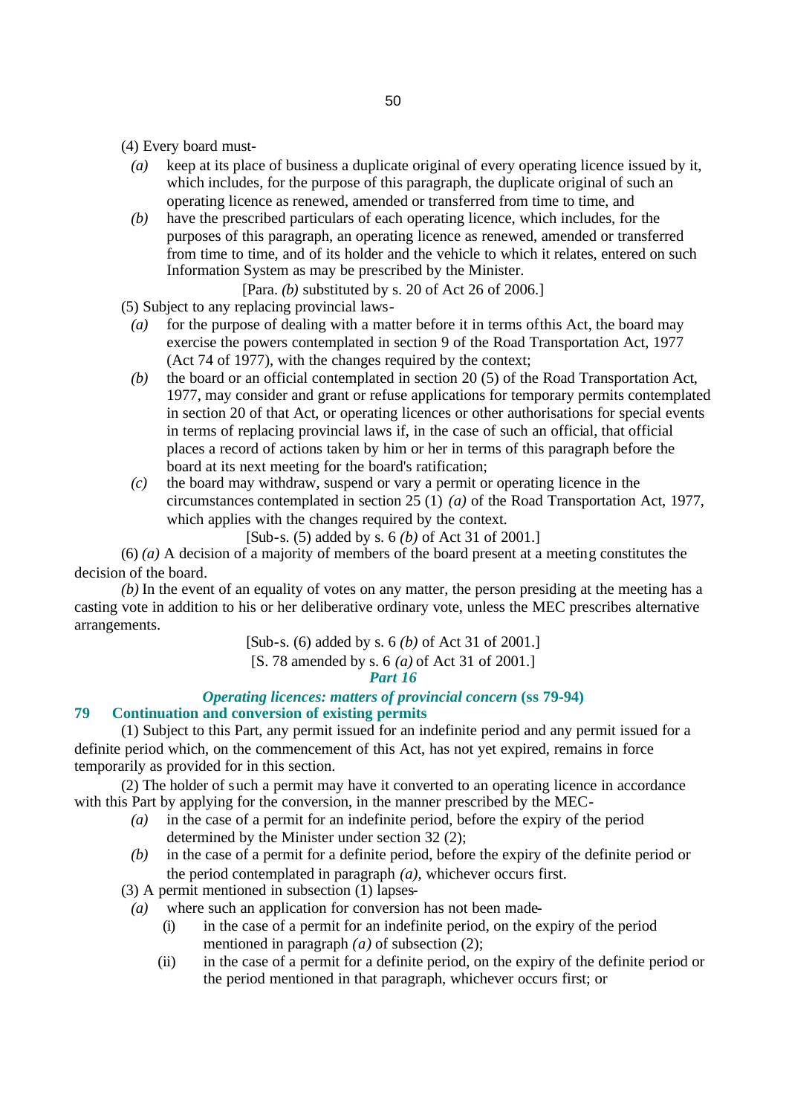(4) Every board must-

- *(a)* keep at its place of business a duplicate original of every operating licence issued by it, which includes, for the purpose of this paragraph, the duplicate original of such an operating licence as renewed, amended or transferred from time to time, and
- *(b)* have the prescribed particulars of each operating licence, which includes, for the purposes of this paragraph, an operating licence as renewed, amended or transferred from time to time, and of its holder and the vehicle to which it relates, entered on such Information System as may be prescribed by the Minister.

[Para. *(b)* substituted by s. 20 of Act 26 of 2006.]

(5) Subject to any replacing provincial laws-

- *(a)* for the purpose of dealing with a matter before it in terms of this Act, the board may exercise the powers contemplated in section 9 of the Road Transportation Act, 1977 (Act 74 of 1977), with the changes required by the context;
- *(b)* the board or an official contemplated in section 20 (5) of the Road Transportation Act, 1977, may consider and grant or refuse applications for temporary permits contemplated in section 20 of that Act, or operating licences or other authorisations for special events in terms of replacing provincial laws if, in the case of such an official, that official places a record of actions taken by him or her in terms of this paragraph before the board at its next meeting for the board's ratification;
- *(c)* the board may withdraw, suspend or vary a permit or operating licence in the circumstances contemplated in section 25 (1) *(a)* of the Road Transportation Act, 1977, which applies with the changes required by the context.

[Sub-s. (5) added by s. 6 *(b)* of Act 31 of 2001.]

(6) *(a)* A decision of a majority of members of the board present at a meeting constitutes the decision of the board.

*(b)* In the event of an equality of votes on any matter, the person presiding at the meeting has a casting vote in addition to his or her deliberative ordinary vote, unless the MEC prescribes alternative arrangements.

[Sub-s. (6) added by s. 6 *(b)* of Act 31 of 2001.]

[S. 78 amended by s. 6 *(a)* of Act 31 of 2001.]

*Part 16*

#### *Operating licences: matters of provincial concern* **(ss 79-94)**

### **79 Continuation and conversion of existing permits**

(1) Subject to this Part, any permit issued for an indefinite period and any permit issued for a definite period which, on the commencement of this Act, has not yet expired, remains in force temporarily as provided for in this section.

(2) The holder of such a permit may have it converted to an operating licence in accordance with this Part by applying for the conversion, in the manner prescribed by the MEC-

- *(a)* in the case of a permit for an indefinite period, before the expiry of the period determined by the Minister under section 32 (2);
- *(b)* in the case of a permit for a definite period, before the expiry of the definite period or the period contemplated in paragraph *(a)*, whichever occurs first.

(3) A permit mentioned in subsection (1) lapses-

- *(a)* where such an application for conversion has not been made-
	- (i) in the case of a permit for an indefinite period, on the expiry of the period mentioned in paragraph *(a)* of subsection (2);
	- (ii) in the case of a permit for a definite period, on the expiry of the definite period or the period mentioned in that paragraph, whichever occurs first; or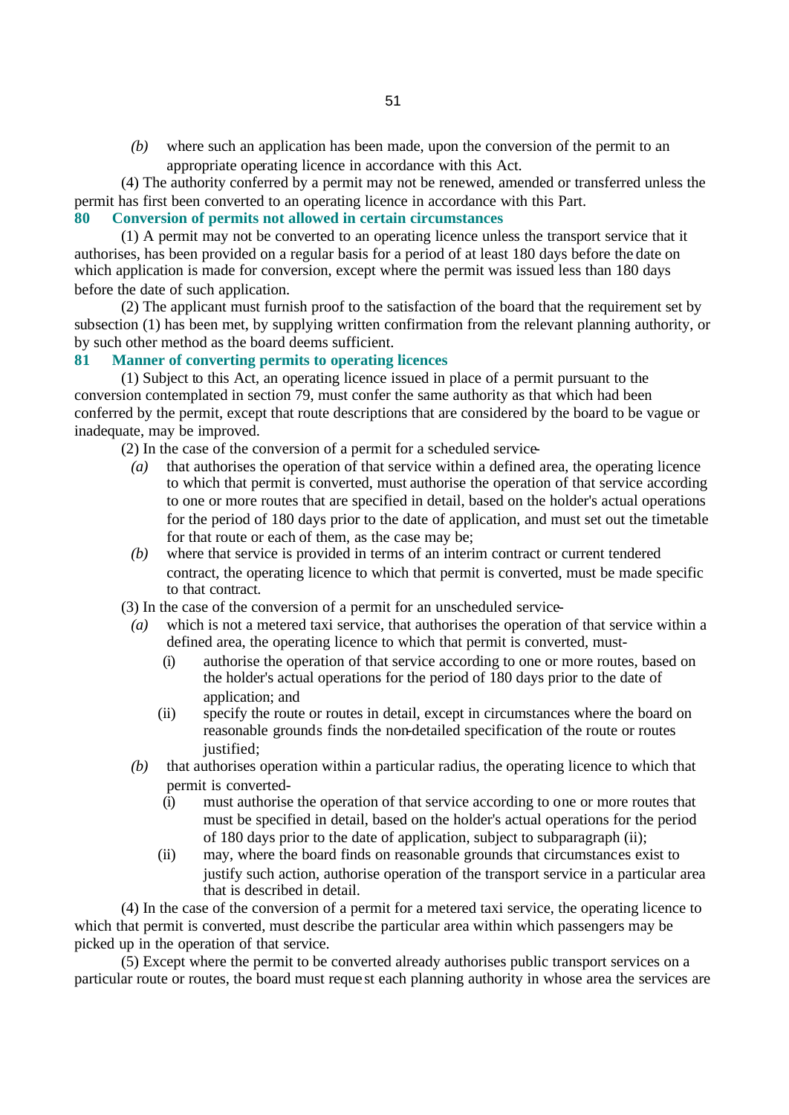*(b)* where such an application has been made, upon the conversion of the permit to an appropriate operating licence in accordance with this Act.

(4) The authority conferred by a permit may not be renewed, amended or transferred unless the permit has first been converted to an operating licence in accordance with this Part.

### **80 Conversion of permits not allowed in certain circumstances**

(1) A permit may not be converted to an operating licence unless the transport service that it authorises, has been provided on a regular basis for a period of at least 180 days before the date on which application is made for conversion, except where the permit was issued less than 180 days before the date of such application.

(2) The applicant must furnish proof to the satisfaction of the board that the requirement set by subsection (1) has been met, by supplying written confirmation from the relevant planning authority, or by such other method as the board deems sufficient.

# **81 Manner of converting permits to operating licences**

(1) Subject to this Act, an operating licence issued in place of a permit pursuant to the conversion contemplated in section 79, must confer the same authority as that which had been conferred by the permit, except that route descriptions that are considered by the board to be vague or inadequate, may be improved.

(2) In the case of the conversion of a permit for a scheduled service-

- *(a)* that authorises the operation of that service within a defined area, the operating licence to which that permit is converted, must authorise the operation of that service according to one or more routes that are specified in detail, based on the holder's actual operations for the period of 180 days prior to the date of application, and must set out the timetable for that route or each of them, as the case may be;
- *(b)* where that service is provided in terms of an interim contract or current tendered contract, the operating licence to which that permit is converted, must be made specific to that contract.

(3) In the case of the conversion of a permit for an unscheduled service-

- *(a)* which is not a metered taxi service, that authorises the operation of that service within a defined area, the operating licence to which that permit is converted, must-
	- (i) authorise the operation of that service according to one or more routes, based on the holder's actual operations for the period of 180 days prior to the date of application; and
	- (ii) specify the route or routes in detail, except in circumstances where the board on reasonable grounds finds the non-detailed specification of the route or routes justified:
- *(b)* that authorises operation within a particular radius, the operating licence to which that permit is converted-
	- (i) must authorise the operation of that service according to one or more routes that must be specified in detail, based on the holder's actual operations for the period of 180 days prior to the date of application, subject to subparagraph (ii);
	- (ii) may, where the board finds on reasonable grounds that circumstances exist to justify such action, authorise operation of the transport service in a particular area that is described in detail.

(4) In the case of the conversion of a permit for a metered taxi service, the operating licence to which that permit is converted, must describe the particular area within which passengers may be picked up in the operation of that service.

(5) Except where the permit to be converted already authorises public transport services on a particular route or routes, the board must reque st each planning authority in whose area the services are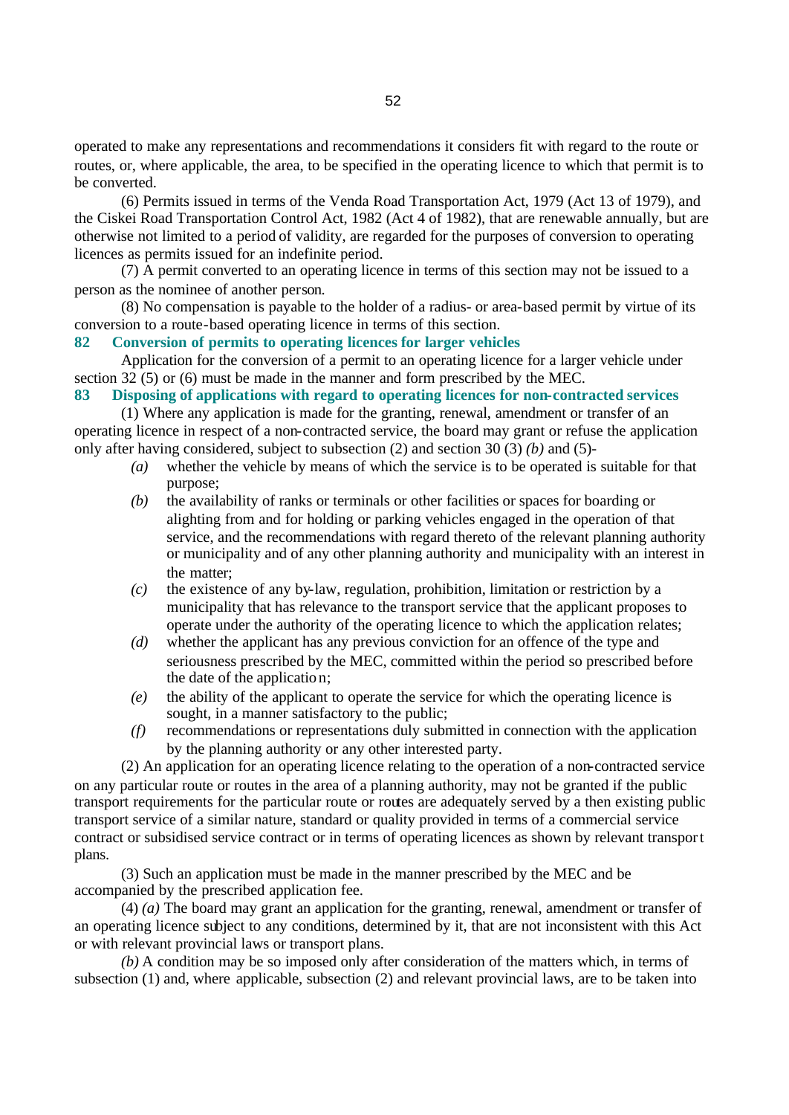operated to make any representations and recommendations it considers fit with regard to the route or routes, or, where applicable, the area, to be specified in the operating licence to which that permit is to be converted.

(6) Permits issued in terms of the Venda Road Transportation Act, 1979 (Act 13 of 1979), and the Ciskei Road Transportation Control Act, 1982 (Act 4 of 1982), that are renewable annually, but are otherwise not limited to a period of validity, are regarded for the purposes of conversion to operating licences as permits issued for an indefinite period.

(7) A permit converted to an operating licence in terms of this section may not be issued to a person as the nominee of another person.

(8) No compensation is payable to the holder of a radius- or area-based permit by virtue of its conversion to a route-based operating licence in terms of this section.

### **82 Conversion of permits to operating licences for larger vehicles**

Application for the conversion of a permit to an operating licence for a larger vehicle under section 32 (5) or (6) must be made in the manner and form prescribed by the MEC.

**83 Disposing of applications with regard to operating licences for non-contracted services**

(1) Where any application is made for the granting, renewal, amendment or transfer of an operating licence in respect of a non-contracted service, the board may grant or refuse the application only after having considered, subject to subsection (2) and section 30 (3) *(b)* and (5)-

- *(a)* whether the vehicle by means of which the service is to be operated is suitable for that purpose;
- *(b)* the availability of ranks or terminals or other facilities or spaces for boarding or alighting from and for holding or parking vehicles engaged in the operation of that service, and the recommendations with regard thereto of the relevant planning authority or municipality and of any other planning authority and municipality with an interest in the matter;
- *(c)* the existence of any by-law, regulation, prohibition, limitation or restriction by a municipality that has relevance to the transport service that the applicant proposes to operate under the authority of the operating licence to which the application relates;
- *(d)* whether the applicant has any previous conviction for an offence of the type and seriousness prescribed by the MEC, committed within the period so prescribed before the date of the application;
- *(e)* the ability of the applicant to operate the service for which the operating licence is sought, in a manner satisfactory to the public;
- *(f)* recommendations or representations duly submitted in connection with the application by the planning authority or any other interested party.

(2) An application for an operating licence relating to the operation of a non-contracted service on any particular route or routes in the area of a planning authority, may not be granted if the public transport requirements for the particular route or routes are adequately served by a then existing public transport service of a similar nature, standard or quality provided in terms of a commercial service contract or subsidised service contract or in terms of operating licences as shown by relevant transport plans.

(3) Such an application must be made in the manner prescribed by the MEC and be accompanied by the prescribed application fee.

(4) *(a)* The board may grant an application for the granting, renewal, amendment or transfer of an operating licence subject to any conditions, determined by it, that are not inconsistent with this Act or with relevant provincial laws or transport plans.

*(b)* A condition may be so imposed only after consideration of the matters which, in terms of subsection (1) and, where applicable, subsection (2) and relevant provincial laws, are to be taken into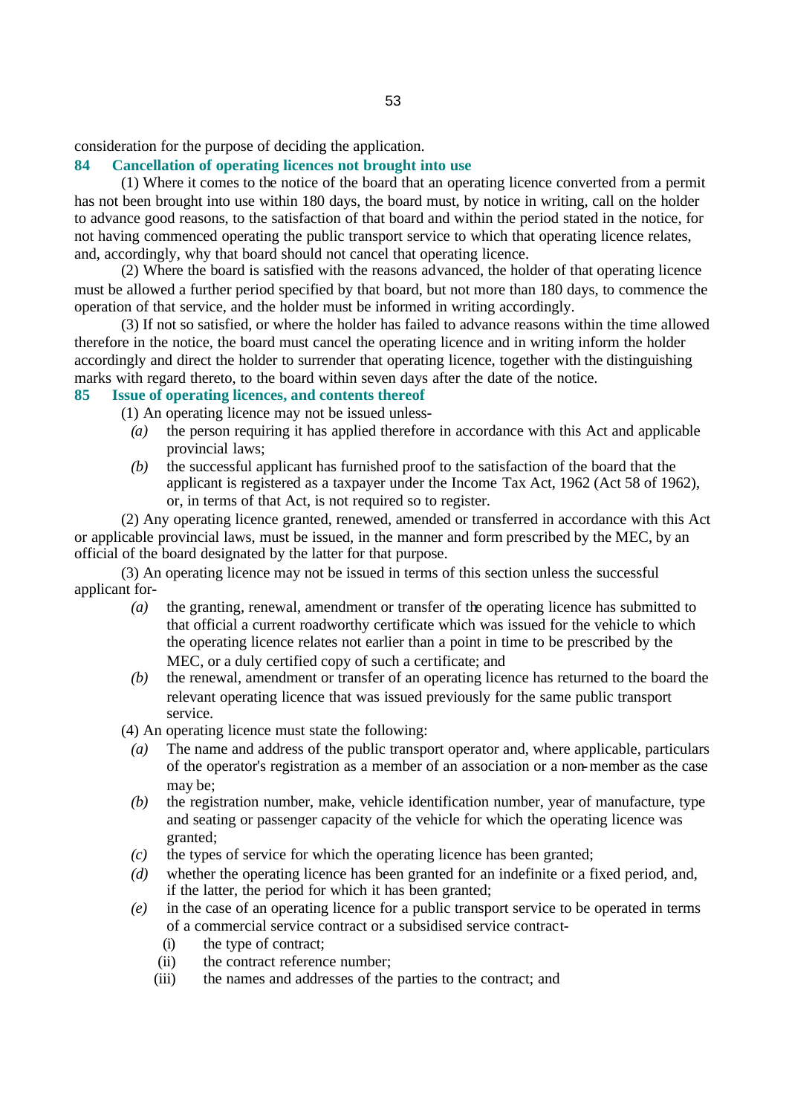consideration for the purpose of deciding the application.

# **84 Cancellation of operating licences not brought into use**

(1) Where it comes to the notice of the board that an operating licence converted from a permit has not been brought into use within 180 days, the board must, by notice in writing, call on the holder to advance good reasons, to the satisfaction of that board and within the period stated in the notice, for not having commenced operating the public transport service to which that operating licence relates, and, accordingly, why that board should not cancel that operating licence.

(2) Where the board is satisfied with the reasons advanced, the holder of that operating licence must be allowed a further period specified by that board, but not more than 180 days, to commence the operation of that service, and the holder must be informed in writing accordingly.

(3) If not so satisfied, or where the holder has failed to advance reasons within the time allowed therefore in the notice, the board must cancel the operating licence and in writing inform the holder accordingly and direct the holder to surrender that operating licence, together with the distinguishing marks with regard thereto, to the board within seven days after the date of the notice.

# **85 Issue of operating licences, and contents thereof**

- (1) An operating licence may not be issued unless-
	- *(a)* the person requiring it has applied therefore in accordance with this Act and applicable provincial laws;
	- *(b)* the successful applicant has furnished proof to the satisfaction of the board that the applicant is registered as a taxpayer under the Income Tax Act, 1962 (Act 58 of 1962), or, in terms of that Act, is not required so to register.

(2) Any operating licence granted, renewed, amended or transferred in accordance with this Act or applicable provincial laws, must be issued, in the manner and form prescribed by the MEC, by an official of the board designated by the latter for that purpose.

(3) An operating licence may not be issued in terms of this section unless the successful applicant for-

- *(a)* the granting, renewal, amendment or transfer of the operating licence has submitted to that official a current roadworthy certificate which was issued for the vehicle to which the operating licence relates not earlier than a point in time to be prescribed by the MEC, or a duly certified copy of such a certificate; and
- *(b)* the renewal, amendment or transfer of an operating licence has returned to the board the relevant operating licence that was issued previously for the same public transport service.

(4) An operating licence must state the following:

- *(a)* The name and address of the public transport operator and, where applicable, particulars of the operator's registration as a member of an association or a non-member as the case may be;
- *(b)* the registration number, make, vehicle identification number, year of manufacture, type and seating or passenger capacity of the vehicle for which the operating licence was granted;
- *(c)* the types of service for which the operating licence has been granted;
- *(d)* whether the operating licence has been granted for an indefinite or a fixed period, and, if the latter, the period for which it has been granted;
- *(e)* in the case of an operating licence for a public transport service to be operated in terms of a commercial service contract or a subsidised service contract-
	- (i) the type of contract;
	- (ii) the contract reference number;
	- (iii) the names and addresses of the parties to the contract; and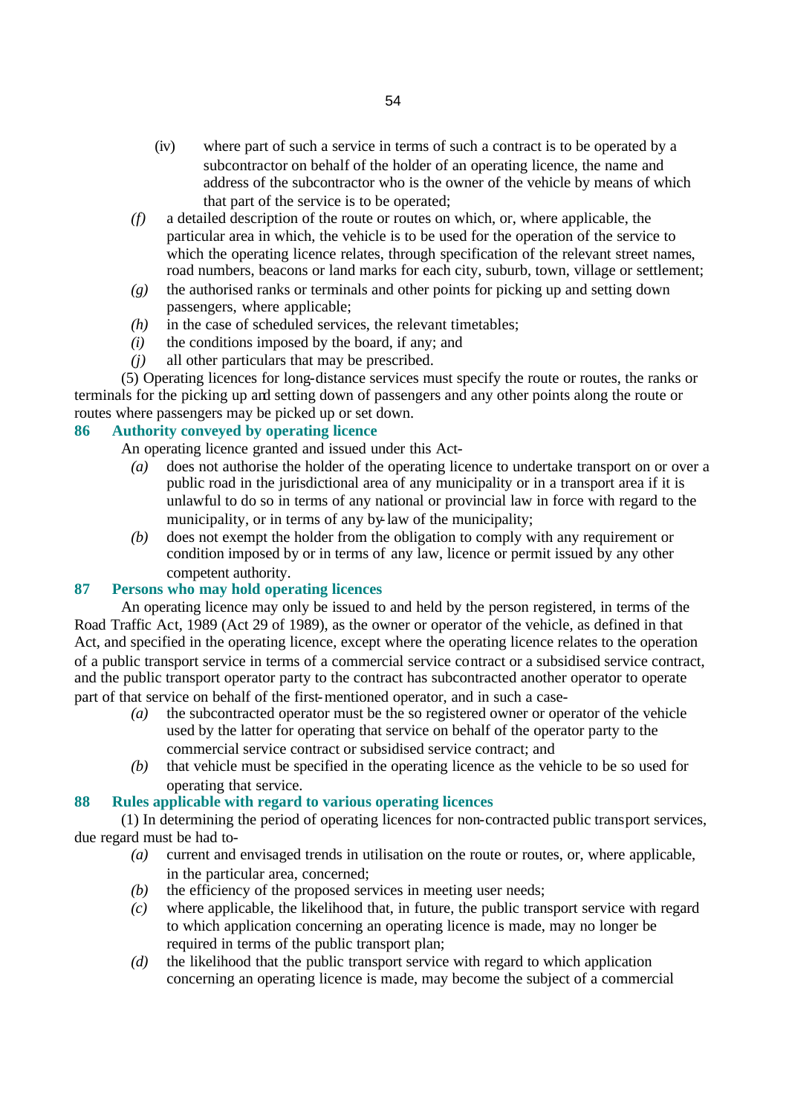- (iv) where part of such a service in terms of such a contract is to be operated by a subcontractor on behalf of the holder of an operating licence, the name and address of the subcontractor who is the owner of the vehicle by means of which that part of the service is to be operated;
- *(f)* a detailed description of the route or routes on which, or, where applicable, the particular area in which, the vehicle is to be used for the operation of the service to which the operating licence relates, through specification of the relevant street names, road numbers, beacons or land marks for each city, suburb, town, village or settlement;
- *(g)* the authorised ranks or terminals and other points for picking up and setting down passengers, where applicable;
- *(h)* in the case of scheduled services, the relevant timetables;
- *(i)* the conditions imposed by the board, if any; and
- *(j)* all other particulars that may be prescribed.

(5) Operating licences for long-distance services must specify the route or routes, the ranks or terminals for the picking up and setting down of passengers and any other points along the route or routes where passengers may be picked up or set down.

# **86 Authority conveyed by operating licence**

An operating licence granted and issued under this Act-

- *(a)* does not authorise the holder of the operating licence to undertake transport on or over a public road in the jurisdictional area of any municipality or in a transport area if it is unlawful to do so in terms of any national or provincial law in force with regard to the municipality, or in terms of any by-law of the municipality;
- *(b)* does not exempt the holder from the obligation to comply with any requirement or condition imposed by or in terms of any law, licence or permit issued by any other competent authority.

# **87 Persons who may hold operating licences**

An operating licence may only be issued to and held by the person registered, in terms of the Road Traffic Act, 1989 (Act 29 of 1989), as the owner or operator of the vehicle, as defined in that Act, and specified in the operating licence, except where the operating licence relates to the operation of a public transport service in terms of a commercial service contract or a subsidised service contract, and the public transport operator party to the contract has subcontracted another operator to operate part of that service on behalf of the first-mentioned operator, and in such a case-

- *(a)* the subcontracted operator must be the so registered owner or operator of the vehicle used by the latter for operating that service on behalf of the operator party to the commercial service contract or subsidised service contract; and
- *(b)* that vehicle must be specified in the operating licence as the vehicle to be so used for operating that service.

# **88 Rules applicable with regard to various operating licences**

(1) In determining the period of operating licences for non-contracted public transport services, due regard must be had to-

- *(a)* current and envisaged trends in utilisation on the route or routes, or, where applicable, in the particular area, concerned;
- *(b)* the efficiency of the proposed services in meeting user needs;
- *(c)* where applicable, the likelihood that, in future, the public transport service with regard to which application concerning an operating licence is made, may no longer be required in terms of the public transport plan;
- *(d)* the likelihood that the public transport service with regard to which application concerning an operating licence is made, may become the subject of a commercial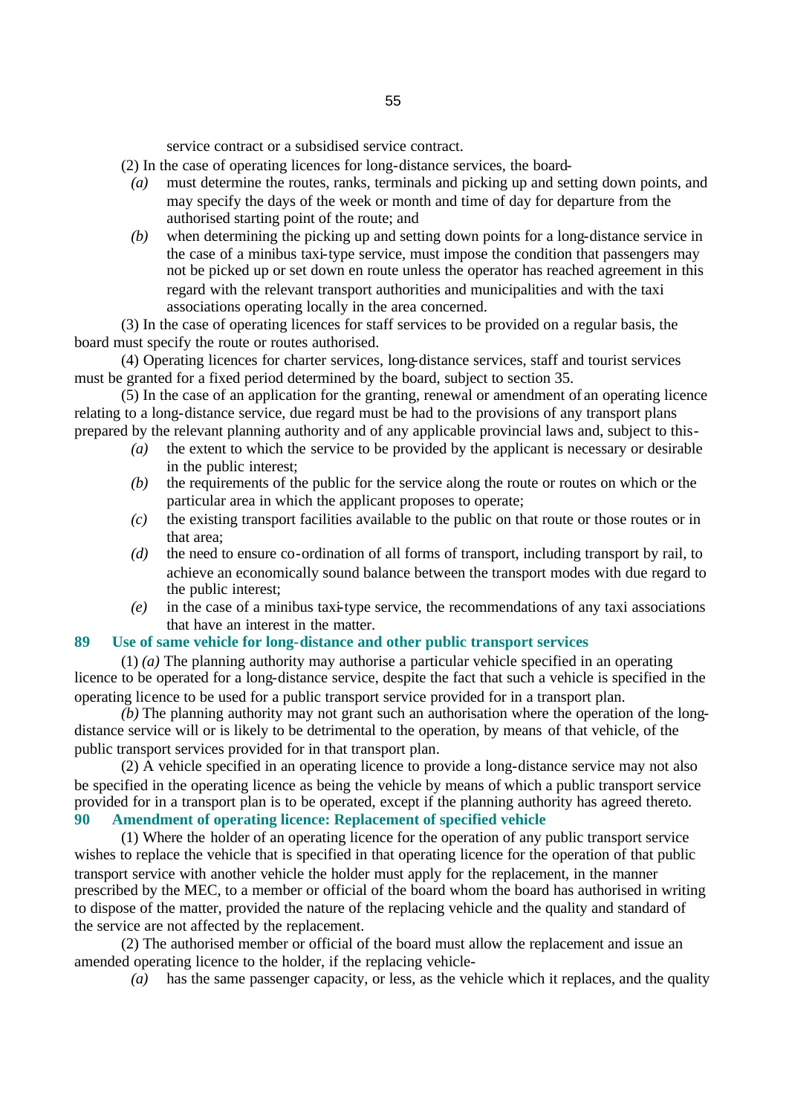service contract or a subsidised service contract.

(2) In the case of operating licences for long-distance services, the board-

- *(a)* must determine the routes, ranks, terminals and picking up and setting down points, and may specify the days of the week or month and time of day for departure from the authorised starting point of the route; and
- *(b)* when determining the picking up and setting down points for a long-distance service in the case of a minibus taxi-type service, must impose the condition that passengers may not be picked up or set down en route unless the operator has reached agreement in this regard with the relevant transport authorities and municipalities and with the taxi associations operating locally in the area concerned.

(3) In the case of operating licences for staff services to be provided on a regular basis, the board must specify the route or routes authorised.

(4) Operating licences for charter services, long-distance services, staff and tourist services must be granted for a fixed period determined by the board, subject to section 35.

(5) In the case of an application for the granting, renewal or amendment of an operating licence relating to a long-distance service, due regard must be had to the provisions of any transport plans prepared by the relevant planning authority and of any applicable provincial laws and, subject to this-

- *(a)* the extent to which the service to be provided by the applicant is necessary or desirable in the public interest;
- *(b)* the requirements of the public for the service along the route or routes on which or the particular area in which the applicant proposes to operate;
- *(c)* the existing transport facilities available to the public on that route or those routes or in that area;
- *(d)* the need to ensure co-ordination of all forms of transport, including transport by rail, to achieve an economically sound balance between the transport modes with due regard to the public interest;
- *(e)* in the case of a minibus taxi-type service, the recommendations of any taxi associations that have an interest in the matter.

# **89 Use of same vehicle for long-distance and other public transport services**

(1) *(a)* The planning authority may authorise a particular vehicle specified in an operating licence to be operated for a long-distance service, despite the fact that such a vehicle is specified in the operating licence to be used for a public transport service provided for in a transport plan.

*(b)* The planning authority may not grant such an authorisation where the operation of the longdistance service will or is likely to be detrimental to the operation, by means of that vehicle, of the public transport services provided for in that transport plan.

(2) A vehicle specified in an operating licence to provide a long-distance service may not also be specified in the operating licence as being the vehicle by means of which a public transport service provided for in a transport plan is to be operated, except if the planning authority has agreed thereto. **90 Amendment of operating licence: Replacement of specified vehicle**

(1) Where the holder of an operating licence for the operation of any public transport service wishes to replace the vehicle that is specified in that operating licence for the operation of that public transport service with another vehicle the holder must apply for the replacement, in the manner prescribed by the MEC, to a member or official of the board whom the board has authorised in writing to dispose of the matter, provided the nature of the replacing vehicle and the quality and standard of the service are not affected by the replacement.

(2) The authorised member or official of the board must allow the replacement and issue an amended operating licence to the holder, if the replacing vehicle-

*(a)* has the same passenger capacity, or less, as the vehicle which it replaces, and the quality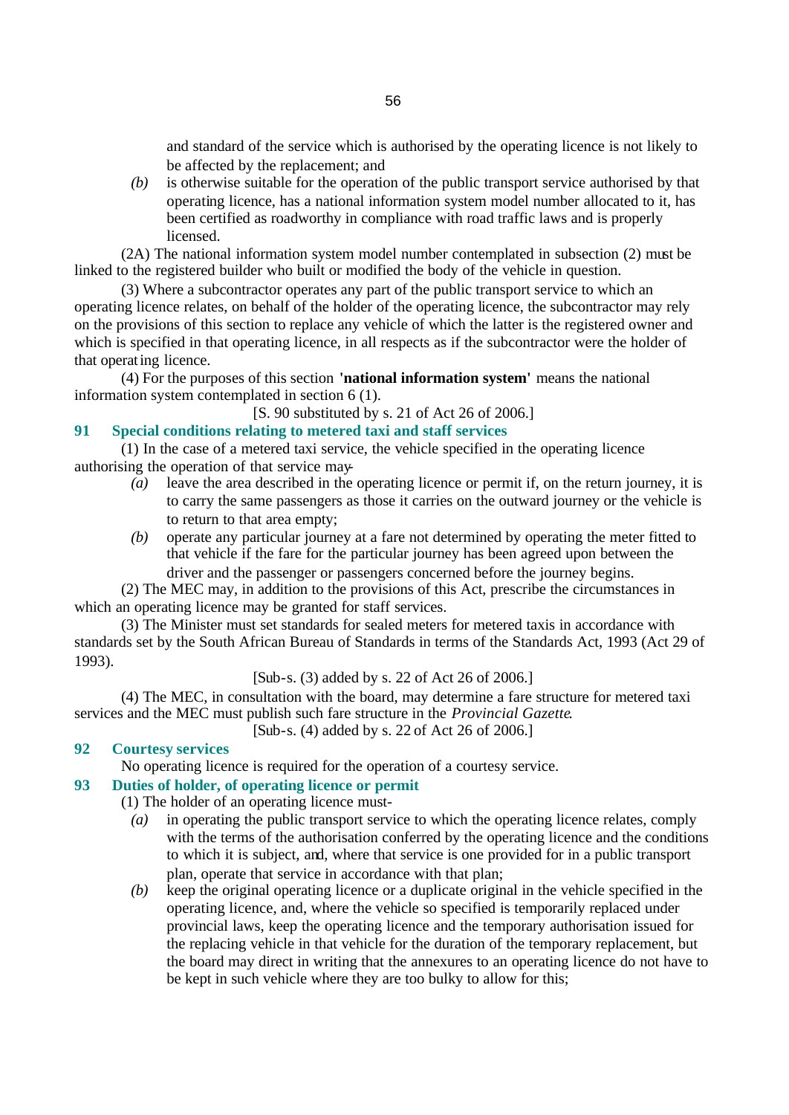and standard of the service which is authorised by the operating licence is not likely to be affected by the replacement; and

*(b)* is otherwise suitable for the operation of the public transport service authorised by that operating licence, has a national information system model number allocated to it, has been certified as roadworthy in compliance with road traffic laws and is properly licensed.

(2A) The national information system model number contemplated in subsection (2) must be linked to the registered builder who built or modified the body of the vehicle in question.

(3) Where a subcontractor operates any part of the public transport service to which an operating licence relates, on behalf of the holder of the operating licence, the subcontractor may rely on the provisions of this section to replace any vehicle of which the latter is the registered owner and which is specified in that operating licence, in all respects as if the subcontractor were the holder of that operating licence.

(4) For the purposes of this section **'national information system'** means the national information system contemplated in section 6 (1).

[S. 90 substituted by s. 21 of Act 26 of 2006.]

# **91 Special conditions relating to metered taxi and staff services**

(1) In the case of a metered taxi service, the vehicle specified in the operating licence authorising the operation of that service may-

- *(a)* leave the area described in the operating licence or permit if, on the return journey, it is to carry the same passengers as those it carries on the outward journey or the vehicle is to return to that area empty;
- *(b)* operate any particular journey at a fare not determined by operating the meter fitted to that vehicle if the fare for the particular journey has been agreed upon between the driver and the passenger or passengers concerned before the journey begins.

(2) The MEC may, in addition to the provisions of this Act, prescribe the circumstances in which an operating licence may be granted for staff services.

(3) The Minister must set standards for sealed meters for metered taxis in accordance with standards set by the South African Bureau of Standards in terms of the Standards Act, 1993 (Act 29 of 1993).

[Sub-s. (3) added by s. 22 of Act 26 of 2006.]

(4) The MEC, in consultation with the board, may determine a fare structure for metered taxi services and the MEC must publish such fare structure in the *Provincial Gazette*.

[Sub-s. (4) added by s. 22 of Act 26 of 2006.]

# **92 Courtesy services**

No operating licence is required for the operation of a courtesy service.

### **93 Duties of holder, of operating licence or permit**

(1) The holder of an operating licence must-

- *(a)* in operating the public transport service to which the operating licence relates, comply with the terms of the authorisation conferred by the operating licence and the conditions to which it is subject, and, where that service is one provided for in a public transport plan, operate that service in accordance with that plan;
- *(b)* keep the original operating licence or a duplicate original in the vehicle specified in the operating licence, and, where the vehicle so specified is temporarily replaced under provincial laws, keep the operating licence and the temporary authorisation issued for the replacing vehicle in that vehicle for the duration of the temporary replacement, but the board may direct in writing that the annexures to an operating licence do not have to be kept in such vehicle where they are too bulky to allow for this;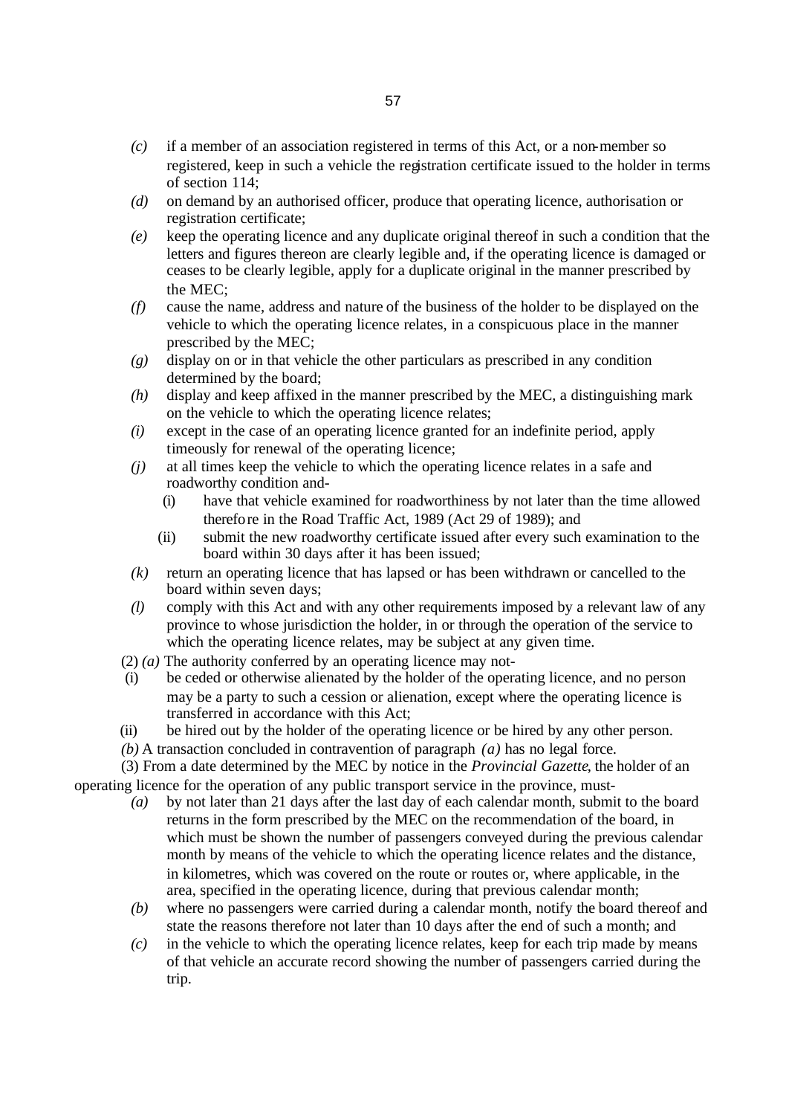- *(c)* if a member of an association registered in terms of this Act, or a non-member so registered, keep in such a vehicle the registration certificate issued to the holder in terms of section 114;
- *(d)* on demand by an authorised officer, produce that operating licence, authorisation or registration certificate;
- *(e)* keep the operating licence and any duplicate original thereof in such a condition that the letters and figures thereon are clearly legible and, if the operating licence is damaged or ceases to be clearly legible, apply for a duplicate original in the manner prescribed by the MEC;
- *(f)* cause the name, address and nature of the business of the holder to be displayed on the vehicle to which the operating licence relates, in a conspicuous place in the manner prescribed by the MEC;
- *(g)* display on or in that vehicle the other particulars as prescribed in any condition determined by the board;
- *(h)* display and keep affixed in the manner prescribed by the MEC, a distinguishing mark on the vehicle to which the operating licence relates;
- *(i)* except in the case of an operating licence granted for an indefinite period, apply timeously for renewal of the operating licence;
- *(j)* at all times keep the vehicle to which the operating licence relates in a safe and roadworthy condition and-
	- (i) have that vehicle examined for roadworthiness by not later than the time allowed therefore in the Road Traffic Act, 1989 (Act 29 of 1989); and
	- (ii) submit the new roadworthy certificate issued after every such examination to the board within 30 days after it has been issued;
- *(k)* return an operating licence that has lapsed or has been withdrawn or cancelled to the board within seven days;
- *(l)* comply with this Act and with any other requirements imposed by a relevant law of any province to whose jurisdiction the holder, in or through the operation of the service to which the operating licence relates, may be subject at any given time.
- (2) *(a)* The authority conferred by an operating licence may not-
- (i) be ceded or otherwise alienated by the holder of the operating licence, and no person may be a party to such a cession or alienation, except where the operating licence is transferred in accordance with this Act;
- (ii) be hired out by the holder of the operating licence or be hired by any other person.
- *(b)* A transaction concluded in contravention of paragraph *(a)* has no legal force.

(3) From a date determined by the MEC by notice in the *Provincial Gazette*, the holder of an operating licence for the operation of any public transport service in the province, must-

- *(a)* by not later than 21 days after the last day of each calendar month, submit to the board returns in the form prescribed by the MEC on the recommendation of the board, in which must be shown the number of passengers conveyed during the previous calendar month by means of the vehicle to which the operating licence relates and the distance, in kilometres, which was covered on the route or routes or, where applicable, in the area, specified in the operating licence, during that previous calendar month;
- *(b)* where no passengers were carried during a calendar month, notify the board thereof and state the reasons therefore not later than 10 days after the end of such a month; and
- *(c)* in the vehicle to which the operating licence relates, keep for each trip made by means of that vehicle an accurate record showing the number of passengers carried during the trip.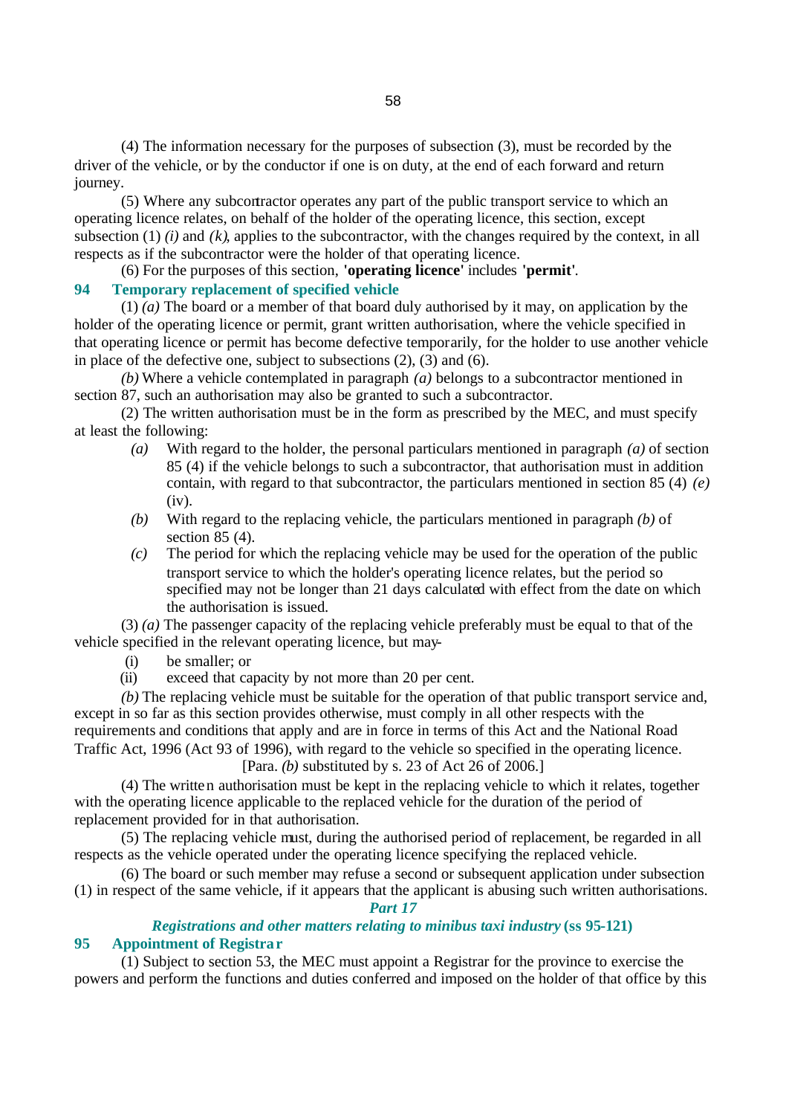(4) The information necessary for the purposes of subsection (3), must be recorded by the driver of the vehicle, or by the conductor if one is on duty, at the end of each forward and return journey.

(5) Where any subcontractor operates any part of the public transport service to which an operating licence relates, on behalf of the holder of the operating licence, this section, except subsection (1) *(i)* and *(k)*, applies to the subcontractor, with the changes required by the context, in all respects as if the subcontractor were the holder of that operating licence.

(6) For the purposes of this section, **'operating licence'** includes **'permit'**.

### **94 Temporary replacement of specified vehicle**

(1) *(a)* The board or a member of that board duly authorised by it may, on application by the holder of the operating licence or permit, grant written authorisation, where the vehicle specified in that operating licence or permit has become defective temporarily, for the holder to use another vehicle in place of the defective one, subject to subsections (2), (3) and (6).

*(b)* Where a vehicle contemplated in paragraph *(a)* belongs to a subcontractor mentioned in section 87, such an authorisation may also be granted to such a subcontractor.

(2) The written authorisation must be in the form as prescribed by the MEC, and must specify at least the following:

- *(a)* With regard to the holder, the personal particulars mentioned in paragraph *(a)* of section 85 (4) if the vehicle belongs to such a subcontractor, that authorisation must in addition contain, with regard to that subcontractor, the particulars mentioned in section 85 (4) *(e)*  (iv).
- *(b)* With regard to the replacing vehicle, the particulars mentioned in paragraph *(b)* of section 85 (4).
- *(c)* The period for which the replacing vehicle may be used for the operation of the public transport service to which the holder's operating licence relates, but the period so specified may not be longer than 21 days calculated with effect from the date on which the authorisation is issued.

(3) *(a)* The passenger capacity of the replacing vehicle preferably must be equal to that of the vehicle specified in the relevant operating licence, but may-

- (i) be smaller; or
- (ii) exceed that capacity by not more than 20 per cent.

*(b)* The replacing vehicle must be suitable for the operation of that public transport service and, except in so far as this section provides otherwise, must comply in all other respects with the requirements and conditions that apply and are in force in terms of this Act and the National Road Traffic Act, 1996 (Act 93 of 1996), with regard to the vehicle so specified in the operating licence.

[Para. *(b)* substituted by s. 23 of Act 26 of 2006.]

(4) The written authorisation must be kept in the replacing vehicle to which it relates, together with the operating licence applicable to the replaced vehicle for the duration of the period of replacement provided for in that authorisation.

(5) The replacing vehicle must, during the authorised period of replacement, be regarded in all respects as the vehicle operated under the operating licence specifying the replaced vehicle.

(6) The board or such member may refuse a second or subsequent application under subsection (1) in respect of the same vehicle, if it appears that the applicant is abusing such written authorisations.

*Part 17 Registrations and other matters relating to minibus taxi industry* **(ss 95-121)**

# **95 Appointment of Registrar**

(1) Subject to section 53, the MEC must appoint a Registrar for the province to exercise the powers and perform the functions and duties conferred and imposed on the holder of that office by this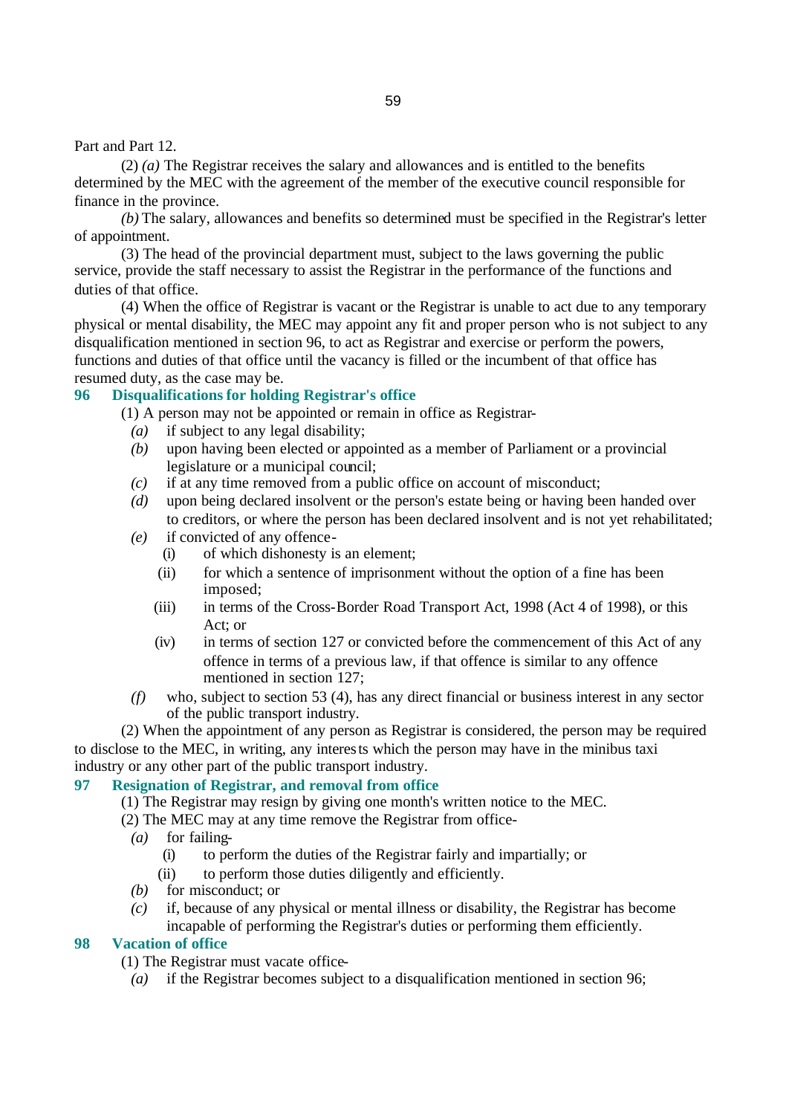Part and Part 12.

(2) *(a)* The Registrar receives the salary and allowances and is entitled to the benefits determined by the MEC with the agreement of the member of the executive council responsible for finance in the province.

*(b)* The salary, allowances and benefits so determined must be specified in the Registrar's letter of appointment.

(3) The head of the provincial department must, subject to the laws governing the public service, provide the staff necessary to assist the Registrar in the performance of the functions and duties of that office.

(4) When the office of Registrar is vacant or the Registrar is unable to act due to any temporary physical or mental disability, the MEC may appoint any fit and proper person who is not subject to any disqualification mentioned in section 96, to act as Registrar and exercise or perform the powers, functions and duties of that office until the vacancy is filled or the incumbent of that office has resumed duty, as the case may be.

# **96 Disqualifications for holding Registrar's office**

(1) A person may not be appointed or remain in office as Registrar-

- *(a)* if subject to any legal disability;
- *(b)* upon having been elected or appointed as a member of Parliament or a provincial legislature or a municipal council;
- *(c)* if at any time removed from a public office on account of misconduct;
- *(d)* upon being declared insolvent or the person's estate being or having been handed over to creditors, or where the person has been declared insolvent and is not yet rehabilitated;
- *(e)* if convicted of any offence-
	- (i) of which dishonesty is an element;
	- (ii) for which a sentence of imprisonment without the option of a fine has been imposed;
	- (iii) in terms of the Cross-Border Road Transport Act, 1998 (Act 4 of 1998), or this Act; or
	- (iv) in terms of section 127 or convicted before the commencement of this Act of any offence in terms of a previous law, if that offence is similar to any offence mentioned in section 127;
- *(f)* who, subject to section 53 (4), has any direct financial or business interest in any sector of the public transport industry.

(2) When the appointment of any person as Registrar is considered, the person may be required to disclose to the MEC, in writing, any interests which the person may have in the minibus taxi industry or any other part of the public transport industry.

# **97 Resignation of Registrar, and removal from office**

- (1) The Registrar may resign by giving one month's written notice to the MEC.
- (2) The MEC may at any time remove the Registrar from office-
	- *(a)* for failing-
		- (i) to perform the duties of the Registrar fairly and impartially; or
		- (ii) to perform those duties diligently and efficiently.
	- *(b)* for misconduct; or
	- *(c)* if, because of any physical or mental illness or disability, the Registrar has become incapable of performing the Registrar's duties or performing them efficiently.

### **98 Vacation of office**

- (1) The Registrar must vacate office-
	- *(a)* if the Registrar becomes subject to a disqualification mentioned in section 96;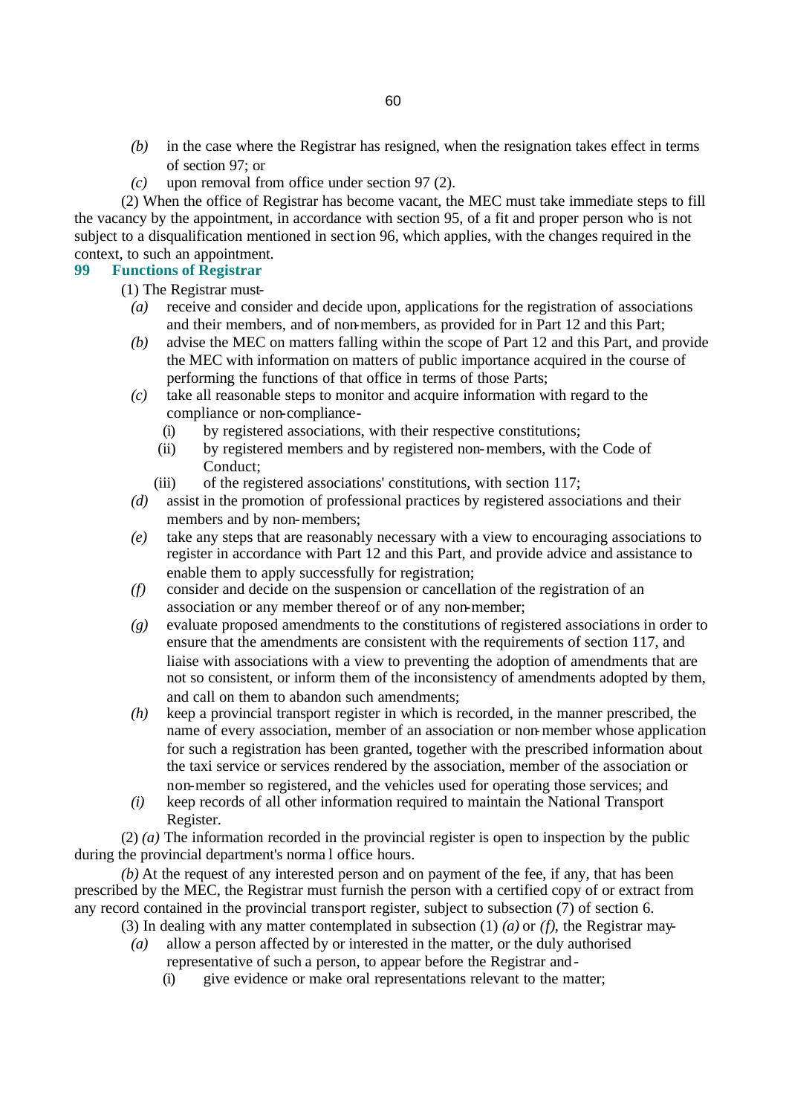- *(b)* in the case where the Registrar has resigned, when the resignation takes effect in terms of section 97; or
- *(c)* upon removal from office under section 97 (2).

(2) When the office of Registrar has become vacant, the MEC must take immediate steps to fill the vacancy by the appointment, in accordance with section 95, of a fit and proper person who is not subject to a disqualification mentioned in section 96, which applies, with the changes required in the context, to such an appointment.

# **99 Functions of Registrar**

(1) The Registrar must-

- *(a)* receive and consider and decide upon, applications for the registration of associations and their members, and of non-members, as provided for in Part 12 and this Part;
- *(b)* advise the MEC on matters falling within the scope of Part 12 and this Part, and provide the MEC with information on matters of public importance acquired in the course of performing the functions of that office in terms of those Parts;
- *(c)* take all reasonable steps to monitor and acquire information with regard to the compliance or non-compliance-
	- (i) by registered associations, with their respective constitutions;
	- (ii) by registered members and by registered non-members, with the Code of Conduct;
	- (iii) of the registered associations' constitutions, with section 117;
- *(d)* assist in the promotion of professional practices by registered associations and their members and by non-members;
- *(e)* take any steps that are reasonably necessary with a view to encouraging associations to register in accordance with Part 12 and this Part, and provide advice and assistance to enable them to apply successfully for registration;
- *(f)* consider and decide on the suspension or cancellation of the registration of an association or any member thereof or of any non-member;
- *(g)* evaluate proposed amendments to the constitutions of registered associations in order to ensure that the amendments are consistent with the requirements of section 117, and liaise with associations with a view to preventing the adoption of amendments that are not so consistent, or inform them of the inconsistency of amendments adopted by them, and call on them to abandon such amendments;
- *(h)* keep a provincial transport register in which is recorded, in the manner prescribed, the name of every association, member of an association or non-member whose application for such a registration has been granted, together with the prescribed information about the taxi service or services rendered by the association, member of the association or non-member so registered, and the vehicles used for operating those services; and
- *(i)* keep records of all other information required to maintain the National Transport Register.

(2) *(a)* The information recorded in the provincial register is open to inspection by the public during the provincial department's norma l office hours.

*(b)* At the request of any interested person and on payment of the fee, if any, that has been prescribed by the MEC, the Registrar must furnish the person with a certified copy of or extract from any record contained in the provincial transport register, subject to subsection (7) of section 6.

- (3) In dealing with any matter contemplated in subsection (1) *(a)* or *(f)*, the Registrar may-
	- *(a)* allow a person affected by or interested in the matter, or the duly authorised representative of such a person, to appear before the Registrar and-
		- (i) give evidence or make oral representations relevant to the matter;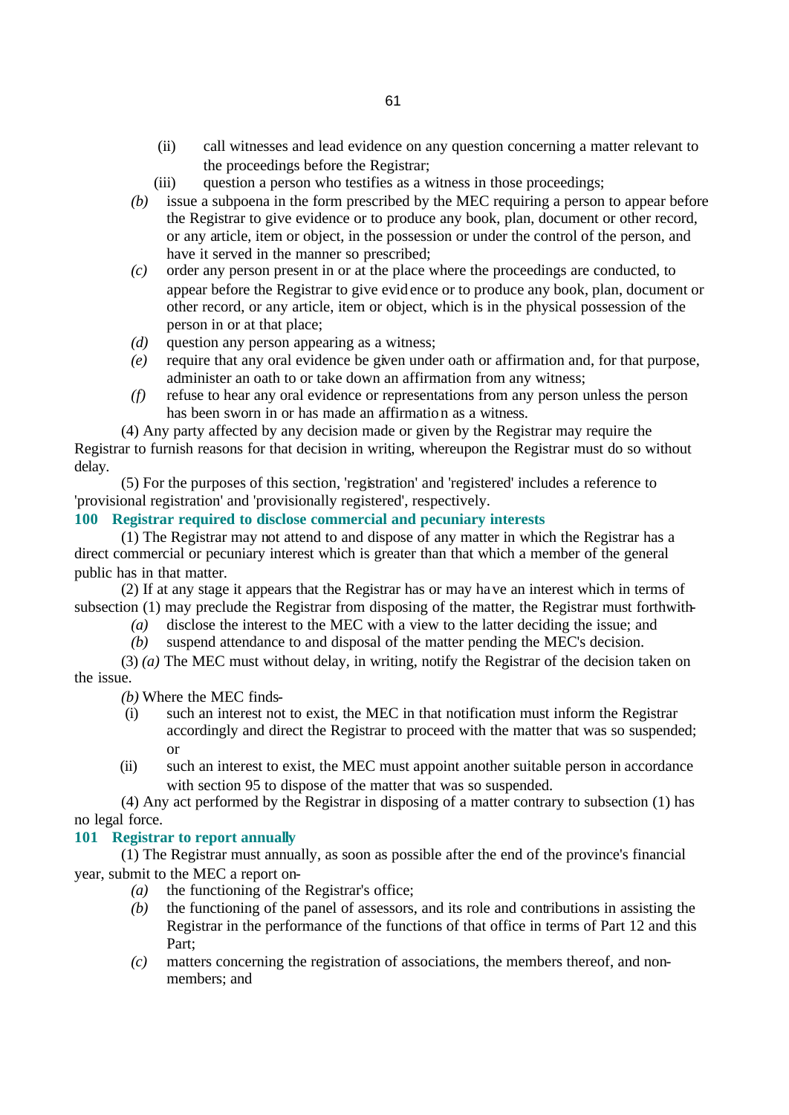- (ii) call witnesses and lead evidence on any question concerning a matter relevant to the proceedings before the Registrar;
- (iii) question a person who testifies as a witness in those proceedings;
- *(b)* issue a subpoena in the form prescribed by the MEC requiring a person to appear before the Registrar to give evidence or to produce any book, plan, document or other record, or any article, item or object, in the possession or under the control of the person, and have it served in the manner so prescribed;
- *(c)* order any person present in or at the place where the proceedings are conducted, to appear before the Registrar to give evidence or to produce any book, plan, document or other record, or any article, item or object, which is in the physical possession of the person in or at that place;
- *(d)* question any person appearing as a witness;
- *(e)* require that any oral evidence be given under oath or affirmation and, for that purpose, administer an oath to or take down an affirmation from any witness;
- *(f)* refuse to hear any oral evidence or representations from any person unless the person has been sworn in or has made an affirmation as a witness.

(4) Any party affected by any decision made or given by the Registrar may require the Registrar to furnish reasons for that decision in writing, whereupon the Registrar must do so without delay.

(5) For the purposes of this section, 'registration' and 'registered' includes a reference to 'provisional registration' and 'provisionally registered', respectively.

# **100 Registrar required to disclose commercial and pecuniary interests**

(1) The Registrar may not attend to and dispose of any matter in which the Registrar has a direct commercial or pecuniary interest which is greater than that which a member of the general public has in that matter.

(2) If at any stage it appears that the Registrar has or may have an interest which in terms of subsection (1) may preclude the Registrar from disposing of the matter, the Registrar must forthwith-

- *(a)* disclose the interest to the MEC with a view to the latter deciding the issue; and
- *(b)* suspend attendance to and disposal of the matter pending the MEC's decision.

(3) *(a)* The MEC must without delay, in writing, notify the Registrar of the decision taken on the issue.

*(b)* Where the MEC finds-

- (i) such an interest not to exist, the MEC in that notification must inform the Registrar accordingly and direct the Registrar to proceed with the matter that was so suspended; or
- (ii) such an interest to exist, the MEC must appoint another suitable person in accordance with section 95 to dispose of the matter that was so suspended.

(4) Any act performed by the Registrar in disposing of a matter contrary to subsection (1) has no legal force.

### **101 Registrar to report annually**

(1) The Registrar must annually, as soon as possible after the end of the province's financial year, submit to the MEC a report on-

- *(a)* the functioning of the Registrar's office;
- *(b)* the functioning of the panel of assessors, and its role and contributions in assisting the Registrar in the performance of the functions of that office in terms of Part 12 and this Part;
- *(c)* matters concerning the registration of associations, the members thereof, and nonmembers; and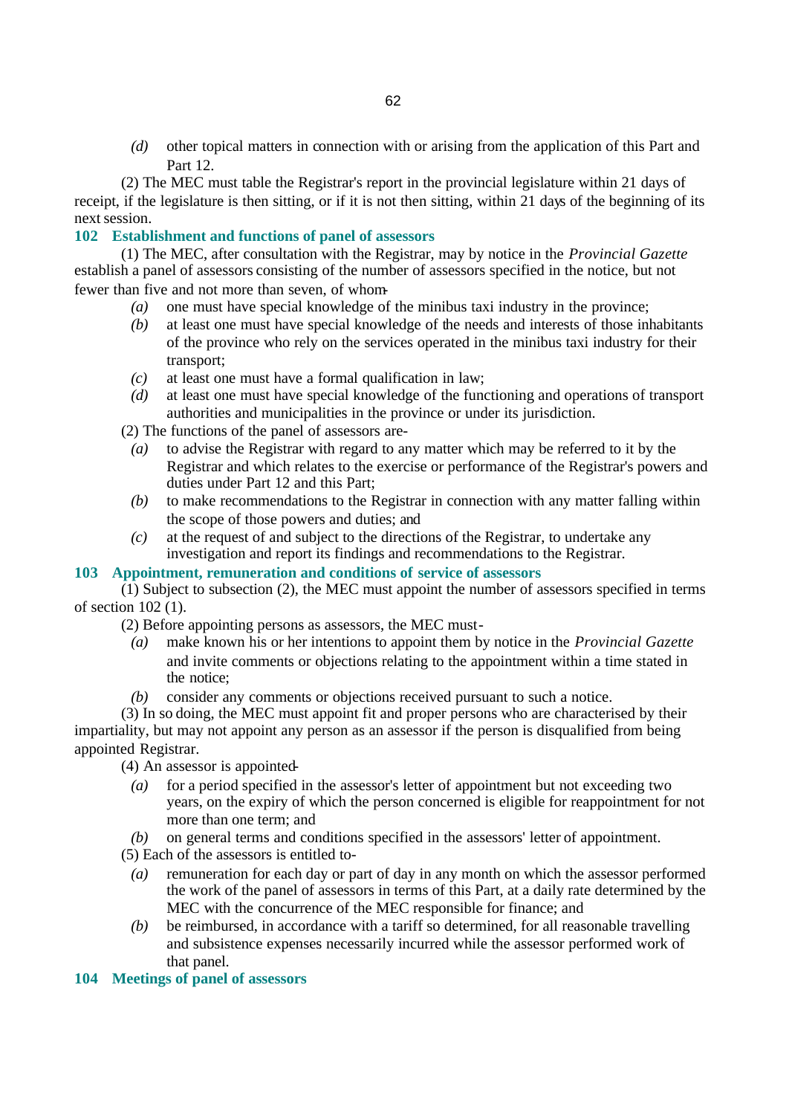*(d)* other topical matters in connection with or arising from the application of this Part and Part 12.

(2) The MEC must table the Registrar's report in the provincial legislature within 21 days of receipt, if the legislature is then sitting, or if it is not then sitting, within 21 days of the beginning of its next session.

# **102 Establishment and functions of panel of assessors**

(1) The MEC, after consultation with the Registrar, may by notice in the *Provincial Gazette* establish a panel of assessors consisting of the number of assessors specified in the notice, but not fewer than five and not more than seven, of whom-

- *(a)* one must have special knowledge of the minibus taxi industry in the province;
- *(b)* at least one must have special knowledge of the needs and interests of those inhabitants of the province who rely on the services operated in the minibus taxi industry for their transport;
- *(c)* at least one must have a formal qualification in law;
- *(d)* at least one must have special knowledge of the functioning and operations of transport authorities and municipalities in the province or under its jurisdiction.

(2) The functions of the panel of assessors are-

- *(a)* to advise the Registrar with regard to any matter which may be referred to it by the Registrar and which relates to the exercise or performance of the Registrar's powers and duties under Part 12 and this Part;
- *(b)* to make recommendations to the Registrar in connection with any matter falling within the scope of those powers and duties; and
- *(c)* at the request of and subject to the directions of the Registrar, to undertake any investigation and report its findings and recommendations to the Registrar.

# **103 Appointment, remuneration and conditions of service of assessors**

(1) Subject to subsection (2), the MEC must appoint the number of assessors specified in terms of section 102 (1).

(2) Before appointing persons as assessors, the MEC must-

- *(a)* make known his or her intentions to appoint them by notice in the *Provincial Gazette* and invite comments or objections relating to the appointment within a time stated in the notice;
- *(b)* consider any comments or objections received pursuant to such a notice.

(3) In so doing, the MEC must appoint fit and proper persons who are characterised by their impartiality, but may not appoint any person as an assessor if the person is disqualified from being appointed Registrar.

(4) An assessor is appointed-

- *(a)* for a period specified in the assessor's letter of appointment but not exceeding two years, on the expiry of which the person concerned is eligible for reappointment for not more than one term; and
- *(b)* on general terms and conditions specified in the assessors' letter of appointment.
- (5) Each of the assessors is entitled to-
	- *(a)* remuneration for each day or part of day in any month on which the assessor performed the work of the panel of assessors in terms of this Part, at a daily rate determined by the MEC with the concurrence of the MEC responsible for finance; and
	- *(b)* be reimbursed, in accordance with a tariff so determined, for all reasonable travelling and subsistence expenses necessarily incurred while the assessor performed work of that panel.

# **104 Meetings of panel of assessors**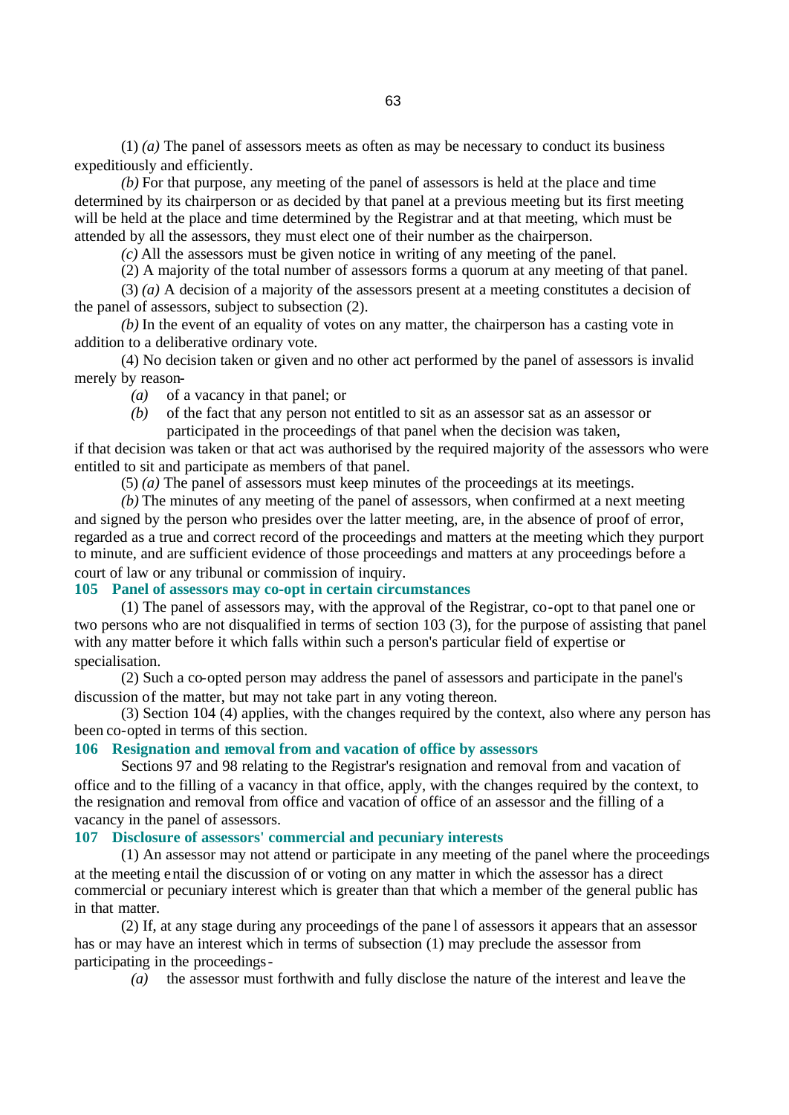(1) *(a)* The panel of assessors meets as often as may be necessary to conduct its business expeditiously and efficiently.

*(b)* For that purpose, any meeting of the panel of assessors is held at the place and time determined by its chairperson or as decided by that panel at a previous meeting but its first meeting will be held at the place and time determined by the Registrar and at that meeting, which must be attended by all the assessors, they must elect one of their number as the chairperson.

*(c)* All the assessors must be given notice in writing of any meeting of the panel.

(2) A majority of the total number of assessors forms a quorum at any meeting of that panel.

(3) *(a)* A decision of a majority of the assessors present at a meeting constitutes a decision of the panel of assessors, subject to subsection (2).

*(b)* In the event of an equality of votes on any matter, the chairperson has a casting vote in addition to a deliberative ordinary vote.

(4) No decision taken or given and no other act performed by the panel of assessors is invalid merely by reason-

*(a)* of a vacancy in that panel; or

*(b)* of the fact that any person not entitled to sit as an assessor sat as an assessor or participated in the proceedings of that panel when the decision was taken,

if that decision was taken or that act was authorised by the required majority of the assessors who were entitled to sit and participate as members of that panel.

(5) *(a)* The panel of assessors must keep minutes of the proceedings at its meetings.

*(b)* The minutes of any meeting of the panel of assessors, when confirmed at a next meeting and signed by the person who presides over the latter meeting, are, in the absence of proof of error, regarded as a true and correct record of the proceedings and matters at the meeting which they purport to minute, and are sufficient evidence of those proceedings and matters at any proceedings before a court of law or any tribunal or commission of inquiry.

### **105 Panel of assessors may co-opt in certain circumstances**

(1) The panel of assessors may, with the approval of the Registrar, co-opt to that panel one or two persons who are not disqualified in terms of section 103 (3), for the purpose of assisting that panel with any matter before it which falls within such a person's particular field of expertise or specialisation.

(2) Such a co-opted person may address the panel of assessors and participate in the panel's discussion of the matter, but may not take part in any voting thereon.

(3) Section 104 (4) applies, with the changes required by the context, also where any person has been co-opted in terms of this section.

### **106 Resignation and removal from and vacation of office by assessors**

Sections 97 and 98 relating to the Registrar's resignation and removal from and vacation of office and to the filling of a vacancy in that office, apply, with the changes required by the context, to the resignation and removal from office and vacation of office of an assessor and the filling of a vacancy in the panel of assessors.

# **107 Disclosure of assessors' commercial and pecuniary interests**

(1) An assessor may not attend or participate in any meeting of the panel where the proceedings at the meeting entail the discussion of or voting on any matter in which the assessor has a direct commercial or pecuniary interest which is greater than that which a member of the general public has in that matter.

(2) If, at any stage during any proceedings of the pane l of assessors it appears that an assessor has or may have an interest which in terms of subsection (1) may preclude the assessor from participating in the proceedings-

*(a)* the assessor must forthwith and fully disclose the nature of the interest and leave the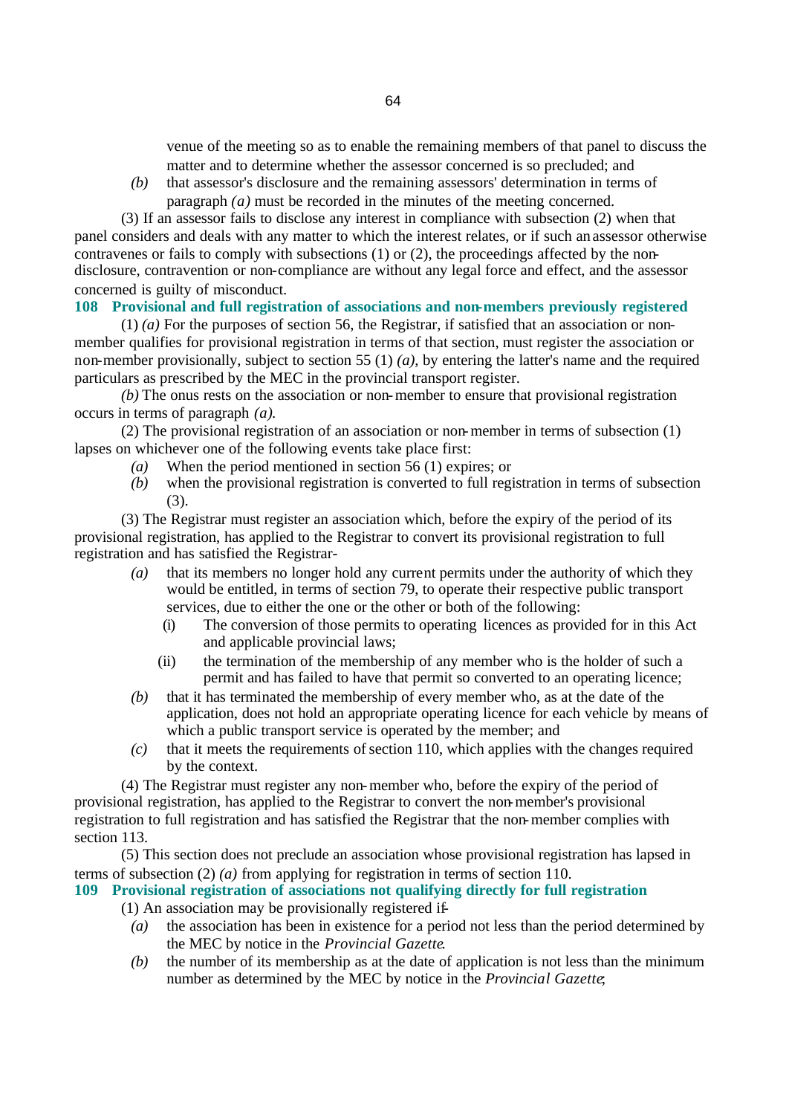venue of the meeting so as to enable the remaining members of that panel to discuss the matter and to determine whether the assessor concerned is so precluded; and

*(b)* that assessor's disclosure and the remaining assessors' determination in terms of paragraph *(a)* must be recorded in the minutes of the meeting concerned.

(3) If an assessor fails to disclose any interest in compliance with subsection (2) when that panel considers and deals with any matter to which the interest relates, or if such an assessor otherwise contravenes or fails to comply with subsections (1) or (2), the proceedings affected by the nondisclosure, contravention or non-compliance are without any legal force and effect, and the assessor concerned is guilty of misconduct.

# **108 Provisional and full registration of associations and non-members previously registered**

(1) *(a)* For the purposes of section 56, the Registrar, if satisfied that an association or nonmember qualifies for provisional registration in terms of that section, must register the association or non-member provisionally, subject to section 55 (1) *(a)*, by entering the latter's name and the required particulars as prescribed by the MEC in the provincial transport register.

*(b)* The onus rests on the association or non-member to ensure that provisional registration occurs in terms of paragraph *(a)*.

(2) The provisional registration of an association or non-member in terms of subsection (1) lapses on whichever one of the following events take place first:

- *(a)* When the period mentioned in section 56 (1) expires; or
- *(b)* when the provisional registration is converted to full registration in terms of subsection (3).

(3) The Registrar must register an association which, before the expiry of the period of its provisional registration, has applied to the Registrar to convert its provisional registration to full registration and has satisfied the Registrar-

- *(a)* that its members no longer hold any current permits under the authority of which they would be entitled, in terms of section 79, to operate their respective public transport services, due to either the one or the other or both of the following:
	- (i) The conversion of those permits to operating licences as provided for in this Act and applicable provincial laws;
	- (ii) the termination of the membership of any member who is the holder of such a permit and has failed to have that permit so converted to an operating licence;
- *(b)* that it has terminated the membership of every member who, as at the date of the application, does not hold an appropriate operating licence for each vehicle by means of which a public transport service is operated by the member; and
- *(c)* that it meets the requirements of section 110, which applies with the changes required by the context.

(4) The Registrar must register any non-member who, before the expiry of the period of provisional registration, has applied to the Registrar to convert the non-member's provisional registration to full registration and has satisfied the Registrar that the non-member complies with section 113.

(5) This section does not preclude an association whose provisional registration has lapsed in terms of subsection (2) *(a)* from applying for registration in terms of section 110.

# **109 Provisional registration of associations not qualifying directly for full registration**

(1) An association may be provisionally registered if-

- *(a)* the association has been in existence for a period not less than the period determined by the MEC by notice in the *Provincial Gazette*.
- *(b)* the number of its membership as at the date of application is not less than the minimum number as determined by the MEC by notice in the *Provincial Gazette*;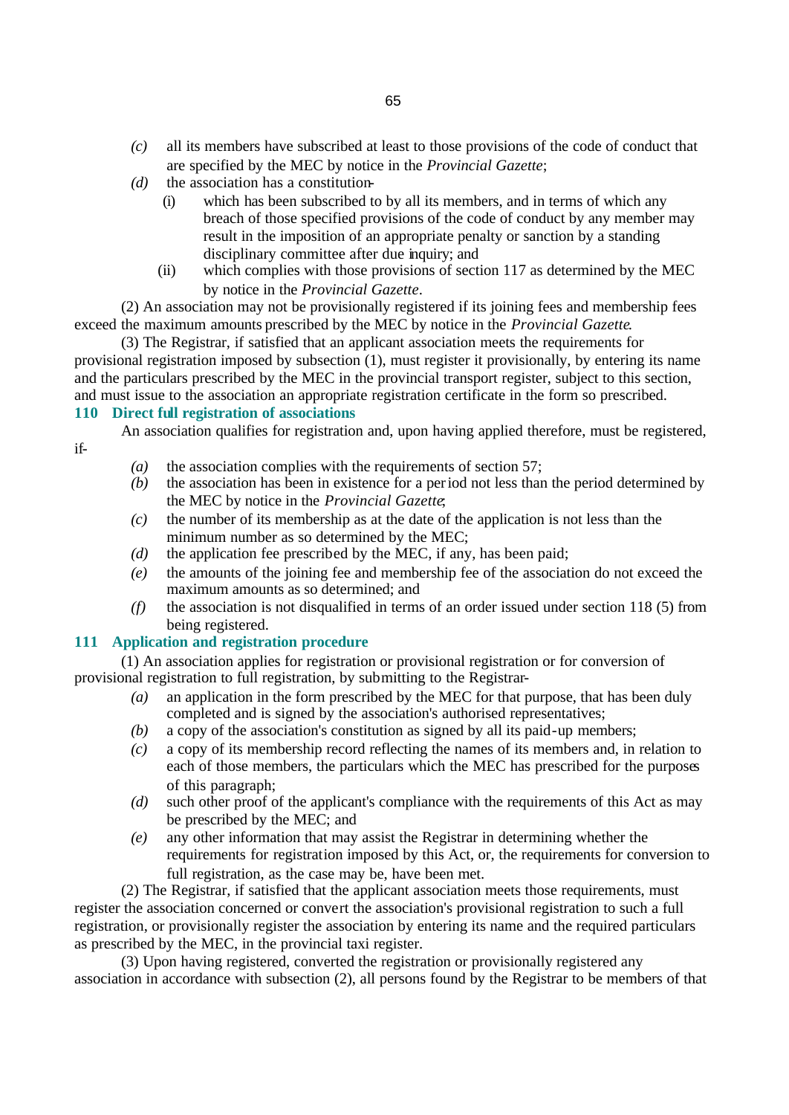- *(d)* the association has a constitution-
	- (i) which has been subscribed to by all its members, and in terms of which any breach of those specified provisions of the code of conduct by any member may result in the imposition of an appropriate penalty or sanction by a standing disciplinary committee after due inquiry; and
	- (ii) which complies with those provisions of section 117 as determined by the MEC by notice in the *Provincial Gazette*.

(2) An association may not be provisionally registered if its joining fees and membership fees exceed the maximum amounts prescribed by the MEC by notice in the *Provincial Gazette*.

(3) The Registrar, if satisfied that an applicant association meets the requirements for provisional registration imposed by subsection (1), must register it provisionally, by entering its name and the particulars prescribed by the MEC in the provincial transport register, subject to this section, and must issue to the association an appropriate registration certificate in the form so prescribed.

# **110 Direct full registration of associations**

An association qualifies for registration and, upon having applied therefore, must be registered,

if-

- *(a)* the association complies with the requirements of section 57;
- *(b)* the association has been in existence for a period not less than the period determined by the MEC by notice in the *Provincial Gazette*;
- *(c)* the number of its membership as at the date of the application is not less than the minimum number as so determined by the MEC;
- *(d)* the application fee prescribed by the MEC, if any, has been paid;
- *(e)* the amounts of the joining fee and membership fee of the association do not exceed the maximum amounts as so determined; and
- *(f)* the association is not disqualified in terms of an order issued under section 118 (5) from being registered.

# **111 Application and registration procedure**

(1) An association applies for registration or provisional registration or for conversion of provisional registration to full registration, by submitting to the Registrar-

- *(a)* an application in the form prescribed by the MEC for that purpose, that has been duly completed and is signed by the association's authorised representatives;
- *(b)* a copy of the association's constitution as signed by all its paid-up members;
- *(c)* a copy of its membership record reflecting the names of its members and, in relation to each of those members, the particulars which the MEC has prescribed for the purposes of this paragraph;
- *(d)* such other proof of the applicant's compliance with the requirements of this Act as may be prescribed by the MEC; and
- *(e)* any other information that may assist the Registrar in determining whether the requirements for registration imposed by this Act, or, the requirements for conversion to full registration, as the case may be, have been met.

(2) The Registrar, if satisfied that the applicant association meets those requirements, must register the association concerned or convert the association's provisional registration to such a full registration, or provisionally register the association by entering its name and the required particulars as prescribed by the MEC, in the provincial taxi register.

(3) Upon having registered, converted the registration or provisionally registered any association in accordance with subsection (2), all persons found by the Registrar to be members of that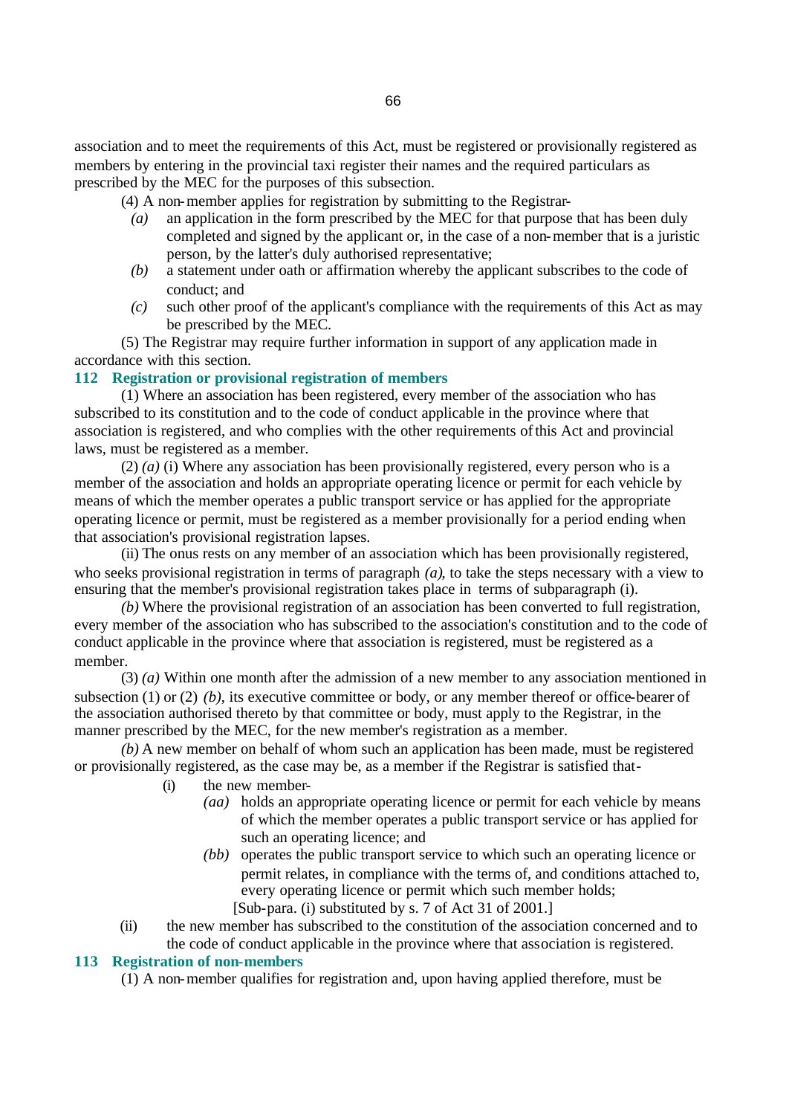association and to meet the requirements of this Act, must be registered or provisionally registered as members by entering in the provincial taxi register their names and the required particulars as prescribed by the MEC for the purposes of this subsection.

(4) A non-member applies for registration by submitting to the Registrar-

- *(a)* an application in the form prescribed by the MEC for that purpose that has been duly completed and signed by the applicant or, in the case of a non-member that is a juristic person, by the latter's duly authorised representative;
- *(b)* a statement under oath or affirmation whereby the applicant subscribes to the code of conduct; and
- *(c)* such other proof of the applicant's compliance with the requirements of this Act as may be prescribed by the MEC.

(5) The Registrar may require further information in support of any application made in accordance with this section.

### **112 Registration or provisional registration of members**

(1) Where an association has been registered, every member of the association who has subscribed to its constitution and to the code of conduct applicable in the province where that association is registered, and who complies with the other requirements of this Act and provincial laws, must be registered as a member.

(2) *(a)* (i) Where any association has been provisionally registered, every person who is a member of the association and holds an appropriate operating licence or permit for each vehicle by means of which the member operates a public transport service or has applied for the appropriate operating licence or permit, must be registered as a member provisionally for a period ending when that association's provisional registration lapses.

(ii) The onus rests on any member of an association which has been provisionally registered, who seeks provisional registration in terms of paragraph *(a)*, to take the steps necessary with a view to ensuring that the member's provisional registration takes place in terms of subparagraph (i).

*(b)* Where the provisional registration of an association has been converted to full registration, every member of the association who has subscribed to the association's constitution and to the code of conduct applicable in the province where that association is registered, must be registered as a member.

(3) *(a)* Within one month after the admission of a new member to any association mentioned in subsection (1) or (2) *(b)*, its executive committee or body, or any member thereof or office-bearer of the association authorised thereto by that committee or body, must apply to the Registrar, in the manner prescribed by the MEC, for the new member's registration as a member.

*(b)* A new member on behalf of whom such an application has been made, must be registered or provisionally registered, as the case may be, as a member if the Registrar is satisfied that-

- (i) the new member-
	- *(aa)* holds an appropriate operating licence or permit for each vehicle by means of which the member operates a public transport service or has applied for such an operating licence; and
	- *(bb)* operates the public transport service to which such an operating licence or permit relates, in compliance with the terms of, and conditions attached to, every operating licence or permit which such member holds;
		- [Sub-para. (i) substituted by s. 7 of Act 31 of 2001.]
- (ii) the new member has subscribed to the constitution of the association concerned and to the code of conduct applicable in the province where that association is registered.

#### **113 Registration of non-members**

(1) A non-member qualifies for registration and, upon having applied therefore, must be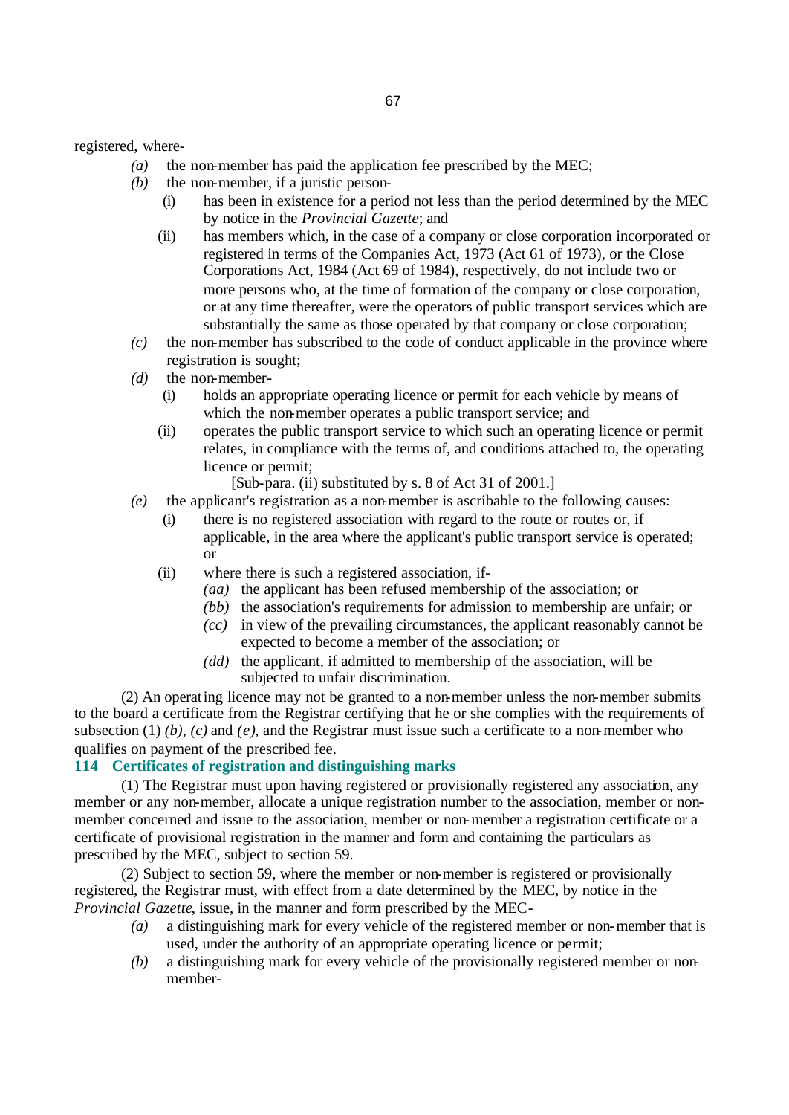registered, where-

- *(a)* the non-member has paid the application fee prescribed by the MEC;
- *(b)* the non-member, if a juristic person-
	- (i) has been in existence for a period not less than the period determined by the MEC by notice in the *Provincial Gazette*; and
	- (ii) has members which, in the case of a company or close corporation incorporated or registered in terms of the Companies Act, 1973 (Act 61 of 1973), or the Close Corporations Act, 1984 (Act 69 of 1984), respectively, do not include two or more persons who, at the time of formation of the company or close corporation, or at any time thereafter, were the operators of public transport services which are substantially the same as those operated by that company or close corporation;
- *(c)* the non-member has subscribed to the code of conduct applicable in the province where registration is sought;
- *(d)* the non-member-
	- (i) holds an appropriate operating licence or permit for each vehicle by means of which the non-member operates a public transport service; and
	- (ii) operates the public transport service to which such an operating licence or permit relates, in compliance with the terms of, and conditions attached to, the operating licence or permit;
		- [Sub-para. (ii) substituted by s. 8 of Act 31 of 2001.]
- *(e)* the applicant's registration as a non-member is ascribable to the following causes:
	- there is no registered association with regard to the route or routes or, if applicable, in the area where the applicant's public transport service is operated; or
	- (ii) where there is such a registered association, if-
		- *(aa)* the applicant has been refused membership of the association; or
		- *(bb)* the association's requirements for admission to membership are unfair; or
		- *(cc)* in view of the prevailing circumstances, the applicant reasonably cannot be expected to become a member of the association; or
		- *(dd)* the applicant, if admitted to membership of the association, will be subjected to unfair discrimination.

(2) An operating licence may not be granted to a non-member unless the non-member submits to the board a certificate from the Registrar certifying that he or she complies with the requirements of subsection (1) *(b)*, *(c)* and *(e)*, and the Registrar must issue such a certificate to a non-member who qualifies on payment of the prescribed fee.

### **114 Certificates of registration and distinguishing marks**

(1) The Registrar must upon having registered or provisionally registered any association, any member or any non-member, allocate a unique registration number to the association, member or nonmember concerned and issue to the association, member or non-member a registration certificate or a certificate of provisional registration in the manner and form and containing the particulars as prescribed by the MEC, subject to section 59.

(2) Subject to section 59, where the member or non-member is registered or provisionally registered, the Registrar must, with effect from a date determined by the MEC, by notice in the *Provincial Gazette*, issue, in the manner and form prescribed by the MEC-

- *(a)* a distinguishing mark for every vehicle of the registered member or non-member that is used, under the authority of an appropriate operating licence or permit;
- *(b)* a distinguishing mark for every vehicle of the provisionally registered member or nonmember-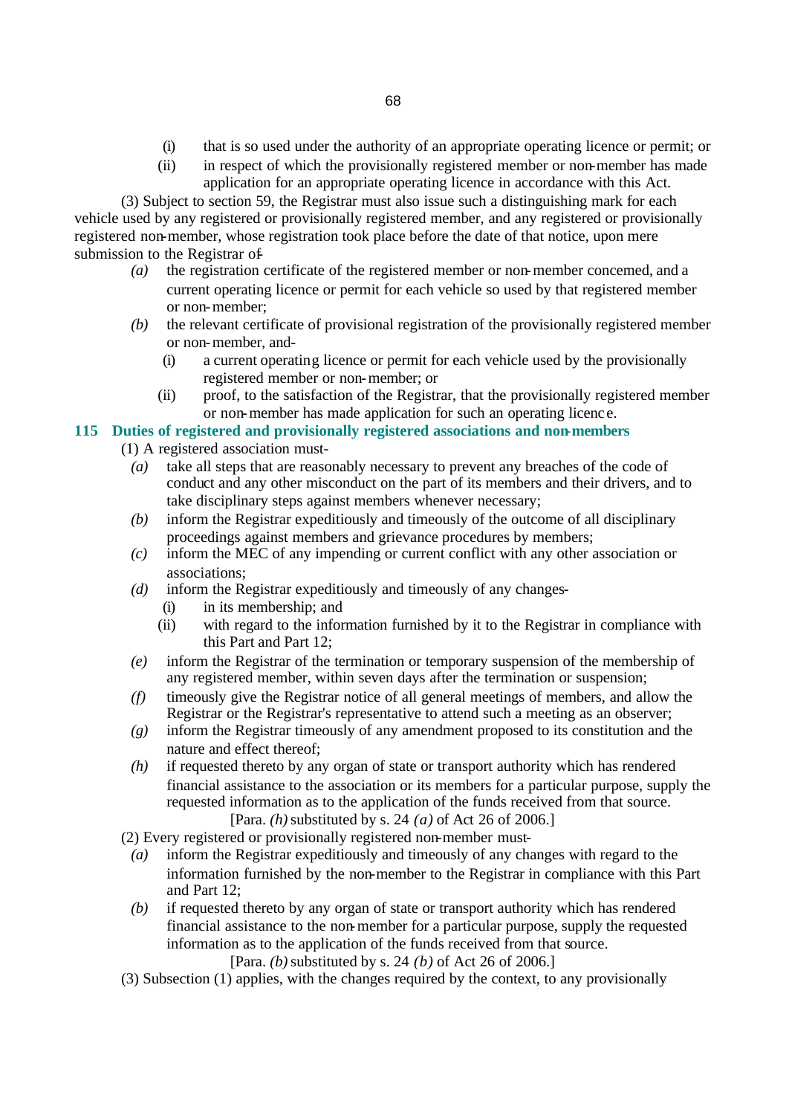- (i) that is so used under the authority of an appropriate operating licence or permit; or
- (ii) in respect of which the provisionally registered member or non-member has made application for an appropriate operating licence in accordance with this Act.

(3) Subject to section 59, the Registrar must also issue such a distinguishing mark for each vehicle used by any registered or provisionally registered member, and any registered or provisionally registered non-member, whose registration took place before the date of that notice, upon mere submission to the Registrar of-

- *(a)* the registration certificate of the registered member or non-member concerned, and a current operating licence or permit for each vehicle so used by that registered member or non-member;
- *(b)* the relevant certificate of provisional registration of the provisionally registered member or non-member, and-
	- (i) a current operating licence or permit for each vehicle used by the provisionally registered member or non-member; or
	- (ii) proof, to the satisfaction of the Registrar, that the provisionally registered member or non-member has made application for such an operating licenc e.

# **115 Duties of registered and provisionally registered associations and non-members**

(1) A registered association must-

- *(a)* take all steps that are reasonably necessary to prevent any breaches of the code of conduct and any other misconduct on the part of its members and their drivers, and to take disciplinary steps against members whenever necessary;
- *(b)* inform the Registrar expeditiously and timeously of the outcome of all disciplinary proceedings against members and grievance procedures by members;
- *(c)* inform the MEC of any impending or current conflict with any other association or associations;
- *(d)* inform the Registrar expeditiously and timeously of any changes-
	- (i) in its membership; and
	- (ii) with regard to the information furnished by it to the Registrar in compliance with this Part and Part 12;
- *(e)* inform the Registrar of the termination or temporary suspension of the membership of any registered member, within seven days after the termination or suspension;
- *(f)* timeously give the Registrar notice of all general meetings of members, and allow the Registrar or the Registrar's representative to attend such a meeting as an observer;
- *(g)* inform the Registrar timeously of any amendment proposed to its constitution and the nature and effect thereof;
- *(h)* if requested thereto by any organ of state or transport authority which has rendered financial assistance to the association or its members for a particular purpose, supply the requested information as to the application of the funds received from that source. [Para. *(h)* substituted by s. 24 *(a)* of Act 26 of 2006.]

(2) Every registered or provisionally registered non-member must-

- *(a)* inform the Registrar expeditiously and timeously of any changes with regard to the information furnished by the non-member to the Registrar in compliance with this Part and Part 12;
- *(b)* if requested thereto by any organ of state or transport authority which has rendered financial assistance to the non-member for a particular purpose, supply the requested information as to the application of the funds received from that source.

[Para. *(b)* substituted by s. 24 *(b)* of Act 26 of 2006.]

(3) Subsection (1) applies, with the changes required by the context, to any provisionally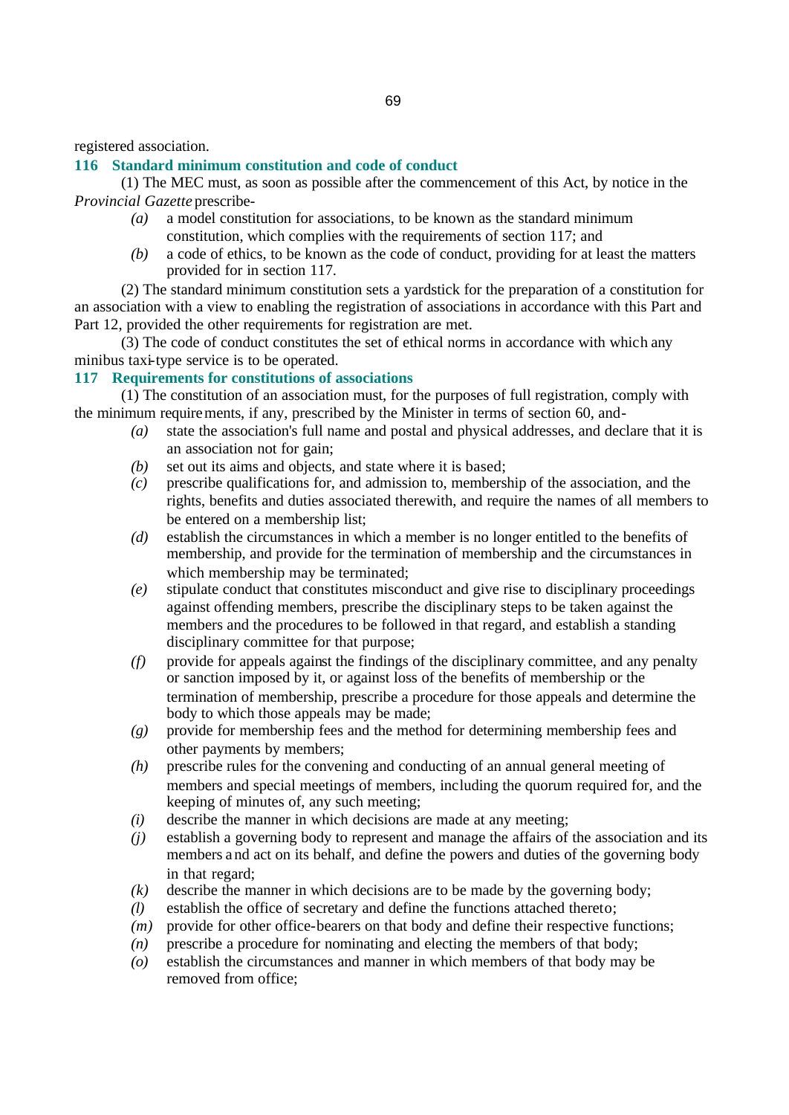registered association.

# **116 Standard minimum constitution and code of conduct**

(1) The MEC must, as soon as possible after the commencement of this Act, by notice in the *Provincial Gazette* prescribe-

- *(a)* a model constitution for associations, to be known as the standard minimum constitution, which complies with the requirements of section 117; and
- *(b)* a code of ethics, to be known as the code of conduct, providing for at least the matters provided for in section 117.

(2) The standard minimum constitution sets a yardstick for the preparation of a constitution for an association with a view to enabling the registration of associations in accordance with this Part and Part 12, provided the other requirements for registration are met.

(3) The code of conduct constitutes the set of ethical norms in accordance with which any minibus taxi-type service is to be operated.

# **117 Requirements for constitutions of associations**

(1) The constitution of an association must, for the purposes of full registration, comply with the minimum requirements, if any, prescribed by the Minister in terms of section 60, and-

- *(a)* state the association's full name and postal and physical addresses, and declare that it is an association not for gain;
- *(b)* set out its aims and objects, and state where it is based;
- *(c)* prescribe qualifications for, and admission to, membership of the association, and the rights, benefits and duties associated therewith, and require the names of all members to be entered on a membership list;
- *(d)* establish the circumstances in which a member is no longer entitled to the benefits of membership, and provide for the termination of membership and the circumstances in which membership may be terminated;
- *(e)* stipulate conduct that constitutes misconduct and give rise to disciplinary proceedings against offending members, prescribe the disciplinary steps to be taken against the members and the procedures to be followed in that regard, and establish a standing disciplinary committee for that purpose;
- *(f)* provide for appeals against the findings of the disciplinary committee, and any penalty or sanction imposed by it, or against loss of the benefits of membership or the termination of membership, prescribe a procedure for those appeals and determine the body to which those appeals may be made;
- *(g)* provide for membership fees and the method for determining membership fees and other payments by members;
- *(h)* prescribe rules for the convening and conducting of an annual general meeting of members and special meetings of members, including the quorum required for, and the keeping of minutes of, any such meeting;
- *(i)* describe the manner in which decisions are made at any meeting;
- *(j)* establish a governing body to represent and manage the affairs of the association and its members and act on its behalf, and define the powers and duties of the governing body in that regard;
- *(k)* describe the manner in which decisions are to be made by the governing body;
- *(l)* establish the office of secretary and define the functions attached thereto;
- *(m)* provide for other office-bearers on that body and define their respective functions;
- *(n)* prescribe a procedure for nominating and electing the members of that body;
- *(o)* establish the circumstances and manner in which members of that body may be removed from office;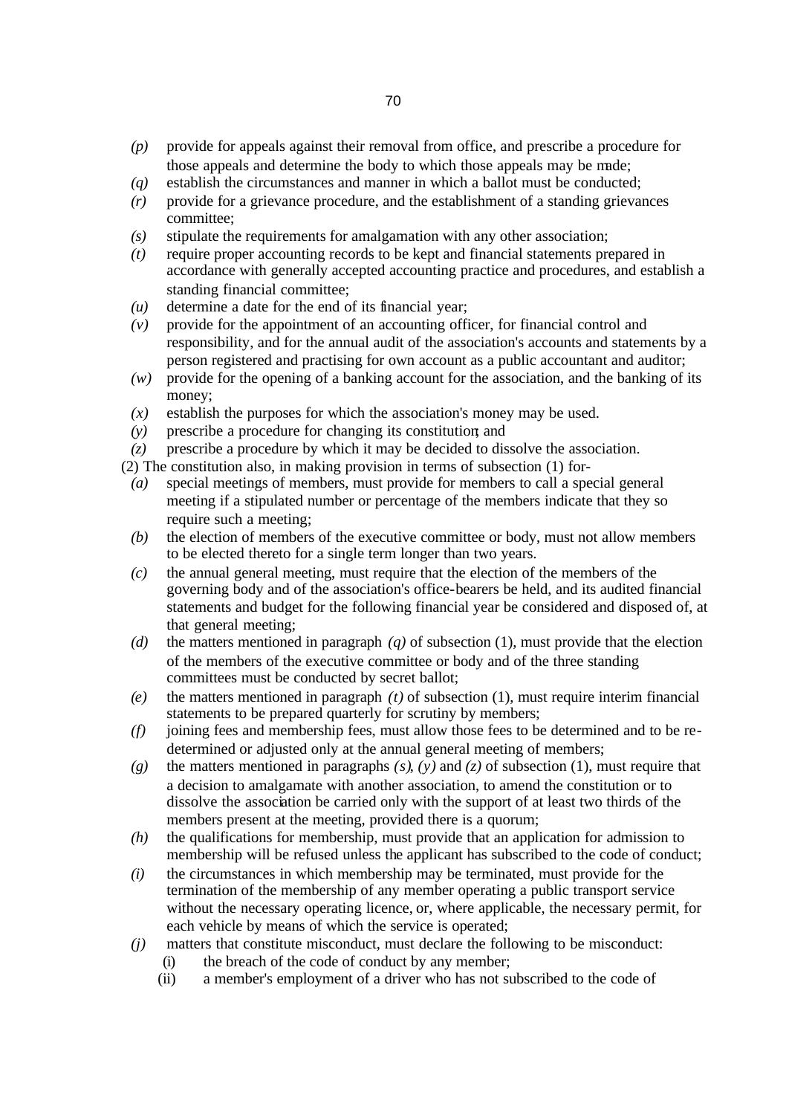- *(p)* provide for appeals against their removal from office, and prescribe a procedure for those appeals and determine the body to which those appeals may be made;
- *(q)* establish the circumstances and manner in which a ballot must be conducted;
- *(r)* provide for a grievance procedure, and the establishment of a standing grievances committee;
- *(s)* stipulate the requirements for amalgamation with any other association;
- *(t)* require proper accounting records to be kept and financial statements prepared in accordance with generally accepted accounting practice and procedures, and establish a standing financial committee;
- *(u)* determine a date for the end of its financial year;
- *(v)* provide for the appointment of an accounting officer, for financial control and responsibility, and for the annual audit of the association's accounts and statements by a person registered and practising for own account as a public accountant and auditor;
- *(w)* provide for the opening of a banking account for the association, and the banking of its money;
- *(x)* establish the purposes for which the association's money may be used.
- *(y)* prescribe a procedure for changing its constitution; and
- *(z)* prescribe a procedure by which it may be decided to dissolve the association.
- (2) The constitution also, in making provision in terms of subsection (1) for-
	- *(a)* special meetings of members, must provide for members to call a special general meeting if a stipulated number or percentage of the members indicate that they so require such a meeting;
	- *(b)* the election of members of the executive committee or body, must not allow members to be elected thereto for a single term longer than two years.
	- *(c)* the annual general meeting, must require that the election of the members of the governing body and of the association's office-bearers be held, and its audited financial statements and budget for the following financial year be considered and disposed of, at that general meeting;
	- *(d)* the matters mentioned in paragraph *(q)* of subsection (1), must provide that the election of the members of the executive committee or body and of the three standing committees must be conducted by secret ballot;
	- *(e)* the matters mentioned in paragraph *(t)* of subsection (1), must require interim financial statements to be prepared quarterly for scrutiny by members;
	- *(f)* joining fees and membership fees, must allow those fees to be determined and to be redetermined or adjusted only at the annual general meeting of members;
	- *(g)* the matters mentioned in paragraphs *(s)*, *(y)* and *(z)* of subsection (1), must require that a decision to amalgamate with another association, to amend the constitution or to dissolve the association be carried only with the support of at least two thirds of the members present at the meeting, provided there is a quorum;
	- *(h)* the qualifications for membership, must provide that an application for admission to membership will be refused unless the applicant has subscribed to the code of conduct;
	- *(i)* the circumstances in which membership may be terminated, must provide for the termination of the membership of any member operating a public transport service without the necessary operating licence, or, where applicable, the necessary permit, for each vehicle by means of which the service is operated;
	- *(j)* matters that constitute misconduct, must declare the following to be misconduct:
		- (i) the breach of the code of conduct by any member;
		- (ii) a member's employment of a driver who has not subscribed to the code of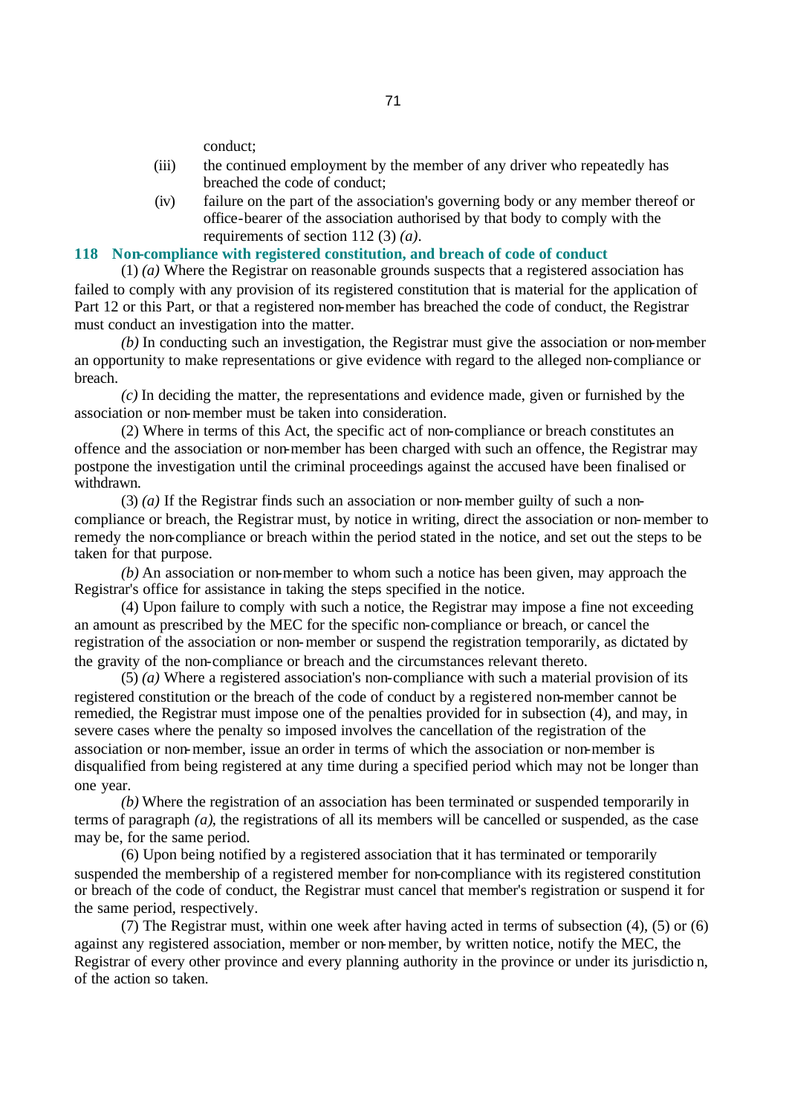conduct;

- (iii) the continued employment by the member of any driver who repeatedly has breached the code of conduct;
- (iv) failure on the part of the association's governing body or any member thereof or office-bearer of the association authorised by that body to comply with the requirements of section 112 (3) *(a)*.

# **118 Non-compliance with registered constitution, and breach of code of conduct**

(1) *(a)* Where the Registrar on reasonable grounds suspects that a registered association has failed to comply with any provision of its registered constitution that is material for the application of Part 12 or this Part, or that a registered non-member has breached the code of conduct, the Registrar must conduct an investigation into the matter.

*(b)* In conducting such an investigation, the Registrar must give the association or non-member an opportunity to make representations or give evidence with regard to the alleged non-compliance or breach.

*(c)* In deciding the matter, the representations and evidence made, given or furnished by the association or non-member must be taken into consideration.

(2) Where in terms of this Act, the specific act of non-compliance or breach constitutes an offence and the association or non-member has been charged with such an offence, the Registrar may postpone the investigation until the criminal proceedings against the accused have been finalised or withdrawn.

(3) *(a)* If the Registrar finds such an association or non-member guilty of such a noncompliance or breach, the Registrar must, by notice in writing, direct the association or non-member to remedy the non-compliance or breach within the period stated in the notice, and set out the steps to be taken for that purpose.

*(b)* An association or non-member to whom such a notice has been given, may approach the Registrar's office for assistance in taking the steps specified in the notice.

(4) Upon failure to comply with such a notice, the Registrar may impose a fine not exceeding an amount as prescribed by the MEC for the specific non-compliance or breach, or cancel the registration of the association or non-member or suspend the registration temporarily, as dictated by the gravity of the non-compliance or breach and the circumstances relevant thereto.

(5) *(a)* Where a registered association's non-compliance with such a material provision of its registered constitution or the breach of the code of conduct by a registered non-member cannot be remedied, the Registrar must impose one of the penalties provided for in subsection (4), and may, in severe cases where the penalty so imposed involves the cancellation of the registration of the association or non-member, issue an order in terms of which the association or non-member is disqualified from being registered at any time during a specified period which may not be longer than one year.

*(b)* Where the registration of an association has been terminated or suspended temporarily in terms of paragraph *(a)*, the registrations of all its members will be cancelled or suspended, as the case may be, for the same period.

(6) Upon being notified by a registered association that it has terminated or temporarily suspended the membership of a registered member for non-compliance with its registered constitution or breach of the code of conduct, the Registrar must cancel that member's registration or suspend it for the same period, respectively.

(7) The Registrar must, within one week after having acted in terms of subsection (4), (5) or (6) against any registered association, member or non-member, by written notice, notify the MEC, the Registrar of every other province and every planning authority in the province or under its jurisdictio n, of the action so taken.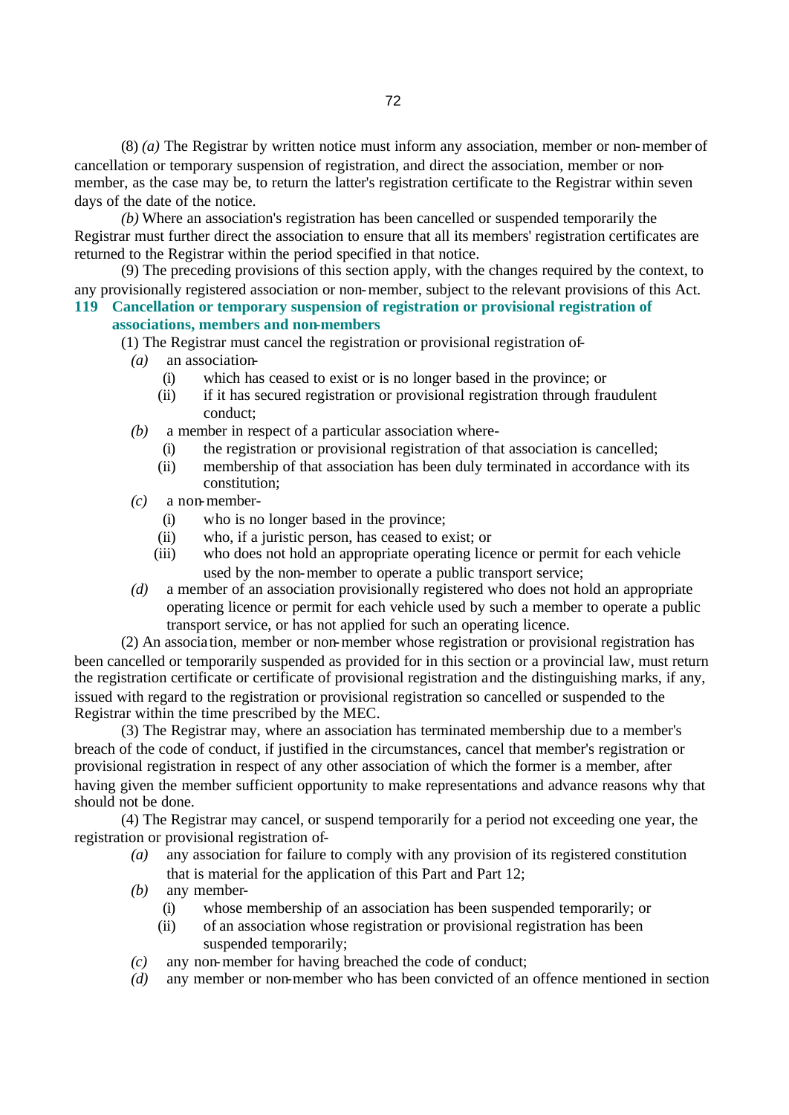(8) *(a)* The Registrar by written notice must inform any association, member or non-member of cancellation or temporary suspension of registration, and direct the association, member or nonmember, as the case may be, to return the latter's registration certificate to the Registrar within seven days of the date of the notice.

*(b)* Where an association's registration has been cancelled or suspended temporarily the Registrar must further direct the association to ensure that all its members' registration certificates are returned to the Registrar within the period specified in that notice.

(9) The preceding provisions of this section apply, with the changes required by the context, to any provisionally registered association or non-member, subject to the relevant provisions of this Act. **119 Cancellation or temporary suspension of registration or provisional registration of** 

### **associations, members and non-members**

- (1) The Registrar must cancel the registration or provisional registration of-
	- *(a)* an association-
		- (i) which has ceased to exist or is no longer based in the province; or
		- (ii) if it has secured registration or provisional registration through fraudulent conduct;
- *(b)* a member in respect of a particular association where-
	- (i) the registration or provisional registration of that association is cancelled;
	- (ii) membership of that association has been duly terminated in accordance with its constitution;
- *(c)* a non-member-
	- (i) who is no longer based in the province;
	- (ii) who, if a juristic person, has ceased to exist; or
	- (iii) who does not hold an appropriate operating licence or permit for each vehicle used by the non-member to operate a public transport service;
- *(d)* a member of an association provisionally registered who does not hold an appropriate operating licence or permit for each vehicle used by such a member to operate a public transport service, or has not applied for such an operating licence.

(2) An associa tion, member or non-member whose registration or provisional registration has been cancelled or temporarily suspended as provided for in this section or a provincial law, must return the registration certificate or certificate of provisional registration and the distinguishing marks, if any, issued with regard to the registration or provisional registration so cancelled or suspended to the Registrar within the time prescribed by the MEC.

(3) The Registrar may, where an association has terminated membership due to a member's breach of the code of conduct, if justified in the circumstances, cancel that member's registration or provisional registration in respect of any other association of which the former is a member, after having given the member sufficient opportunity to make representations and advance reasons why that should not be done.

(4) The Registrar may cancel, or suspend temporarily for a period not exceeding one year, the registration or provisional registration of-

- *(a)* any association for failure to comply with any provision of its registered constitution that is material for the application of this Part and Part 12;
- *(b)* any member-
	- (i) whose membership of an association has been suspended temporarily; or
	- (ii) of an association whose registration or provisional registration has been suspended temporarily;
- *(c)* any non-member for having breached the code of conduct;
- *(d)* any member or non-member who has been convicted of an offence mentioned in section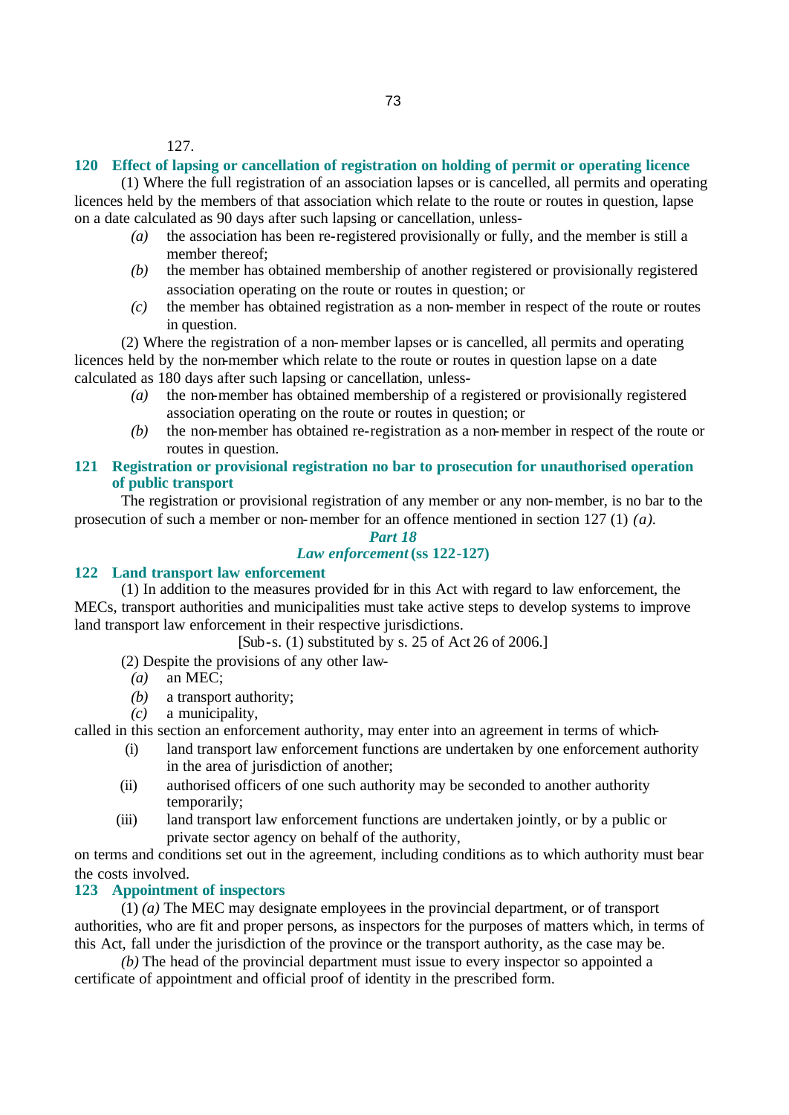127.

#### **120 Effect of lapsing or cancellation of registration on holding of permit or operating licence**

(1) Where the full registration of an association lapses or is cancelled, all permits and operating licences held by the members of that association which relate to the route or routes in question, lapse on a date calculated as 90 days after such lapsing or cancellation, unless-

- *(a)* the association has been re-registered provisionally or fully, and the member is still a member thereof;
- *(b)* the member has obtained membership of another registered or provisionally registered association operating on the route or routes in question; or
- *(c)* the member has obtained registration as a non-member in respect of the route or routes in question.

(2) Where the registration of a non-member lapses or is cancelled, all permits and operating licences held by the non-member which relate to the route or routes in question lapse on a date calculated as 180 days after such lapsing or cancellation, unless-

- *(a)* the non-member has obtained membership of a registered or provisionally registered association operating on the route or routes in question; or
- *(b)* the non-member has obtained re-registration as a non-member in respect of the route or routes in question.
- **121 Registration or provisional registration no bar to prosecution for unauthorised operation of public transport**

The registration or provisional registration of any member or any non-member, is no bar to the prosecution of such a member or non-member for an offence mentioned in section 127 (1) *(a)*.

### *Part 18 Law enforcement* **(ss 122-127)**

#### **122 Land transport law enforcement**

(1) In addition to the measures provided for in this Act with regard to law enforcement, the MECs, transport authorities and municipalities must take active steps to develop systems to improve land transport law enforcement in their respective jurisdictions.

[Sub-s. (1) substituted by s. 25 of Act 26 of 2006.]

(2) Despite the provisions of any other law-

- *(a)* an MEC;
- *(b)* a transport authority;
- *(c)* a municipality,

called in this section an enforcement authority, may enter into an agreement in terms of which-

- (i) land transport law enforcement functions are undertaken by one enforcement authority in the area of jurisdiction of another;
- (ii) authorised officers of one such authority may be seconded to another authority temporarily;
- (iii) land transport law enforcement functions are undertaken jointly, or by a public or private sector agency on behalf of the authority,

on terms and conditions set out in the agreement, including conditions as to which authority must bear the costs involved.

## **123 Appointment of inspectors**

(1) *(a)* The MEC may designate employees in the provincial department, or of transport authorities, who are fit and proper persons, as inspectors for the purposes of matters which, in terms of this Act, fall under the jurisdiction of the province or the transport authority, as the case may be.

*(b)* The head of the provincial department must issue to every inspector so appointed a certificate of appointment and official proof of identity in the prescribed form.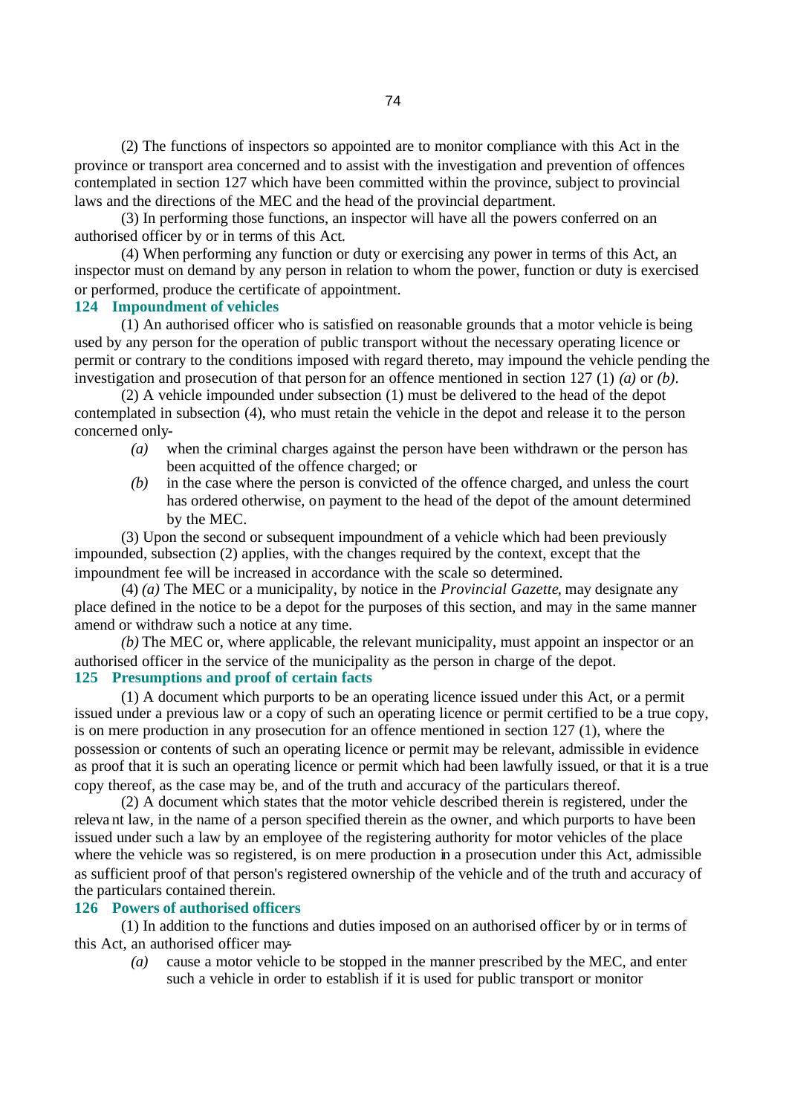(2) The functions of inspectors so appointed are to monitor compliance with this Act in the province or transport area concerned and to assist with the investigation and prevention of offences contemplated in section 127 which have been committed within the province, subject to provincial laws and the directions of the MEC and the head of the provincial department.

(3) In performing those functions, an inspector will have all the powers conferred on an authorised officer by or in terms of this Act.

(4) When performing any function or duty or exercising any power in terms of this Act, an inspector must on demand by any person in relation to whom the power, function or duty is exercised or performed, produce the certificate of appointment.

#### **124 Impoundment of vehicles**

(1) An authorised officer who is satisfied on reasonable grounds that a motor vehicle is being used by any person for the operation of public transport without the necessary operating licence or permit or contrary to the conditions imposed with regard thereto, may impound the vehicle pending the investigation and prosecution of that person for an offence mentioned in section 127 (1) *(a)* or *(b)*.

(2) A vehicle impounded under subsection (1) must be delivered to the head of the depot contemplated in subsection (4), who must retain the vehicle in the depot and release it to the person concerned only-

- *(a)* when the criminal charges against the person have been withdrawn or the person has been acquitted of the offence charged; or
- *(b)* in the case where the person is convicted of the offence charged, and unless the court has ordered otherwise, on payment to the head of the depot of the amount determined by the MEC.

(3) Upon the second or subsequent impoundment of a vehicle which had been previously impounded, subsection (2) applies, with the changes required by the context, except that the impoundment fee will be increased in accordance with the scale so determined.

(4) *(a)* The MEC or a municipality, by notice in the *Provincial Gazette*, may designate any place defined in the notice to be a depot for the purposes of this section, and may in the same manner amend or withdraw such a notice at any time.

*(b)* The MEC or, where applicable, the relevant municipality, must appoint an inspector or an authorised officer in the service of the municipality as the person in charge of the depot. **125 Presumptions and proof of certain facts**

(1) A document which purports to be an operating licence issued under this Act, or a permit issued under a previous law or a copy of such an operating licence or permit certified to be a true copy, is on mere production in any prosecution for an offence mentioned in section 127 (1), where the possession or contents of such an operating licence or permit may be relevant, admissible in evidence as proof that it is such an operating licence or permit which had been lawfully issued, or that it is a true copy thereof, as the case may be, and of the truth and accuracy of the particulars thereof.

(2) A document which states that the motor vehicle described therein is registered, under the releva nt law, in the name of a person specified therein as the owner, and which purports to have been issued under such a law by an employee of the registering authority for motor vehicles of the place where the vehicle was so registered, is on mere production in a prosecution under this Act, admissible as sufficient proof of that person's registered ownership of the vehicle and of the truth and accuracy of the particulars contained therein.

## **126 Powers of authorised officers**

(1) In addition to the functions and duties imposed on an authorised officer by or in terms of this Act, an authorised officer may-

*(a)* cause a motor vehicle to be stopped in the manner prescribed by the MEC, and enter such a vehicle in order to establish if it is used for public transport or monitor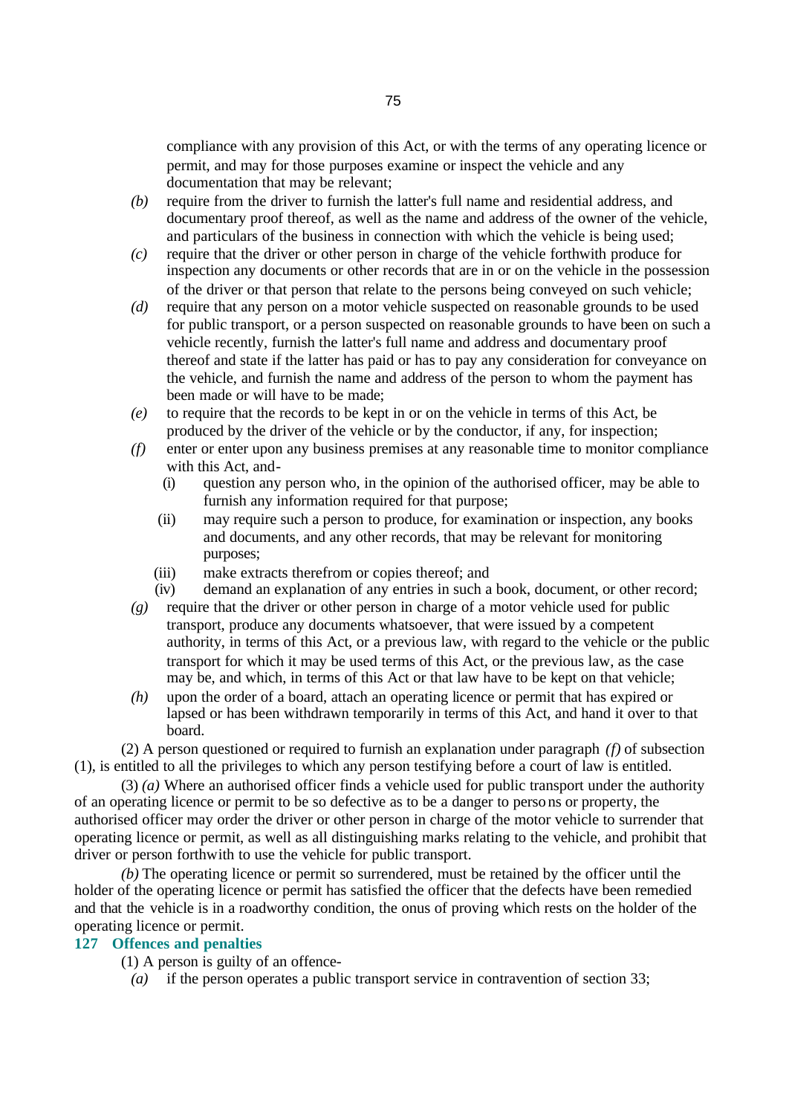compliance with any provision of this Act, or with the terms of any operating licence or permit, and may for those purposes examine or inspect the vehicle and any documentation that may be relevant;

- *(b)* require from the driver to furnish the latter's full name and residential address, and documentary proof thereof, as well as the name and address of the owner of the vehicle, and particulars of the business in connection with which the vehicle is being used;
- *(c)* require that the driver or other person in charge of the vehicle forthwith produce for inspection any documents or other records that are in or on the vehicle in the possession of the driver or that person that relate to the persons being conveyed on such vehicle;
- *(d)* require that any person on a motor vehicle suspected on reasonable grounds to be used for public transport, or a person suspected on reasonable grounds to have been on such a vehicle recently, furnish the latter's full name and address and documentary proof thereof and state if the latter has paid or has to pay any consideration for conveyance on the vehicle, and furnish the name and address of the person to whom the payment has been made or will have to be made;
- *(e)* to require that the records to be kept in or on the vehicle in terms of this Act, be produced by the driver of the vehicle or by the conductor, if any, for inspection;
- *(f)* enter or enter upon any business premises at any reasonable time to monitor compliance with this Act, and-
	- (i) question any person who, in the opinion of the authorised officer, may be able to furnish any information required for that purpose;
	- (ii) may require such a person to produce, for examination or inspection, any books and documents, and any other records, that may be relevant for monitoring purposes;
	- (iii) make extracts therefrom or copies thereof; and
	- (iv) demand an explanation of any entries in such a book, document, or other record;
- *(g)* require that the driver or other person in charge of a motor vehicle used for public transport, produce any documents whatsoever, that were issued by a competent authority, in terms of this Act, or a previous law, with regard to the vehicle or the public transport for which it may be used terms of this Act, or the previous law, as the case may be, and which, in terms of this Act or that law have to be kept on that vehicle;
- *(h)* upon the order of a board, attach an operating licence or permit that has expired or lapsed or has been withdrawn temporarily in terms of this Act, and hand it over to that board.

(2) A person questioned or required to furnish an explanation under paragraph *(f)* of subsection (1), is entitled to all the privileges to which any person testifying before a court of law is entitled.

(3) *(a)* Where an authorised officer finds a vehicle used for public transport under the authority of an operating licence or permit to be so defective as to be a danger to persons or property, the authorised officer may order the driver or other person in charge of the motor vehicle to surrender that operating licence or permit, as well as all distinguishing marks relating to the vehicle, and prohibit that driver or person forthwith to use the vehicle for public transport.

*(b)* The operating licence or permit so surrendered, must be retained by the officer until the holder of the operating licence or permit has satisfied the officer that the defects have been remedied and that the vehicle is in a roadworthy condition, the onus of proving which rests on the holder of the operating licence or permit.

## **127 Offences and penalties**

(1) A person is guilty of an offence-

*(a)* if the person operates a public transport service in contravention of section 33;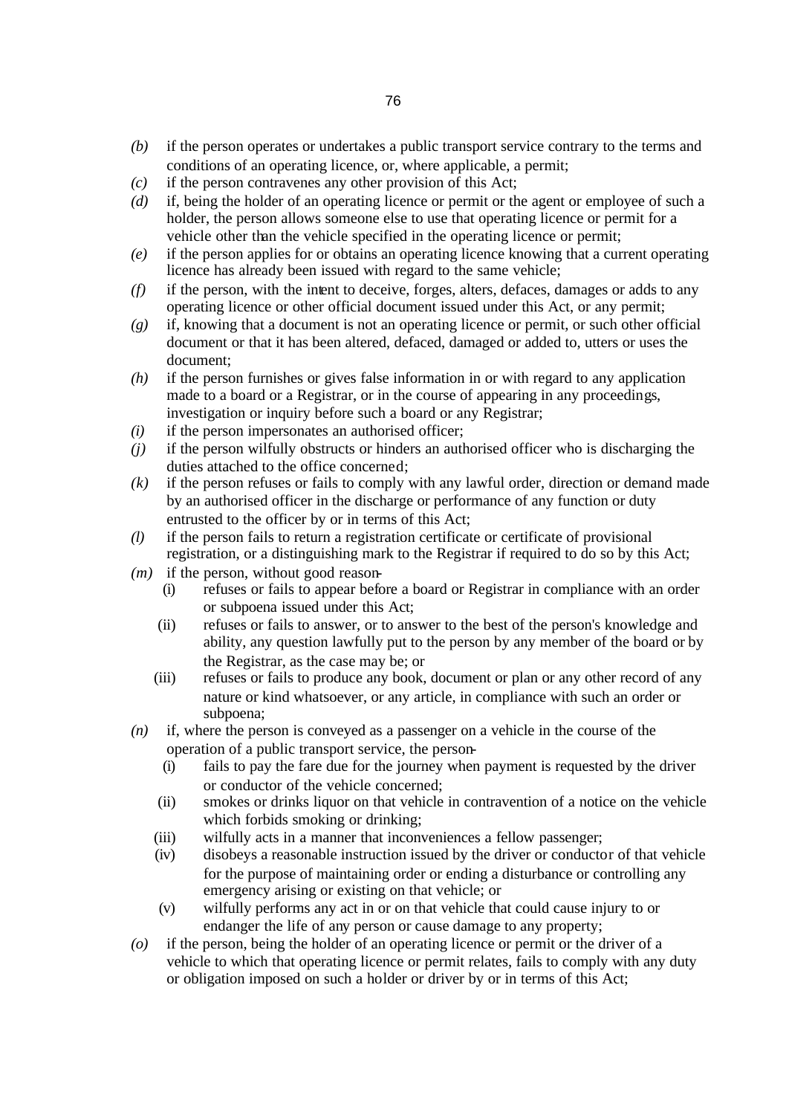- *(b)* if the person operates or undertakes a public transport service contrary to the terms and conditions of an operating licence, or, where applicable, a permit;
- *(c)* if the person contravenes any other provision of this Act;
- *(d)* if, being the holder of an operating licence or permit or the agent or employee of such a holder, the person allows someone else to use that operating licence or permit for a vehicle other than the vehicle specified in the operating licence or permit;
- *(e)* if the person applies for or obtains an operating licence knowing that a current operating licence has already been issued with regard to the same vehicle;
- *(f)* if the person, with the intent to deceive, forges, alters, defaces, damages or adds to any operating licence or other official document issued under this Act, or any permit;
- *(g)* if, knowing that a document is not an operating licence or permit, or such other official document or that it has been altered, defaced, damaged or added to, utters or uses the document;
- *(h)* if the person furnishes or gives false information in or with regard to any application made to a board or a Registrar, or in the course of appearing in any proceedings, investigation or inquiry before such a board or any Registrar;
- *(i)* if the person impersonates an authorised officer;
- *(j)* if the person wilfully obstructs or hinders an authorised officer who is discharging the duties attached to the office concerned;
- *(k)* if the person refuses or fails to comply with any lawful order, direction or demand made by an authorised officer in the discharge or performance of any function or duty entrusted to the officer by or in terms of this Act;
- *(l)* if the person fails to return a registration certificate or certificate of provisional registration, or a distinguishing mark to the Registrar if required to do so by this Act;
- *(m)* if the person, without good reason-
	- (i) refuses or fails to appear before a board or Registrar in compliance with an order or subpoena issued under this Act;
	- (ii) refuses or fails to answer, or to answer to the best of the person's knowledge and ability, any question lawfully put to the person by any member of the board or by the Registrar, as the case may be; or
	- (iii) refuses or fails to produce any book, document or plan or any other record of any nature or kind whatsoever, or any article, in compliance with such an order or subpoena;
- *(n)* if, where the person is conveyed as a passenger on a vehicle in the course of the operation of a public transport service, the person-
	- (i) fails to pay the fare due for the journey when payment is requested by the driver or conductor of the vehicle concerned;
	- (ii) smokes or drinks liquor on that vehicle in contravention of a notice on the vehicle which forbids smoking or drinking;
	- (iii) wilfully acts in a manner that inconveniences a fellow passenger;
	- (iv) disobeys a reasonable instruction issued by the driver or conductor of that vehicle for the purpose of maintaining order or ending a disturbance or controlling any emergency arising or existing on that vehicle; or
	- (v) wilfully performs any act in or on that vehicle that could cause injury to or endanger the life of any person or cause damage to any property;
- *(o)* if the person, being the holder of an operating licence or permit or the driver of a vehicle to which that operating licence or permit relates, fails to comply with any duty or obligation imposed on such a holder or driver by or in terms of this Act;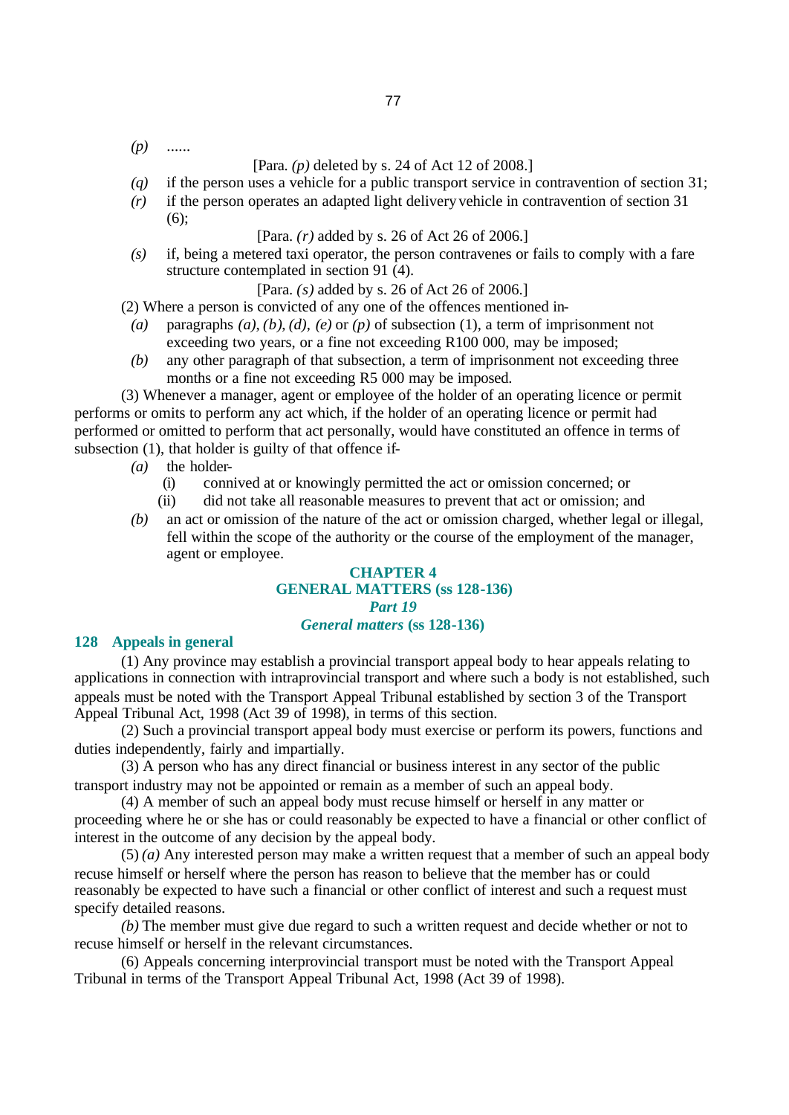*(p)* ......

#### [Para. *(p)* deleted by s. 24 of Act 12 of 2008.]

- *(q)* if the person uses a vehicle for a public transport service in contravention of section 31;
- *(r)* if the person operates an adapted light delivery vehicle in contravention of section 31 (6);

[Para. *(r)* added by s. 26 of Act 26 of 2006.]

*(s)* if, being a metered taxi operator, the person contravenes or fails to comply with a fare structure contemplated in section 91 (4).

[Para. *(s)* added by s. 26 of Act 26 of 2006.]

(2) Where a person is convicted of any one of the offences mentioned in-

- *(a)* paragraphs *(a)*, *(b)*, *(d)*, *(e)* or *(p)* of subsection (1), a term of imprisonment not exceeding two years, or a fine not exceeding R100 000, may be imposed;
- *(b)* any other paragraph of that subsection, a term of imprisonment not exceeding three months or a fine not exceeding R5 000 may be imposed.

(3) Whenever a manager, agent or employee of the holder of an operating licence or permit performs or omits to perform any act which, if the holder of an operating licence or permit had performed or omitted to perform that act personally, would have constituted an offence in terms of subsection (1), that holder is guilty of that offence if-

- *(a)* the holder-
	- (i) connived at or knowingly permitted the act or omission concerned; or
	- (ii) did not take all reasonable measures to prevent that act or omission; and
- *(b)* an act or omission of the nature of the act or omission charged, whether legal or illegal, fell within the scope of the authority or the course of the employment of the manager, agent or employee.

#### **CHAPTER 4 GENERAL MATTERS (ss 128-136)** *Part 19 General matters* **(ss 128-136)**

#### **128 Appeals in general**

(1) Any province may establish a provincial transport appeal body to hear appeals relating to applications in connection with intraprovincial transport and where such a body is not established, such appeals must be noted with the Transport Appeal Tribunal established by section 3 of the Transport Appeal Tribunal Act, 1998 (Act 39 of 1998), in terms of this section.

(2) Such a provincial transport appeal body must exercise or perform its powers, functions and duties independently, fairly and impartially.

(3) A person who has any direct financial or business interest in any sector of the public transport industry may not be appointed or remain as a member of such an appeal body.

(4) A member of such an appeal body must recuse himself or herself in any matter or proceeding where he or she has or could reasonably be expected to have a financial or other conflict of interest in the outcome of any decision by the appeal body.

(5) *(a)* Any interested person may make a written request that a member of such an appeal body recuse himself or herself where the person has reason to believe that the member has or could reasonably be expected to have such a financial or other conflict of interest and such a request must specify detailed reasons.

*(b)* The member must give due regard to such a written request and decide whether or not to recuse himself or herself in the relevant circumstances.

(6) Appeals concerning interprovincial transport must be noted with the Transport Appeal Tribunal in terms of the Transport Appeal Tribunal Act, 1998 (Act 39 of 1998).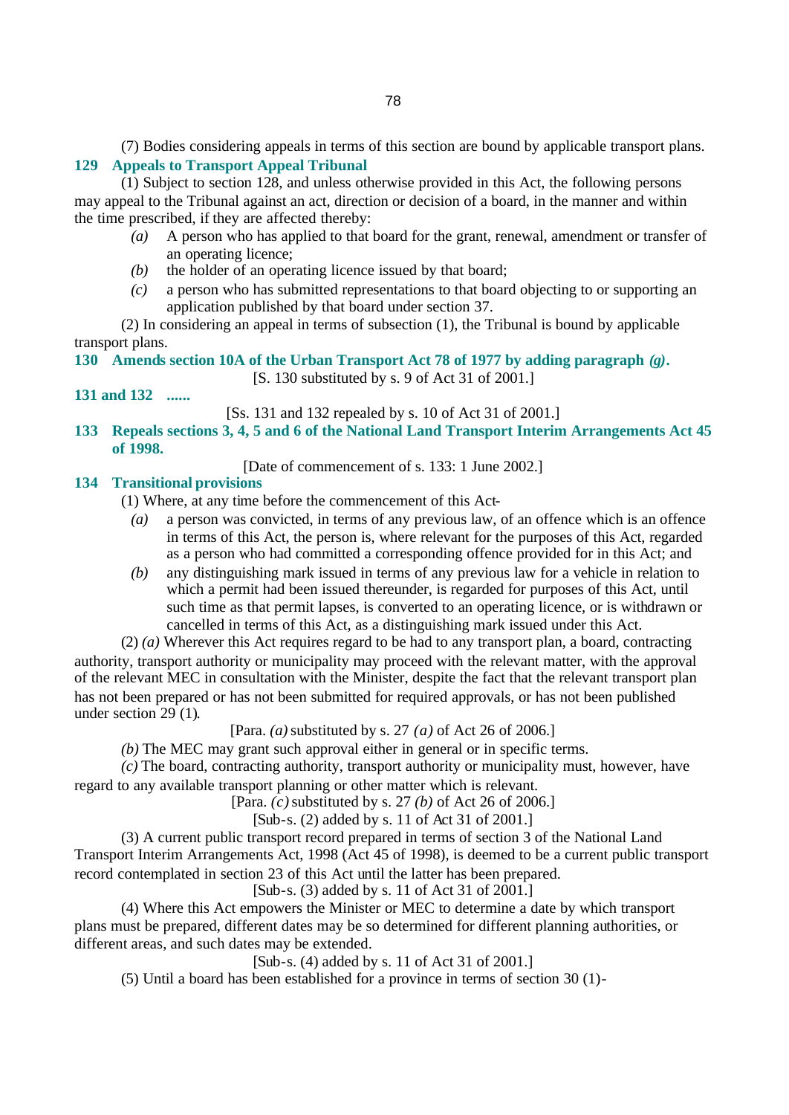(7) Bodies considering appeals in terms of this section are bound by applicable transport plans.

# **129 Appeals to Transport Appeal Tribunal**

(1) Subject to section 128, and unless otherwise provided in this Act, the following persons may appeal to the Tribunal against an act, direction or decision of a board, in the manner and within the time prescribed, if they are affected thereby:

- *(a)* A person who has applied to that board for the grant, renewal, amendment or transfer of an operating licence;
- *(b)* the holder of an operating licence issued by that board;
- *(c)* a person who has submitted representations to that board objecting to or supporting an application published by that board under section 37.

(2) In considering an appeal in terms of subsection (1), the Tribunal is bound by applicable transport plans.

**130 Amends section 10A of the Urban Transport Act 78 of 1977 by adding paragraph** *(g)***.**

[S. 130 substituted by s. 9 of Act 31 of 2001.]

**131 and 132 ......**

[Ss. 131 and 132 repealed by s. 10 of Act 31 of 2001.]

**133 Repeals sections 3, 4, 5 and 6 of the National Land Transport Interim Arrangements Act 45 of 1998.**

[Date of commencement of s. 133: 1 June 2002.]

# **134 Transitional provisions**

(1) Where, at any time before the commencement of this Act-

- *(a)* a person was convicted, in terms of any previous law, of an offence which is an offence in terms of this Act, the person is, where relevant for the purposes of this Act, regarded as a person who had committed a corresponding offence provided for in this Act; and
- *(b)* any distinguishing mark issued in terms of any previous law for a vehicle in relation to which a permit had been issued thereunder, is regarded for purposes of this Act, until such time as that permit lapses, is converted to an operating licence, or is withdrawn or cancelled in terms of this Act, as a distinguishing mark issued under this Act.

(2) *(a)* Wherever this Act requires regard to be had to any transport plan, a board, contracting authority, transport authority or municipality may proceed with the relevant matter, with the approval of the relevant MEC in consultation with the Minister, despite the fact that the relevant transport plan has not been prepared or has not been submitted for required approvals, or has not been published under section 29 (1).

[Para. *(a)* substituted by s. 27 *(a)* of Act 26 of 2006.]

*(b)* The MEC may grant such approval either in general or in specific terms.

*(c)* The board, contracting authority, transport authority or municipality must, however, have regard to any available transport planning or other matter which is relevant.

[Para. *(c)* substituted by s. 27 *(b)* of Act 26 of 2006.]

[Sub-s. (2) added by s. 11 of Act 31 of 2001.]

(3) A current public transport record prepared in terms of section 3 of the National Land Transport Interim Arrangements Act, 1998 (Act 45 of 1998), is deemed to be a current public transport record contemplated in section 23 of this Act until the latter has been prepared.

[Sub-s. (3) added by s. 11 of Act 31 of 2001.]

(4) Where this Act empowers the Minister or MEC to determine a date by which transport plans must be prepared, different dates may be so determined for different planning authorities, or different areas, and such dates may be extended.

[Sub-s. (4) added by s. 11 of Act 31 of 2001.]

(5) Until a board has been established for a province in terms of section 30 (1)-